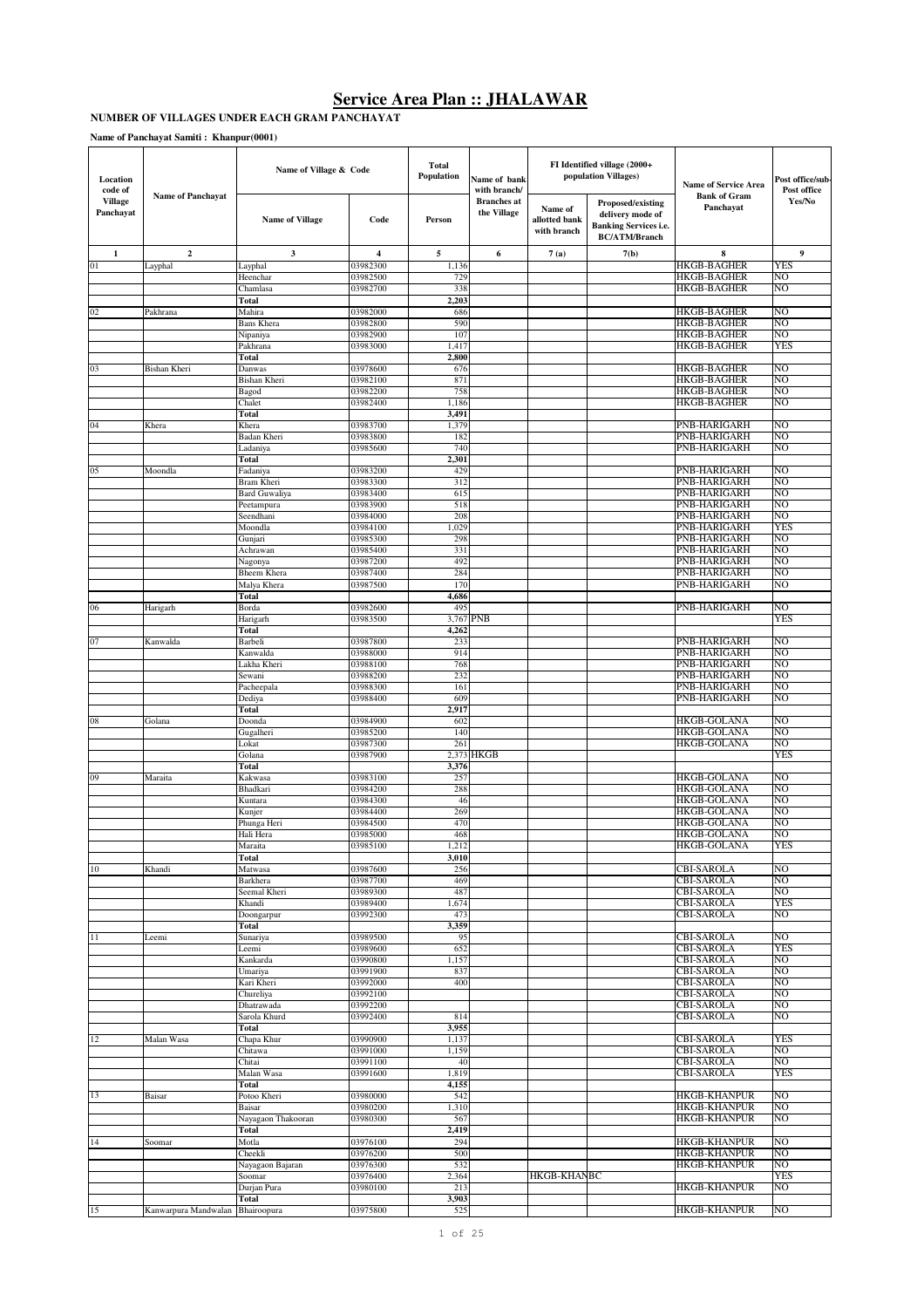#### **NUMBER OF VILLAGES UNDER EACH GRAM PANCHAYAT**

**Name of Panchayat Samiti : Khanpur(0001)**

| Location<br>code of         |                          | Name of Village & Code             |                      | <b>Total</b><br>Population | Name of bank<br>with branch/      |                                         | FI Identified village (2000+<br>population Villages)                                          | <b>Name of Service Area</b>              | Post office/sub<br>Post office |
|-----------------------------|--------------------------|------------------------------------|----------------------|----------------------------|-----------------------------------|-----------------------------------------|-----------------------------------------------------------------------------------------------|------------------------------------------|--------------------------------|
| <b>Village</b><br>Panchayat | <b>Name of Panchayat</b> | <b>Name of Village</b>             | Code                 | Person                     | <b>Branches</b> at<br>the Village | Name of<br>allotted bank<br>with branch | Proposed/existing<br>delivery mode of<br><b>Banking Services i.e.</b><br><b>BC/ATM/Branch</b> | <b>Bank of Gram</b><br>Panchayat         | Yes/No                         |
| 1                           | $\boldsymbol{2}$         | 3                                  | 4                    | 5                          | 6                                 | 7(a)                                    | 7(b)                                                                                          | 8                                        | 9                              |
| 01                          | Layphal                  | Layphal                            | 03982300             | 1,136                      |                                   |                                         |                                                                                               | <b>HKGB-BAGHER</b>                       | <b>YES</b>                     |
|                             |                          | Heenchar<br>Chamlasa               | 03982500             | 729<br>338                 |                                   |                                         |                                                                                               | <b>HKGB-BAGHER</b><br><b>HKGB-BAGHER</b> | NO<br>NO                       |
|                             |                          | Total                              | 03982700             | 2,203                      |                                   |                                         |                                                                                               |                                          |                                |
| 02                          | Pakhrana                 | Mahira                             | 03982000             | 686                        |                                   |                                         |                                                                                               | <b>HKGB-BAGHER</b>                       | N <sub>O</sub>                 |
|                             |                          | Bans Khera                         | 03982800             | 590<br>107                 |                                   |                                         |                                                                                               | HKGB-BAGHER<br><b>HKGB-BAGHER</b>        | NO<br>N <sub>O</sub>           |
|                             |                          | Nipaniya<br>Pakhrana               | 03982900<br>03983000 | 1,417                      |                                   |                                         |                                                                                               | HKGB-BAGHER                              | YES                            |
|                             |                          | Total                              |                      | 2,800                      |                                   |                                         |                                                                                               |                                          |                                |
| 03                          | Bishan Kheri             | Danwas                             | 03978600             | 676                        |                                   |                                         |                                                                                               | HKGB-BAGHER                              | NO                             |
|                             |                          | Bishan Kheri<br>Bagod              | 03982100<br>03982200 | 871<br>758                 |                                   |                                         |                                                                                               | <b>HKGB-BAGHER</b><br>HKGB-BAGHER        | NO<br>NO                       |
|                             |                          | Chalet                             | 03982400             | 1,186                      |                                   |                                         |                                                                                               | <b>HKGB-BAGHER</b>                       | NO                             |
|                             |                          | Total                              |                      | 3,491                      |                                   |                                         |                                                                                               |                                          |                                |
| 04                          | Khera                    | Khera<br>Badan Kheri               | 03983700<br>03983800 | 1,379<br>182               |                                   |                                         |                                                                                               | PNB-HARIGARH<br>PNB-HARIGARH             | N <sub>O</sub><br>NO           |
|                             |                          | Ladaniya                           | 03985600             | 740                        |                                   |                                         |                                                                                               | PNB-HARIGARH                             | NO                             |
|                             |                          | Total                              |                      | 2,301                      |                                   |                                         |                                                                                               |                                          |                                |
| 05                          | Moondla                  | Fadaniya                           | 03983200             | 429                        |                                   |                                         |                                                                                               | PNB-HARIGARH<br>PNB-HARIGARH             | NO<br>NΟ                       |
|                             |                          | Bram Kheri<br><b>Bard Guwaliya</b> | 03983300<br>03983400 | 312<br>615                 |                                   |                                         |                                                                                               | PNB-HARIGARH                             | N <sub>O</sub>                 |
|                             |                          | Peetampura                         | 03983900             | 518                        |                                   |                                         |                                                                                               | PNB-HARIGARH                             | NO                             |
|                             |                          | Seendhani                          | 03984000             | 208                        |                                   |                                         |                                                                                               | PNB-HARIGARH                             | N <sub>O</sub>                 |
|                             |                          | Moondla<br>Gunjari                 | 03984100<br>03985300 | 1,029<br>298               |                                   |                                         |                                                                                               | PNB-HARIGARH<br>PNB-HARIGARH             | <b>YES</b><br>NO               |
|                             |                          | Achrawan                           | 03985400             | 331                        |                                   |                                         |                                                                                               | <b>PNB-HARIGARH</b>                      | NO                             |
|                             |                          | Nagonya                            | 03987200             | 492                        |                                   |                                         |                                                                                               | PNB-HARIGARH                             | NO                             |
|                             |                          | Bheem Khera                        | 03987400<br>03987500 | 284<br>170                 |                                   |                                         |                                                                                               | PNB-HARIGARH<br>PNB-HARIGARH             | NO<br>NO                       |
|                             |                          | Malya Khera<br>Total               |                      | 4,686                      |                                   |                                         |                                                                                               |                                          |                                |
| 06                          | Harigarh                 | Borda                              | 03982600             | 495                        |                                   |                                         |                                                                                               | PNB-HARIGARH                             | NO                             |
|                             |                          | Harigarh                           | 03983500             |                            | 3,767 PNB                         |                                         |                                                                                               |                                          | YES                            |
| 07                          | Kanwalda                 | Total<br>Barbeli                   | 03987800             | 4,262<br>233               |                                   |                                         |                                                                                               | PNB-HARIGARH                             | NO                             |
|                             |                          | Kanwalda                           | 03988000             | 914                        |                                   |                                         |                                                                                               | PNB-HARIGARH                             | NO                             |
|                             |                          | Lakha Kheri                        | 03988100             | 768                        |                                   |                                         |                                                                                               | PNB-HARIGARH                             | NO                             |
|                             |                          | Sewani                             | 03988200<br>03988300 | 232<br>161                 |                                   |                                         |                                                                                               | PNB-HARIGARH<br>PNB-HARIGARH             | NO<br>NO                       |
|                             |                          | Pacheepala<br>Dediya               | 03988400             | 609                        |                                   |                                         |                                                                                               | PNB-HARIGARH                             | NO                             |
|                             |                          | Total                              |                      | 2,917                      |                                   |                                         |                                                                                               |                                          |                                |
| 08                          | Golana                   | Doonda                             | 03984900             | 602                        |                                   |                                         |                                                                                               | HKGB-GOLANA                              | NO                             |
|                             |                          | Gugalheri<br>Lokat                 | 03985200<br>03987300 | 140<br>261                 |                                   |                                         |                                                                                               | HKGB-GOLANA<br>HKGB-GOLANA               | NO<br>NO                       |
|                             |                          | Golana                             | 03987900             |                            | 2.373 HKGB                        |                                         |                                                                                               |                                          | YES                            |
|                             |                          | Total                              |                      | 3,376                      |                                   |                                         |                                                                                               |                                          |                                |
| 09                          | Maraita                  | Kakwasa<br>Bhadkari                | 03983100<br>03984200 | 257<br>288                 |                                   |                                         |                                                                                               | HKGB-GOLANA<br><b>HKGB-GOLANA</b>        | NO<br>NO                       |
|                             |                          | Kuntara                            | 03984300             | 46                         |                                   |                                         |                                                                                               | HKGB-GOLANA                              | NO                             |
|                             |                          | Kunjer                             | 03984400             | 269                        |                                   |                                         |                                                                                               | <b>HKGB-GOLANA</b>                       | N <sub>O</sub>                 |
|                             |                          | Phunga Heri                        | 03984500             | 470                        |                                   |                                         |                                                                                               | HKGB-GOLANA                              | NO                             |
|                             |                          | Hali Hera<br>Marana                | 03985000<br>03985100 | 468<br>1,212               |                                   |                                         |                                                                                               | <b>HKGB-GOLANA</b><br>HKGB-GOLANA        | NO<br>1 E.S                    |
|                             |                          | Total                              |                      | 3,010                      |                                   |                                         |                                                                                               |                                          |                                |
| 10                          | Khandi                   | Matwasa                            | 03987600             | 256                        |                                   |                                         |                                                                                               | <b>CBI-SAROLA</b>                        | NO                             |
|                             |                          | Barkhera<br>Seemal Kheri           | 03987700<br>03989300 | 469<br>487                 |                                   |                                         |                                                                                               | <b>CBI-SAROLA</b><br>CBI-SAROLA          | N <sub>O</sub><br>NO           |
|                             |                          | Khandi                             | 03989400             | 1,674                      |                                   |                                         |                                                                                               | <b>CBI-SAROLA</b>                        | <b>YES</b>                     |
|                             |                          | Doongarpur                         | 03992300             | 473                        |                                   |                                         |                                                                                               | <b>CBI-SAROLA</b>                        | NO                             |
|                             |                          | Total                              | 03989500             | 3,359<br>95                |                                   |                                         |                                                                                               |                                          | N <sub>O</sub>                 |
| 11                          | Leemi                    | Sunariya<br>Leemi                  | 03989600             | 652                        |                                   |                                         |                                                                                               | <b>CBI-SAROLA</b><br><b>CBI-SAROLA</b>   | <b>YES</b>                     |
|                             |                          | Kankarda                           | 03990800             | 1,157                      |                                   |                                         |                                                                                               | <b>CBI-SAROLA</b>                        | N <sub>O</sub>                 |
|                             |                          | Umariya                            | 03991900             | 837                        |                                   |                                         |                                                                                               | CBI-SAROLA                               | NO                             |
|                             |                          | Kari Kheri<br>Chureliya            | 03992000<br>03992100 | 400                        |                                   |                                         |                                                                                               | <b>CBI-SAROLA</b><br><b>CBI-SAROLA</b>   | N <sub>O</sub><br>NO           |
|                             |                          | Dhatrawada                         | 03992200             |                            |                                   |                                         |                                                                                               | <b>CBI-SAROLA</b>                        | N <sub>O</sub>                 |
|                             |                          | Sarola Khurd                       | 03992400             | 814                        |                                   |                                         |                                                                                               | <b>CBI-SAROLA</b>                        | NO                             |
|                             | Malan Wasa               | Total                              | 03990900             | 3,955                      |                                   |                                         |                                                                                               | CBI-SAROLA                               | <b>YES</b>                     |
| 12                          |                          | Chapa Khur<br>Chitawa              | 03991000             | 1,137<br>1,159             |                                   |                                         |                                                                                               | <b>CBI-SAROLA</b>                        | NO                             |
|                             |                          | Chitai                             | 03991100             | 40                         |                                   |                                         |                                                                                               | <b>CBI-SAROLA</b>                        | NO                             |
|                             |                          | Malan Wasa                         | 03991600             | 1,819                      |                                   |                                         |                                                                                               | <b>CBI-SAROLA</b>                        | <b>YES</b>                     |
| 13                          | Baisar                   | Total<br>Potoo Kheri               | 03980000             | 4,155<br>542               |                                   |                                         |                                                                                               | <b>HKGB-KHANPUR</b>                      | N <sub>O</sub>                 |
|                             |                          | Baisar                             | 03980200             | 1,310                      |                                   |                                         |                                                                                               | HKGB-KHANPUR                             | NO                             |
|                             |                          | Nayagaon Thakooran                 | 03980300             | 567                        |                                   |                                         |                                                                                               | <b>HKGB-KHANPUR</b>                      | NO                             |
| 14                          | Soomar                   | Total<br>Motla                     | 03976100             | 2,419<br>294               |                                   |                                         |                                                                                               | <b>HKGB-KHANPUR</b>                      | N <sub>O</sub>                 |
|                             |                          | Cheekli                            | 03976200             | 500                        |                                   |                                         |                                                                                               | <b>HKGB-KHANPUR</b>                      | NO                             |
|                             |                          | Nayagaon Bajaran                   | 03976300             | 532                        |                                   |                                         |                                                                                               | <b>HKGB-KHANPUR</b>                      | N <sub>O</sub>                 |
|                             |                          | Soomar                             | 03976400             | 2,364                      |                                   | <b>HKGB-KHANBC</b>                      |                                                                                               |                                          | <b>YES</b>                     |
|                             |                          | Durjan Pura<br>Total               | 03980100             | 213<br>3,903               |                                   |                                         |                                                                                               | HKGB-KHANPUR                             | NO                             |
| 15                          | Kanwarpura Mandwalan     | Bhairoopura                        | 03975800             | 525                        |                                   |                                         |                                                                                               | HKGB-KHANPUR                             | NO                             |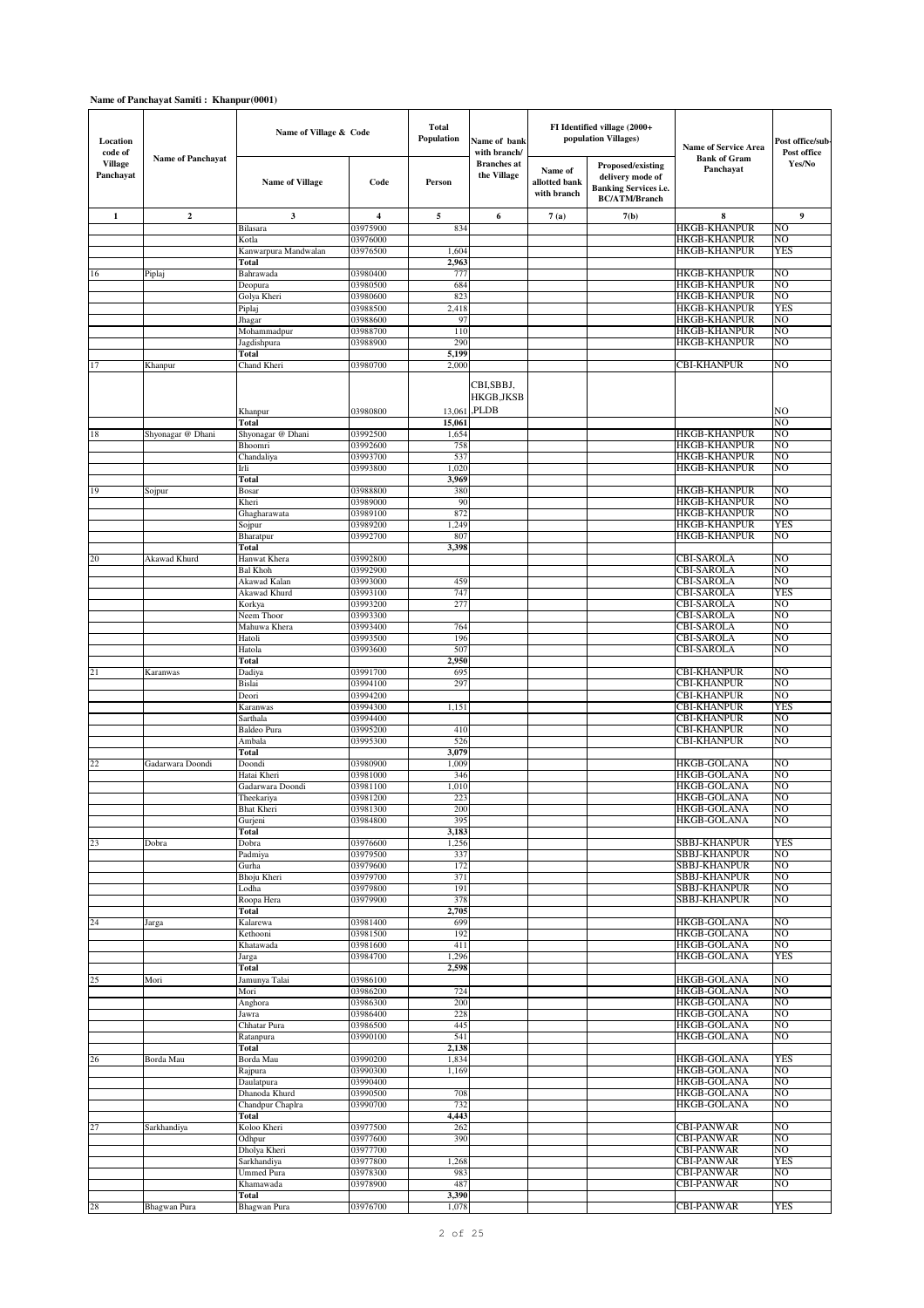## **Name of Panchayat Samiti : Khanpur(0001)**

| Location<br>code of         |                          | Name of Village & Code          |                      | <b>Total</b><br>Population | Name of bank<br>with branch/      |                                         | FI Identified village (2000+<br>population Villages)                                                 | <b>Name of Service Area</b>                | Post office/sub-<br>Post office |
|-----------------------------|--------------------------|---------------------------------|----------------------|----------------------------|-----------------------------------|-----------------------------------------|------------------------------------------------------------------------------------------------------|--------------------------------------------|---------------------------------|
| <b>Village</b><br>Panchayat | <b>Name of Panchayat</b> | <b>Name of Village</b>          | Code                 | Person                     | <b>Branches</b> at<br>the Village | Name of<br>allotted bank<br>with branch | <b>Proposed/existing</b><br>delivery mode of<br><b>Banking Services i.e.</b><br><b>BC/ATM/Branch</b> | <b>Bank of Gram</b><br>Panchayat           | Yes/No                          |
| $\mathbf{1}$                | $\boldsymbol{2}$         | 3                               | 4                    | 5                          | 6                                 | 7(a)                                    | 7(b)                                                                                                 | 8                                          | 9                               |
|                             |                          | Bilasara                        | 03975900             | 834                        |                                   |                                         |                                                                                                      | <b>HKGB-KHANPUR</b>                        | N <sub>O</sub>                  |
|                             |                          | Kotla                           | 03976000             |                            |                                   |                                         |                                                                                                      | <b>HKGB-KHANPUR</b>                        | NO                              |
|                             |                          | Kanwarpura Mandwalan            | 03976500             | 1,604                      |                                   |                                         |                                                                                                      | <b>HKGB-KHANPUR</b>                        | <b>YES</b>                      |
|                             |                          | Total<br>Bahrawada              | 03980400             | 2,963<br>77'               |                                   |                                         |                                                                                                      | <b>HKGB-KHANPUR</b>                        | N <sub>O</sub>                  |
| 16                          | Piplaj                   | Deopura                         | 03980500             | 684                        |                                   |                                         |                                                                                                      | <b>HKGB-KHANPUR</b>                        | NO                              |
|                             |                          | Golya Kheri                     | 03980600             | 823                        |                                   |                                         |                                                                                                      | <b>HKGB-KHANPUR</b>                        | NO                              |
|                             |                          | Piplaj                          | 03988500             | 2,418                      |                                   |                                         |                                                                                                      | <b>HKGB-KHANPUR</b>                        | YES                             |
|                             |                          | Jhagar                          | 03988600             | 97                         |                                   |                                         |                                                                                                      | <b>HKGB-KHANPUR</b>                        | NO                              |
|                             |                          | Mohammadpur                     | 03988700             | 110                        |                                   |                                         |                                                                                                      | <b>HKGB-KHANPUR</b>                        | NO                              |
|                             |                          | Jagdishpura<br>Total            | 03988900             | 290<br>5,199               |                                   |                                         |                                                                                                      | <b>HKGB-KHANPUR</b>                        | NO                              |
| 17                          | Khanpur                  | Chand Kheri                     | 03980700             | 2,000                      |                                   |                                         |                                                                                                      | <b>CBI-KHANPUR</b>                         | NO                              |
|                             |                          |                                 | 03980800             |                            | CBI,SBBJ,<br>HKGB, JKSB<br>PLDB.  |                                         |                                                                                                      |                                            | NO                              |
|                             |                          | Khanpur<br>Total                |                      | 13,061<br>15,061           |                                   |                                         |                                                                                                      |                                            | NO                              |
| 18                          | Shyonagar @ Dhani        | Shyonagar @ Dhani               | 03992500             | 1,654                      |                                   |                                         |                                                                                                      | <b>HKGB-KHANPUR</b>                        | NO                              |
|                             |                          | Bhoomri                         | 03992600             | 758                        |                                   |                                         |                                                                                                      | <b>HKGB-KHANPUR</b>                        | NO                              |
|                             |                          | Chandaliya                      | 03993700             | 537                        |                                   |                                         |                                                                                                      | <b>HKGB-KHANPUR</b>                        | NO                              |
|                             |                          | Irli                            | 03993800             | 1,020                      |                                   |                                         |                                                                                                      | <b>HKGB-KHANPUR</b>                        | NO                              |
|                             |                          | Total                           |                      | 3,969                      |                                   |                                         |                                                                                                      |                                            |                                 |
| 19                          | Sojpur                   | Bosar<br>Kheri                  | 03988800<br>03989000 | 380<br>90                  |                                   |                                         |                                                                                                      | <b>HKGB-KHANPUR</b><br><b>HKGB-KHANPUR</b> | N <sub>O</sub><br>NO            |
|                             |                          | Ghagharawata                    | 03989100             | 872                        |                                   |                                         |                                                                                                      | <b>HKGB-KHANPUR</b>                        | NO                              |
|                             |                          | Sojpur                          | 03989200             | 1,249                      |                                   |                                         |                                                                                                      | <b>HKGB-KHANPUR</b>                        | YES                             |
|                             |                          | Bharatpur                       | 03992700             | 807                        |                                   |                                         |                                                                                                      | <b>HKGB-KHANPUR</b>                        | NO                              |
|                             |                          | Total                           |                      | 3,398                      |                                   |                                         |                                                                                                      |                                            |                                 |
| 20                          | Akawad Khurd             | Hanwat Khera                    | 03992800             |                            |                                   |                                         |                                                                                                      | <b>CBI-SAROLA</b>                          | NO<br>NO                        |
|                             |                          | <b>Bal Khoh</b><br>Akawad Kalan | 03992900<br>03993000 | 459                        |                                   |                                         |                                                                                                      | <b>CBI-SAROLA</b><br><b>CBI-SAROLA</b>     | NO                              |
|                             |                          | Akawad Khurd                    | 03993100             | 747                        |                                   |                                         |                                                                                                      | <b>CBI-SAROLA</b>                          | <b>YES</b>                      |
|                             |                          | Korkya                          | 03993200             | 277                        |                                   |                                         |                                                                                                      | CBI-SAROLA                                 | NO                              |
|                             |                          | Neem Thoor                      | 03993300             |                            |                                   |                                         |                                                                                                      | CBI-SAROLA                                 | NO                              |
|                             |                          | Mahuwa Khera                    | 03993400             | 764                        |                                   |                                         |                                                                                                      | <b>CBI-SAROLA</b>                          | NO                              |
|                             |                          | Hatoli<br>Hatola                | 03993500<br>03993600 | 196<br>507                 |                                   |                                         |                                                                                                      | <b>CBI-SAROLA</b><br><b>CBI-SAROLA</b>     | N <sub>O</sub><br>NO            |
|                             |                          | Total                           |                      | 2,950                      |                                   |                                         |                                                                                                      |                                            |                                 |
| 21                          | Karanwas                 | Dadiya                          | 03991700             | 695                        |                                   |                                         |                                                                                                      | <b>CBI-KHANPUR</b>                         | NO                              |
|                             |                          | Bislai                          | 03994100             | 29                         |                                   |                                         |                                                                                                      | <b>CBI-KHANPUR</b>                         | N <sub>O</sub>                  |
|                             |                          | Deori                           | 03994200             |                            |                                   |                                         |                                                                                                      | CBI-KHANPUR                                | NO                              |
|                             |                          | Karanwas<br>Sarthala            | 03994300<br>03994400 | 1,151                      |                                   |                                         |                                                                                                      | <b>CBI-KHANPUR</b><br><b>CBI-KHANPUR</b>   | YES<br>NO                       |
|                             |                          | Baldeo Pura                     | 03995200             | 410                        |                                   |                                         |                                                                                                      | <b>CBI-KHANPUR</b>                         | NO                              |
|                             |                          | Ambala                          | 03995300             | 526                        |                                   |                                         |                                                                                                      | <b>CBI-KHANPUR</b>                         | NO                              |
|                             |                          | Total                           |                      | 3,079                      |                                   |                                         |                                                                                                      |                                            |                                 |
| 22                          | Gadarwara Doondi         | Doondi                          | 03980900             | 1,009                      |                                   |                                         |                                                                                                      | <b>HKGB-GOLANA</b>                         | NO                              |
|                             |                          | Hatai Kheri                     | 03981000<br>03981100 | 346                        |                                   |                                         |                                                                                                      | <b>HKGB-GOLANA</b>                         | NO<br>NO                        |
|                             |                          | Gadarwara Doondi<br>Theekariya  | 03981200             | 1,010<br>223               |                                   |                                         |                                                                                                      | <b>HKGB-GOLANA</b><br><b>HKGB-GOLANA</b>   | NO                              |
|                             |                          | <b>Bhat Kheri</b>               | 03981300             | 200                        |                                   |                                         |                                                                                                      | HKGB-GOLANA                                | NO                              |
|                             |                          | Gurjeni                         | 03984800             | 395                        |                                   |                                         |                                                                                                      | <b>HKGB-GOLANA</b>                         | NO                              |
|                             |                          | Total                           |                      | 3,183                      |                                   |                                         |                                                                                                      |                                            |                                 |
| 23                          | Dobra                    | Dobra                           | 03976600             | 1,256                      |                                   |                                         |                                                                                                      | SBBJ-KHANPUR                               | YES                             |
|                             |                          | Padmiya<br>Gurha                | 03979500<br>03979600 | 337<br>172                 |                                   |                                         |                                                                                                      | <b>SBBJ-KHANPUR</b><br>SBBJ-KHANPUR        | NO<br>NO                        |
|                             |                          | Bhoju Kheri                     | 03979700             | 371                        |                                   |                                         |                                                                                                      | <b>SBBJ-KHANPUR</b>                        | NO                              |
|                             |                          | Lodha                           | 03979800             | 191                        |                                   |                                         |                                                                                                      | <b>SBBJ-KHANPUR</b>                        | NO                              |
|                             |                          | Roopa Hera                      | 03979900             | 378                        |                                   |                                         |                                                                                                      | <b>SBBJ-KHANPUR</b>                        | NO                              |
| 24                          |                          | Total<br>Kalarewa               | 03981400             | 2,705<br>699               |                                   |                                         |                                                                                                      | <b>HKGB-GOLANA</b>                         | NO                              |
|                             | Jarga                    | Kethooni                        | 03981500             | 192                        |                                   |                                         |                                                                                                      | <b>HKGB-GOLANA</b>                         | NO                              |
|                             |                          | Khatawada                       | 03981600             | 411                        |                                   |                                         |                                                                                                      | <b>HKGB-GOLANA</b>                         | NO                              |
|                             |                          | Jarga                           | 03984700             | 1,296                      |                                   |                                         |                                                                                                      | <b>HKGB-GOLANA</b>                         | YES                             |
|                             |                          | Total                           |                      | 2,598                      |                                   |                                         |                                                                                                      |                                            |                                 |
| 25                          | Mori                     | Jamunya Talai                   | 03986100<br>03986200 |                            |                                   |                                         |                                                                                                      | <b>HKGB-GOLANA</b>                         | NO<br>NO.                       |
|                             |                          | Mori<br>Anghora                 | 03986300             | 724<br>200                 |                                   |                                         |                                                                                                      | <b>HKGB-GOLANA</b><br><b>HKGB-GOLANA</b>   | NO                              |
|                             |                          | Jawra                           | 03986400             | 228                        |                                   |                                         |                                                                                                      | <b>HKGB-GOLANA</b>                         | NO                              |
|                             |                          | Chhatar Pura                    | 03986500             | 445                        |                                   |                                         |                                                                                                      | <b>HKGB-GOLANA</b>                         | NO                              |
|                             |                          | Ratanpura                       | 03990100             | 541                        |                                   |                                         |                                                                                                      | <b>HKGB-GOLANA</b>                         | NO                              |
|                             |                          | Total                           |                      | 2,138                      |                                   |                                         |                                                                                                      |                                            | YES                             |
| 26                          | Borda Mau                | Borda Mau<br>Rajpura            | 03990200<br>03990300 | 1,834<br>1,169             |                                   |                                         |                                                                                                      | <b>HKGB-GOLANA</b><br><b>HKGB-GOLANA</b>   | NO                              |
|                             |                          | Daulatpura                      | 03990400             |                            |                                   |                                         |                                                                                                      | <b>HKGB-GOLANA</b>                         | NO                              |
|                             |                          | Dhanoda Khurd                   | 03990500             | 708                        |                                   |                                         |                                                                                                      | <b>HKGB-GOLANA</b>                         | NO                              |
|                             |                          | Chandpur Chaplra                | 03990700             | 732                        |                                   |                                         |                                                                                                      | <b>HKGB-GOLANA</b>                         | NO                              |
|                             |                          | Total                           |                      | 4,443                      |                                   |                                         |                                                                                                      |                                            |                                 |
| 27                          | Sarkhandiya              | Koloo Kheri<br>Odhpur           | 03977500<br>03977600 | 262<br>390                 |                                   |                                         |                                                                                                      | <b>CBI-PANWAR</b><br><b>CBI-PANWAR</b>     | NO<br>NO                        |
|                             |                          | Dholya Kheri                    | 03977700             |                            |                                   |                                         |                                                                                                      | <b>CBI-PANWAR</b>                          | NO                              |
|                             |                          | Sarkhandiya                     | 03977800             | 1,268                      |                                   |                                         |                                                                                                      | <b>CBI-PANWAR</b>                          | <b>YES</b>                      |
|                             |                          | <b>Ummed Pura</b>               | 03978300             | 983                        |                                   |                                         |                                                                                                      | CBI-PANWAR                                 | NO                              |
|                             |                          | Khamawada                       | 03978900             | 487                        |                                   |                                         |                                                                                                      | <b>CBI-PANWAR</b>                          | NO                              |
| 28                          | Bhagwan Pura             | Total<br>Bhagwan Pura           | 03976700             | 3,390<br>1,078             |                                   |                                         |                                                                                                      | <b>CBI-PANWAR</b>                          | <b>YES</b>                      |
|                             |                          |                                 |                      |                            |                                   |                                         |                                                                                                      |                                            |                                 |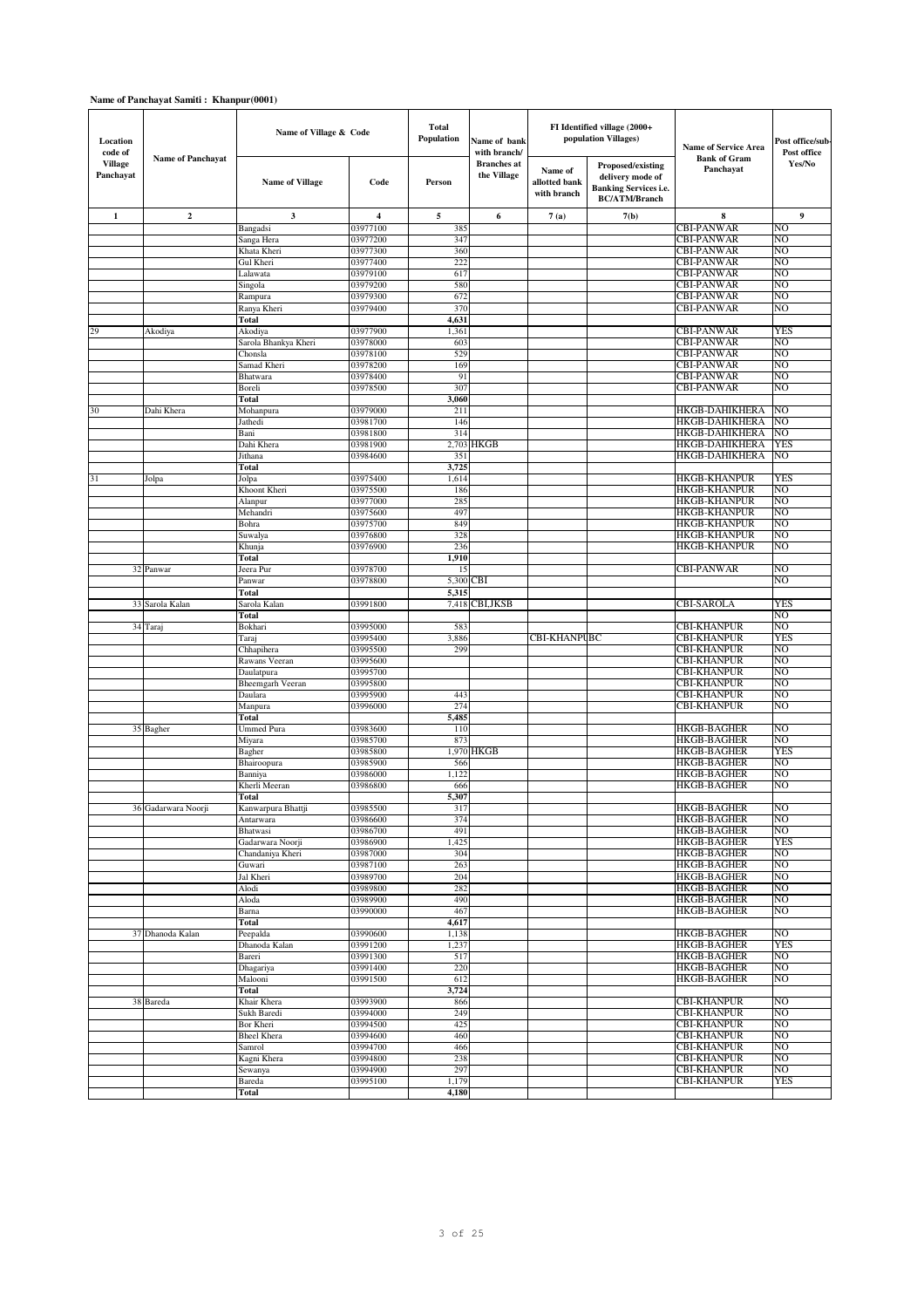## **Name of Panchayat Samiti : Khanpur(0001)**

| Location<br>code of         |                          | Name of Village & Code          |                      | Total<br>Population | Name of bank<br>with branch/      |                                         | FI Identified village (2000+<br>population Villages)                                          | <b>Name of Service Area</b>                | Post office/sub-<br>Post office |
|-----------------------------|--------------------------|---------------------------------|----------------------|---------------------|-----------------------------------|-----------------------------------------|-----------------------------------------------------------------------------------------------|--------------------------------------------|---------------------------------|
| <b>Village</b><br>Panchayat | <b>Name of Panchayat</b> | <b>Name of Village</b>          | Code                 | Person              | <b>Branches</b> at<br>the Village | Name of<br>allotted bank<br>with branch | Proposed/existing<br>delivery mode of<br><b>Banking Services i.e.</b><br><b>BC/ATM/Branch</b> | <b>Bank of Gram</b><br>Panchayat           | Yes/No                          |
| $\mathbf{1}$                | $\overline{2}$           | 3                               | $\overline{4}$       | 5                   | 6                                 | 7(a)                                    | 7(b)                                                                                          | 8                                          | 9                               |
|                             |                          | Bangadsi                        | 03977100             | 385                 |                                   |                                         |                                                                                               | <b>CBI-PANWAR</b>                          | NO                              |
|                             |                          | Sanga Hera                      | 03977200             | 347                 |                                   |                                         |                                                                                               | <b>CBI-PANWAR</b>                          | NO                              |
|                             |                          | Khata Kheri<br>Gul Kheri        | 03977300<br>03977400 | 360<br>222          |                                   |                                         |                                                                                               | <b>CBI-PANWAR</b><br><b>CBI-PANWAR</b>     | N <sub>O</sub><br>NO            |
|                             |                          | Lalawata                        | 03979100             | 617                 |                                   |                                         |                                                                                               | <b>CBI-PANWAR</b>                          | NO                              |
|                             |                          | Singola                         | 03979200             | 580                 |                                   |                                         |                                                                                               | <b>CBI-PANWAR</b>                          | NO                              |
|                             |                          | Rampura                         | 03979300             | 672                 |                                   |                                         |                                                                                               | <b>CBI-PANWAR</b>                          | NO                              |
|                             |                          | Ranya Kheri                     | 03979400             | 370                 |                                   |                                         |                                                                                               | <b>CBI-PANWAR</b>                          | NO                              |
|                             |                          | Total                           |                      | 4,631               |                                   |                                         |                                                                                               |                                            |                                 |
| 29                          | Akodiya                  | Akodiya                         | 03977900             | 1,361               |                                   |                                         |                                                                                               | <b>CBI-PANWAR</b>                          | <b>YES</b>                      |
|                             |                          | Sarola Bhankya Kheri<br>Chonsla | 03978000<br>03978100 | 603<br>529          |                                   |                                         |                                                                                               | <b>CBI-PANWAR</b><br><b>CBI-PANWAR</b>     | NO<br>N <sub>O</sub>            |
|                             |                          | Samad Kheri                     | 03978200             | 169                 |                                   |                                         |                                                                                               | <b>CBI-PANWAR</b>                          | NO                              |
|                             |                          | Bhatwara                        | 03978400             | 91                  |                                   |                                         |                                                                                               | <b>CBI-PANWAR</b>                          | NO                              |
|                             |                          | Boreli                          | 03978500             | 307                 |                                   |                                         |                                                                                               | <b>CBI-PANWAR</b>                          | NO                              |
|                             |                          | Total                           |                      | 3,060               |                                   |                                         |                                                                                               |                                            |                                 |
| 30                          | Dahi Khera               | Mohanpura                       | 03979000             | 211                 |                                   |                                         |                                                                                               | <b>HKGB-DAHIKHERA</b>                      | NO                              |
|                             |                          | Jathedi                         | 03981700<br>03981800 | 146<br>314          |                                   |                                         |                                                                                               | <b>HKGB-DAHIKHERA</b><br>HKGB-DAHIKHERA    | N <sub>O</sub><br>NO            |
|                             |                          | Bani<br>Dahi Khera              | 03981900             | 2,703               | HKGB                              |                                         |                                                                                               | HKGB-DAHIKHERA                             | <b>YES</b>                      |
|                             |                          | Jithana                         | 03984600             | 35                  |                                   |                                         |                                                                                               | <b>HKGB-DAHIKHERA</b>                      | NO                              |
|                             |                          | Total                           |                      | 3,725               |                                   |                                         |                                                                                               |                                            |                                 |
| 31                          | Jolpa                    | Jolpa                           | 03975400             | 1,614               |                                   |                                         |                                                                                               | <b>HKGB-KHANPUR</b>                        | YES                             |
|                             |                          | Khoont Kheri                    | 03975500             | 186                 |                                   |                                         |                                                                                               | <b>HKGB-KHANPUR</b>                        | NO                              |
|                             |                          | Alanpur                         | 03977000             | 285<br>497          |                                   |                                         |                                                                                               | <b>HKGB-KHANPUR</b>                        | NO<br>NO                        |
|                             |                          | Mehandri<br>Bohra               | 03975600<br>03975700 | 849                 |                                   |                                         |                                                                                               | <b>HKGB-KHANPUR</b><br><b>HKGB-KHANPUR</b> | NO                              |
|                             |                          | Suwalya                         | 03976800             | 328                 |                                   |                                         |                                                                                               | <b>HKGB-KHANPUR</b>                        | NO                              |
|                             |                          | Khunja                          | 03976900             | 236                 |                                   |                                         |                                                                                               | <b>HKGB-KHANPUR</b>                        | NO                              |
|                             |                          | Total                           |                      | 1,910               |                                   |                                         |                                                                                               |                                            |                                 |
|                             | 32 Panwar                | Jeera Pur                       | 03978700             | 15                  |                                   |                                         |                                                                                               | <b>CBI-PANWAR</b>                          | NO                              |
|                             |                          | Panwar                          | 03978800             | 5,300               | CBI                               |                                         |                                                                                               |                                            | NO                              |
|                             | 33 Sarola Kalan          | Total<br>Sarola Kalan           | 03991800             | 5,315<br>7,418      | <b>CBI,JKSB</b>                   |                                         |                                                                                               | CBI-SAROLA                                 | YES                             |
|                             |                          | Total                           |                      |                     |                                   |                                         |                                                                                               |                                            | NO                              |
|                             | 34 Taraj                 | Bokhari                         | 03995000             | 583                 |                                   |                                         |                                                                                               | CBI-KHANPUR                                | NO                              |
|                             |                          | Taraj                           | 03995400             | 3,886               |                                   | CBI-KHANPUBC                            |                                                                                               | <b>CBI-KHANPUR</b>                         | <b>YES</b>                      |
|                             |                          | Chhapihera                      | 03995500             | 299                 |                                   |                                         |                                                                                               | <b>CBI-KHANPUR</b>                         | NO                              |
|                             |                          | Rawans Veeran                   | 03995600             |                     |                                   |                                         |                                                                                               | <b>CBI-KHANPUR</b>                         | NO                              |
|                             |                          | Daulatpura<br>Bheemgarh Veeran  | 03995700<br>03995800 |                     |                                   |                                         |                                                                                               | <b>CBI-KHANPUR</b><br><b>CBI-KHANPUR</b>   | NO<br>NΟ                        |
|                             |                          | Daulara                         | 03995900             | 443                 |                                   |                                         |                                                                                               | <b>CBI-KHANPUR</b>                         | NO                              |
|                             |                          | Manpura                         | 03996000             | 274                 |                                   |                                         |                                                                                               | <b>CBI-KHANPUR</b>                         | NO                              |
|                             |                          | Total                           |                      | 5,485               |                                   |                                         |                                                                                               |                                            |                                 |
|                             | 35 Bagher                | <b>Ummed Pura</b>               | 03983600             | 110                 |                                   |                                         |                                                                                               | <b>HKGB-BAGHER</b>                         | N <sub>O</sub>                  |
|                             |                          | Miyara                          | 03985700             | 873                 |                                   |                                         |                                                                                               | <b>HKGB-BAGHER</b>                         | NO                              |
|                             |                          | Bagher<br>Bhairoopura           | 03985800<br>03985900 | 1,970<br>566        | HKGB                              |                                         |                                                                                               | <b>HKGB-BAGHER</b><br><b>HKGB-BAGHER</b>   | YES<br>NO                       |
|                             |                          | Banniya                         | 03986000             | 1,122               |                                   |                                         |                                                                                               | <b>HKGB-BAGHER</b>                         | NO                              |
|                             |                          | Kherli Meeran                   | 03986800             | 666                 |                                   |                                         |                                                                                               | <b>HKGB-BAGHER</b>                         | NO                              |
|                             |                          | Total                           |                      | 5,307               |                                   |                                         |                                                                                               |                                            |                                 |
|                             | 36 Gadarwara Noorji      | Kanwarpura Bhattji              | 03985500             | 317                 |                                   |                                         |                                                                                               | HKGB-BAGHER                                | NO                              |
|                             |                          | Antarwara<br>Bhatwasi           | 03986600<br>03986700 | 374<br>491          |                                   |                                         |                                                                                               | <b>HKGB-BAGHER</b><br><b>HKGB-BAGHER</b>   | NO<br>NO                        |
|                             |                          | Gadarwara Noorji                | 03986900             | 1,425               |                                   |                                         |                                                                                               | <b>HKGB-BAGHER</b>                         | YES                             |
|                             |                          | Chandaniya Kheri                | 03987000             | 304                 |                                   |                                         |                                                                                               | <b>HKGB-BAGHER</b>                         | NO                              |
|                             |                          | Guwari                          | 03987100             | 263                 |                                   |                                         |                                                                                               | <b>HKGB-BAGHER</b>                         | NO                              |
|                             |                          | Jal Kheri                       | 03989700             | 204                 |                                   |                                         |                                                                                               | <b>HKGB-BAGHER</b>                         | NO                              |
|                             |                          | Alodi                           | 03989800             | 282                 |                                   |                                         |                                                                                               | <b>HKGB-BAGHER</b>                         | NO                              |
|                             |                          | Aloda<br>Barna                  | 03989900<br>03990000 | 490<br>467          |                                   |                                         |                                                                                               | <b>HKGB-BAGHER</b><br><b>HKGB-BAGHER</b>   | NO<br>NO                        |
|                             |                          | Total                           |                      | 4,617               |                                   |                                         |                                                                                               |                                            |                                 |
|                             | 37 Dhanoda Kalan         | Peepalda                        | 03990600             | 1,138               |                                   |                                         |                                                                                               | <b>HKGB-BAGHER</b>                         | NO                              |
|                             |                          | Dhanoda Kalan                   | 03991200             | 1,237               |                                   |                                         |                                                                                               | <b>HKGB-BAGHER</b>                         | YES                             |
|                             |                          | Bareri                          | 03991300             | 517                 |                                   |                                         |                                                                                               | <b>HKGB-BAGHER</b>                         | NO.                             |
|                             |                          | Dhagariya                       | 03991400             | 220                 |                                   |                                         |                                                                                               | <b>HKGB-BAGHER</b>                         | NO                              |
|                             |                          | Malooni<br>Total                | 03991500             | 612<br>3,724        |                                   |                                         |                                                                                               | <b>HKGB-BAGHER</b>                         | NO                              |
|                             | 38 Bareda                | Khair Khera                     | 03993900             | 866                 |                                   |                                         |                                                                                               | <b>CBI-KHANPUR</b>                         | NO                              |
|                             |                          | Sukh Baredi                     | 03994000             | 249                 |                                   |                                         |                                                                                               | <b>CBI-KHANPUR</b>                         | NO                              |
|                             |                          | Bor Kheri                       | 03994500             | 425                 |                                   |                                         |                                                                                               | <b>CBI-KHANPUR</b>                         | NO                              |
|                             |                          | <b>Bheel Khera</b>              | 03994600             | 460                 |                                   |                                         |                                                                                               | <b>CBI-KHANPUR</b>                         | NO                              |
|                             |                          | Samrol                          | 03994700             | 466                 |                                   |                                         |                                                                                               | <b>CBI-KHANPUR</b>                         | NO                              |
|                             |                          | Kagni Khera<br>Sewanya          | 03994800<br>03994900 | 238<br>297          |                                   |                                         |                                                                                               | <b>CBI-KHANPUR</b><br><b>CBI-KHANPUR</b>   | NO<br>NO                        |
|                             |                          | Bareda                          | 03995100             | 1,179               |                                   |                                         |                                                                                               | <b>CBI-KHANPUR</b>                         | YES                             |
|                             |                          | Total                           |                      | 4,180               |                                   |                                         |                                                                                               |                                            |                                 |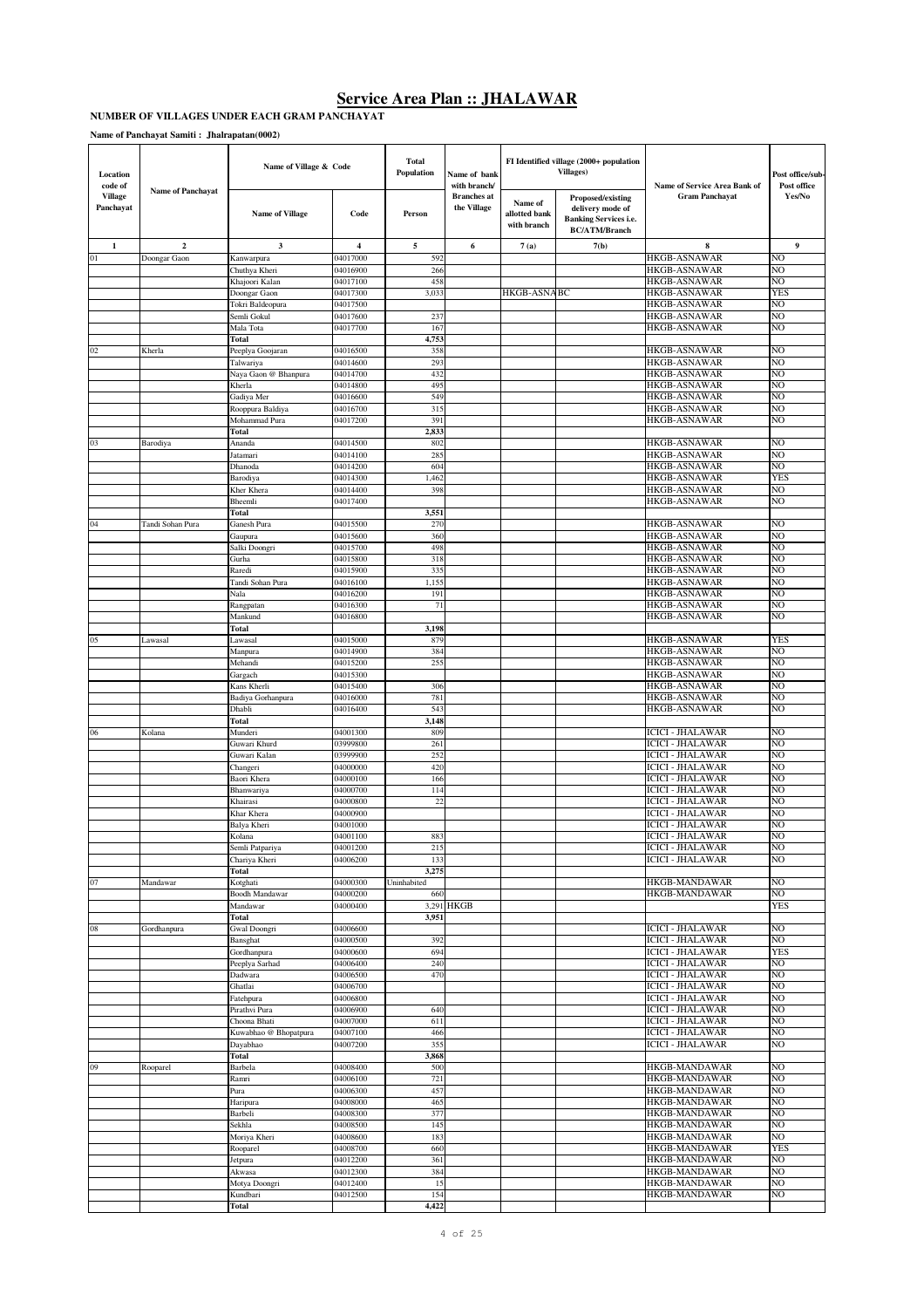#### **NUMBER OF VILLAGES UNDER EACH GRAM PANCHAYAT**

| Location<br>code of<br><b>Village</b> | <b>Name of Panchayat</b> | Name of Village & Code            |                      | Total<br>Population | Name of bank<br>with branch/<br><b>Branches</b> at |                                         | FI Identified village (2000+ population<br><b>Villages)</b><br>Proposed/existing | Name of Service Area Bank of<br><b>Gram Panchayat</b> | Post office/sub-<br>Post office<br>Yes/No |
|---------------------------------------|--------------------------|-----------------------------------|----------------------|---------------------|----------------------------------------------------|-----------------------------------------|----------------------------------------------------------------------------------|-------------------------------------------------------|-------------------------------------------|
| Panchayat                             |                          | <b>Name of Village</b>            | Code                 | Person              | the Village                                        | Name of<br>allotted bank<br>with branch | delivery mode of<br><b>Banking Services i.e.</b><br><b>BC/ATM/Branch</b>         |                                                       |                                           |
| $\mathbf{1}$                          | $\overline{2}$           | 3                                 | 4                    | 5                   | 6                                                  | 7(a)                                    | 7(b)                                                                             | 8                                                     | 9                                         |
| 01                                    | Doongar Gaon             | Kanwarpura                        | 04017000             | 592                 |                                                    |                                         |                                                                                  | HKGB-ASNAWAR                                          | NO                                        |
|                                       |                          | Chuthya Kheri<br>Khajoori Kalan   | 04016900<br>04017100 | 266<br>458          |                                                    |                                         |                                                                                  | HKGB-ASNAWAR<br>HKGB-ASNAWAR                          | NO<br>NO                                  |
|                                       |                          | Doongar Gaon                      | 04017300             | 3,033               |                                                    | HKGB-ASNABC                             |                                                                                  | HKGB-ASNAWAR                                          | <b>YES</b>                                |
|                                       |                          | Tokri Baldeopura                  | 04017500             |                     |                                                    |                                         |                                                                                  | HKGB-ASNAWAR                                          | NO                                        |
|                                       |                          | Semli Gokul                       | 04017600             | 237                 |                                                    |                                         |                                                                                  | <b>HKGB-ASNAWAR</b>                                   | NO                                        |
|                                       |                          | Mala Tota                         | 04017700             | 167                 |                                                    |                                         |                                                                                  | HKGB-ASNAWAR                                          | NO                                        |
| 02                                    | Kherla                   | Total<br>Peeplya Goojaran         | 04016500             | 4,753<br>358        |                                                    |                                         |                                                                                  | <b>HKGB-ASNAWAR</b>                                   | NO                                        |
|                                       |                          | Talwariya                         | 04014600             | 293                 |                                                    |                                         |                                                                                  | <b>HKGB-ASNAWAR</b>                                   | NO                                        |
|                                       |                          | Naya Gaon @ Bhanpura              | 04014700             | 432                 |                                                    |                                         |                                                                                  | HKGB-ASNAWAR                                          | NO                                        |
|                                       |                          | Kherla                            | 04014800             | 495                 |                                                    |                                         |                                                                                  | HKGB-ASNAWAR                                          | NO                                        |
|                                       |                          | Gadiya Mer                        | 04016600             | 549                 |                                                    |                                         |                                                                                  | HKGB-ASNAWAR                                          | NO                                        |
|                                       |                          | Rooppura Baldiya<br>Mohammad Pura | 04016700<br>04017200 | 315<br>391          |                                                    |                                         |                                                                                  | <b>HKGB-ASNAWAR</b><br>HKGB-ASNAWAR                   | NO<br>NO                                  |
|                                       |                          | Total                             |                      | 2,833               |                                                    |                                         |                                                                                  |                                                       |                                           |
| 03                                    | Barodiya                 | Ananda                            | 04014500             | 802                 |                                                    |                                         |                                                                                  | <b>HKGB-ASNAWAR</b>                                   | NO                                        |
|                                       |                          | Jatamari                          | 04014100             | 28:                 |                                                    |                                         |                                                                                  | HKGB-ASNAWAR                                          | NO                                        |
|                                       |                          | Dhanoda                           | 04014200             | 60 <sub>4</sub>     |                                                    |                                         |                                                                                  | HKGB-ASNAWAR                                          | NO                                        |
|                                       |                          | Barodiya                          | 04014300<br>04014400 | 1,462<br>398        |                                                    |                                         |                                                                                  | HKGB-ASNAWAR<br>HKGB-ASNAWAR                          | YES<br>NO                                 |
|                                       |                          | Kher Khera<br>Bheemli             | 04017400             |                     |                                                    |                                         |                                                                                  | HKGB-ASNAWAR                                          | NO                                        |
|                                       |                          | Total                             |                      | 3,551               |                                                    |                                         |                                                                                  |                                                       |                                           |
| 04                                    | Tandi Sohan Pura         | Ganesh Pura                       | 04015500             | 270                 |                                                    |                                         |                                                                                  | <b>HKGB-ASNAWAR</b>                                   | NO                                        |
|                                       |                          | Gaupura                           | 04015600             | 360                 |                                                    |                                         |                                                                                  | HKGB-ASNAWAR                                          | NO                                        |
|                                       |                          | Salki Doongri                     | 04015700             | 498<br>318          |                                                    |                                         |                                                                                  | HKGB-ASNAWAR<br>HKGB-ASNAWAR                          | NO<br>NO                                  |
|                                       |                          | Gurha<br>Raredi                   | 04015800<br>04015900 | 335                 |                                                    |                                         |                                                                                  | HKGB-ASNAWAR                                          | NO                                        |
|                                       |                          | Tandi Sohan Pura                  | 04016100             | 1,15:               |                                                    |                                         |                                                                                  | HKGB-ASNAWAR                                          | NO                                        |
|                                       |                          | Nala                              | 04016200             | 191                 |                                                    |                                         |                                                                                  | HKGB-ASNAWAR                                          | NO                                        |
|                                       |                          | Rangpatan                         | 04016300             | 71                  |                                                    |                                         |                                                                                  | HKGB-ASNAWAR                                          | NO                                        |
|                                       |                          | Mankund                           | 04016800             |                     |                                                    |                                         |                                                                                  | HKGB-ASNAWAR                                          | NO                                        |
| 05                                    | Lawasal                  | Total<br>Lawasal                  | 04015000             | 3,198<br>879        |                                                    |                                         |                                                                                  | <b>HKGB-ASNAWAR</b>                                   | YES                                       |
|                                       |                          | Manpura                           | 04014900             | 384                 |                                                    |                                         |                                                                                  | <b>HKGB-ASNAWAR</b>                                   | NO                                        |
|                                       |                          | Mehandi                           | 04015200             | 255                 |                                                    |                                         |                                                                                  | <b>HKGB-ASNAWAR</b>                                   | NO                                        |
|                                       |                          | Gargach                           | 04015300             |                     |                                                    |                                         |                                                                                  | <b>HKGB-ASNAWAR</b>                                   | NO                                        |
|                                       |                          | Kans Kherli                       | 04015400             | 306                 |                                                    |                                         |                                                                                  | HKGB-ASNAWAR                                          | NO                                        |
|                                       |                          | Badiya Gorhanpura<br>Dhabli       | 04016000<br>04016400 | 781<br>543          |                                                    |                                         |                                                                                  | HKGB-ASNAWAR<br>HKGB-ASNAWAR                          | NO<br>NO                                  |
|                                       |                          | Total                             |                      | 3,148               |                                                    |                                         |                                                                                  |                                                       |                                           |
| 06                                    | Kolana                   | Munderi                           | 04001300             | 809                 |                                                    |                                         |                                                                                  | ICICI - JHALAWAR                                      | NO                                        |
|                                       |                          | Guwari Khurd                      | 03999800             | 261                 |                                                    |                                         |                                                                                  | ICICI - JHALAWAR                                      | NO                                        |
|                                       |                          | Guwari Kalan                      | 03999900             | 252                 |                                                    |                                         |                                                                                  | ICICI - JHALAWAR                                      | NO                                        |
|                                       |                          | Changeri                          | 04000000<br>04000100 | 420<br>166          |                                                    |                                         |                                                                                  | ICICI - JHALAWAR<br>ICICI - JHALAWAR                  | NO<br>NO                                  |
|                                       |                          | Baori Khera<br>Bhanwariya         | 04000700             | 114                 |                                                    |                                         |                                                                                  | ICICI - JHALAWAR                                      | NO                                        |
|                                       |                          | Khairasi                          | 04000800             | 22                  |                                                    |                                         |                                                                                  | ICICI - JHALAWAR                                      | NO                                        |
|                                       |                          | Khar Khera                        | 04000900             |                     |                                                    |                                         |                                                                                  | ICICI - JHALAWAR                                      | NO                                        |
|                                       |                          | Balya Kheri                       | 04001000             |                     |                                                    |                                         |                                                                                  | ICICI - JHALAWAR                                      | NO                                        |
|                                       |                          | Kolana                            | 04001100             | 883                 |                                                    |                                         |                                                                                  | ICICI - JHALAWAR                                      | NO                                        |
|                                       |                          | Semli Patpariya<br>Chariya Kheri  | 04001200<br>04006200 | 215<br>133          |                                                    |                                         |                                                                                  | <b>ICICI - JHALAWAR</b><br>ICICI - JHALAWAR           | NO<br>NO                                  |
|                                       |                          | Total                             |                      | 3,275               |                                                    |                                         |                                                                                  |                                                       |                                           |
| 07                                    | Mandawar                 | Kotghati                          | 04000300             | Uninhabited         |                                                    |                                         |                                                                                  | <b>HKGB-MANDAWAR</b>                                  | NO                                        |
|                                       |                          | <b>Boodh Mandawar</b>             | 04000200             | 660                 |                                                    |                                         |                                                                                  | HKGB-MANDAWAR                                         | NO                                        |
|                                       |                          | Mandawar                          | 04000400             | 3,951               | 3,291 HKGB                                         |                                         |                                                                                  |                                                       | <b>YES</b>                                |
| $08\,$                                | Gordhanpura              | Total<br>Gwal Doongri             | 04006600             |                     |                                                    |                                         |                                                                                  | <b>ICICI - JHALAWAR</b>                               | NO                                        |
|                                       |                          | Bansghat                          | 04000500             | 392                 |                                                    |                                         |                                                                                  | <b>ICICI - JHALAWAR</b>                               | NO                                        |
|                                       |                          | Gordhanpura                       | 04000600             | 694                 |                                                    |                                         |                                                                                  | <b>ICICI - JHALAWAR</b>                               | <b>YES</b>                                |
|                                       |                          | Peeplya Sarhad                    | 04006400             | 240                 |                                                    |                                         |                                                                                  | <b>ICICI - JHALAWAR</b>                               | N <sub>O</sub>                            |
|                                       |                          | Dadwara                           | 04006500             | 470                 |                                                    |                                         |                                                                                  | <b>ICICI - JHALAWAR</b>                               | NO                                        |
|                                       |                          | Ghatlai<br>Fatehpura              | 04006700<br>04006800 |                     |                                                    |                                         |                                                                                  | <b>ICICI - JHALAWAR</b><br><b>ICICI - JHALAWAR</b>    | NO<br>NO                                  |
|                                       |                          | Pirathvi Pura                     | 04006900             | 640                 |                                                    |                                         |                                                                                  | <b>ICICI - JHALAWAR</b>                               | NO                                        |
|                                       |                          | Choona Bhati                      | 04007000             | 611                 |                                                    |                                         |                                                                                  | <b>ICICI - JHALAWAR</b>                               | NO                                        |
|                                       |                          | Kuwabhao @ Bhopatpura             | 04007100             | 466                 |                                                    |                                         |                                                                                  | <b>ICICI - JHALAWAR</b>                               | NO                                        |
|                                       |                          | Dayabhao                          | 04007200             | 355                 |                                                    |                                         |                                                                                  | <b>ICICI - JHALAWAR</b>                               | NO                                        |
| 09                                    | Rooparel                 | Total<br>Barbela                  | 04008400             | 3,868<br>500        |                                                    |                                         |                                                                                  | HKGB-MANDAWAR                                         | NO                                        |
|                                       |                          | Ramri                             | 04006100             | 721                 |                                                    |                                         |                                                                                  | HKGB-MANDAWAR                                         | NO                                        |
|                                       |                          | Pura                              | 04006300             | 457                 |                                                    |                                         |                                                                                  | HKGB-MANDAWAR                                         | NO                                        |
|                                       |                          | Haripura                          | 04008000             | 465                 |                                                    |                                         |                                                                                  | HKGB-MANDAWAR                                         | NO                                        |
|                                       |                          | Barbeli                           | 04008300             | 377                 |                                                    |                                         |                                                                                  | HKGB-MANDAWAR                                         | NO                                        |
|                                       |                          | Sekhla                            | 04008500             | 145                 |                                                    |                                         |                                                                                  | HKGB-MANDAWAR                                         | NO<br>NO                                  |
|                                       |                          | Moriya Kheri<br>Rooparel          | 04008600<br>04008700 | 183<br>660          |                                                    |                                         |                                                                                  | HKGB-MANDAWAR<br>HKGB-MANDAWAR                        | <b>YES</b>                                |
|                                       |                          | Jetpura                           | 04012200             | 361                 |                                                    |                                         |                                                                                  | HKGB-MANDAWAR                                         | NO                                        |
|                                       |                          | Akwasa                            | 04012300             | 384                 |                                                    |                                         |                                                                                  | HKGB-MANDAWAR                                         | NO                                        |
|                                       |                          | Motya Doongri                     | 04012400             | 15                  |                                                    |                                         |                                                                                  | HKGB-MANDAWAR                                         | NO                                        |
|                                       |                          | Kundbari                          | 04012500             | 154                 |                                                    |                                         |                                                                                  | HKGB-MANDAWAR                                         | NO                                        |
|                                       |                          | Total                             |                      | 4,422               |                                                    |                                         |                                                                                  |                                                       |                                           |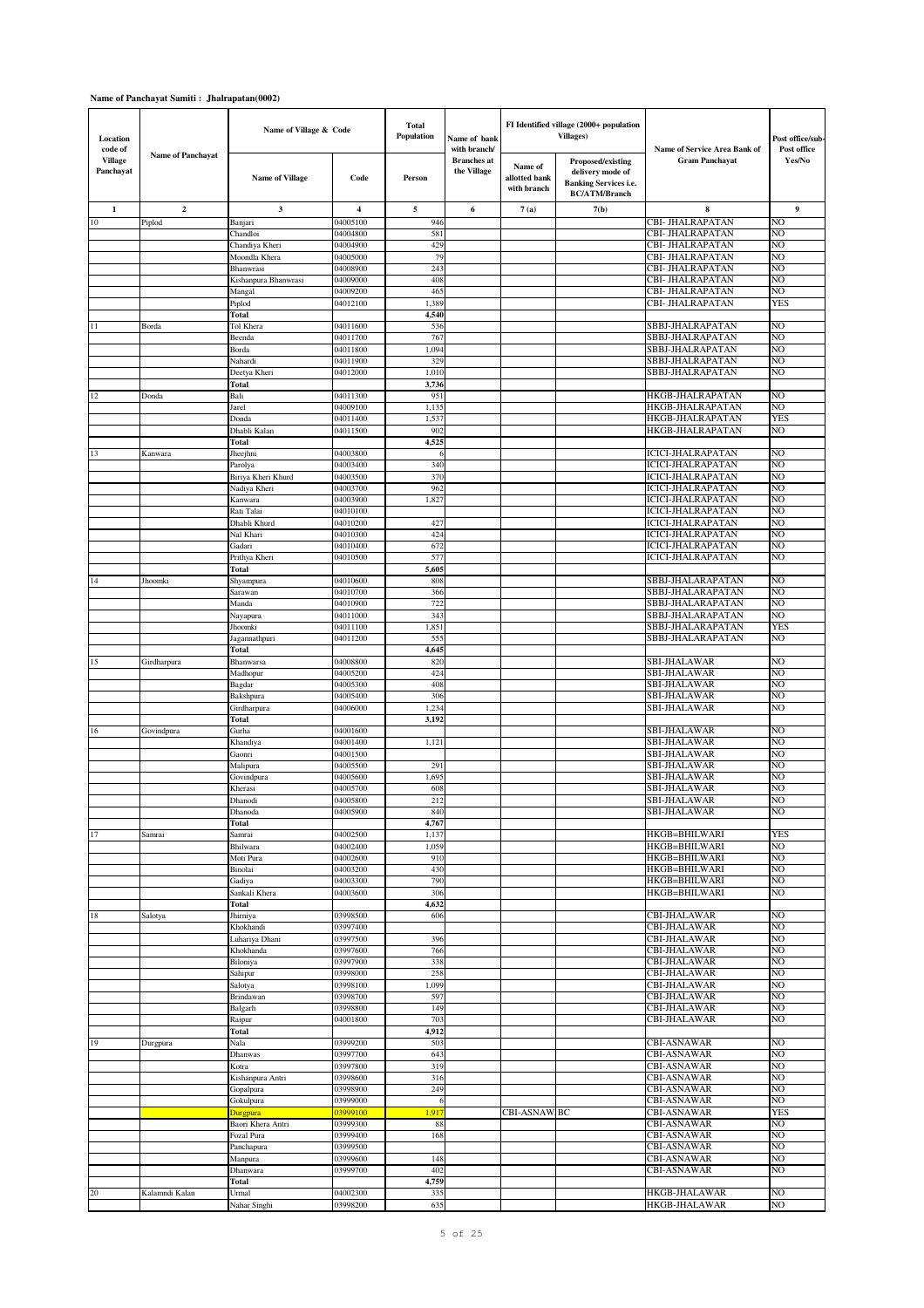| Location                               |                          | Name of Village & Code          |                         | <b>Total</b><br>Population | Name of bank                                      |                                         | FI Identified village (2000+ population<br><b>Villages</b> )                           |                                                       | Post office/sub-      |
|----------------------------------------|--------------------------|---------------------------------|-------------------------|----------------------------|---------------------------------------------------|-----------------------------------------|----------------------------------------------------------------------------------------|-------------------------------------------------------|-----------------------|
| code of<br><b>Village</b><br>Panchayat | <b>Name of Panchayat</b> | <b>Name of Village</b>          | Code                    | Person                     | with branch/<br><b>Branches</b> at<br>the Village | Name of<br>allotted bank<br>with branch | Proposed/existing<br>delivery mode of<br>Banking Services i.e.<br><b>BC/ATM/Branch</b> | Name of Service Area Bank of<br><b>Gram Panchayat</b> | Post office<br>Yes/No |
| 1                                      | $\mathbf{2}$             | 3                               | $\overline{\mathbf{4}}$ | 5                          | 6                                                 | 7(a)                                    | 7(b)                                                                                   | 8                                                     | 9                     |
| $10\,$                                 | Piplod                   | Banjari                         | 04005100                | 946                        |                                                   |                                         |                                                                                        | CBI- JHALRAPATAN                                      | NO                    |
|                                        |                          | Chandloi                        | 04004800                | 581                        |                                                   |                                         |                                                                                        | CBI- JHALRAPATAN                                      | NO                    |
|                                        |                          | Chandiya Kheri                  | 04004900                | 429                        |                                                   |                                         |                                                                                        | CBI- JHALRAPATAN                                      | NO                    |
|                                        |                          | Moondla Khera                   | 04005000                | 79                         |                                                   |                                         |                                                                                        | CBI- JHALRAPATAN                                      | NO                    |
|                                        |                          | Bhanwrasi                       | 04008900                | 243                        |                                                   |                                         |                                                                                        | <b>CBI- JHALRAPATAN</b>                               | NO                    |
|                                        |                          | Kishanpura Bhanwrasi            | 04009000                | 408                        |                                                   |                                         |                                                                                        | CBI- JHALRAPATAN                                      | NO                    |
|                                        |                          | Mangal                          | 04009200                | 465                        |                                                   |                                         |                                                                                        | CBI- JHALRAPATAN                                      | NO                    |
|                                        |                          | Piplod                          | 04012100                | 1,389                      |                                                   |                                         |                                                                                        | CBI- JHALRAPATAN                                      | <b>YES</b>            |
|                                        |                          | <b>Total</b>                    |                         | 4,540                      |                                                   |                                         |                                                                                        |                                                       |                       |
| 11                                     | Borda                    | Tol Khera                       | 04011600                | 536<br>767                 |                                                   |                                         |                                                                                        | SBBJ-JHALRAPATAN<br>SBBJ-JHALRAPATAN                  | NO<br>NO              |
|                                        |                          | Beenda<br>Borda                 | 04011700<br>04011800    | 1,094                      |                                                   |                                         |                                                                                        | SBBJ-JHALRAPATAN                                      | NO                    |
|                                        |                          | Nahardi                         | 04011900                | 329                        |                                                   |                                         |                                                                                        | SBBJ-JHALRAPATAN                                      | NO                    |
|                                        |                          | Deetya Kheri                    | 04012000                | 1,010                      |                                                   |                                         |                                                                                        | SBBJ-JHALRAPATAN                                      | NO                    |
|                                        |                          | Total                           |                         | 3,736                      |                                                   |                                         |                                                                                        |                                                       |                       |
| 12                                     | Donda                    | Bali                            | 04011300                | 951                        |                                                   |                                         |                                                                                        | HKGB-JHALRAPATAN                                      | NO                    |
|                                        |                          | Jarel                           | 04009100                | 1,135                      |                                                   |                                         |                                                                                        | HKGB-JHALRAPATAN                                      | NO                    |
|                                        |                          | Donda                           | 04011400                | 1,537                      |                                                   |                                         |                                                                                        | HKGB-JHALRAPATAN                                      | <b>YES</b>            |
|                                        |                          | Dhabli Kalan                    | 04011500                | 902                        |                                                   |                                         |                                                                                        | HKGB-JHALRAPATAN                                      | NO                    |
|                                        |                          | Total                           |                         | 4,525                      |                                                   |                                         |                                                                                        |                                                       |                       |
| 13                                     | Kanwara                  | Jheejhni                        | 04003800                | 6                          |                                                   |                                         |                                                                                        | <b>ICICI-JHALRAPATAN</b>                              | NO                    |
|                                        |                          | Parolya                         | 04003400                | 340                        |                                                   |                                         |                                                                                        | <b>ICICI-JHALRAPATAN</b>                              | NO                    |
|                                        |                          | Biriya Kheri Khurd              | 04003500                | 370                        |                                                   |                                         |                                                                                        | <b>ICICI-JHALRAPATAN</b>                              | NO                    |
|                                        |                          | Nadiya Kheri                    | 04003700                | 962                        |                                                   |                                         |                                                                                        | <b>ICICI-JHALRAPATAN</b>                              | NO                    |
|                                        |                          | Kanwara                         | 04003900                | 1,827                      |                                                   |                                         |                                                                                        | <b>ICICI-JHALRAPATAN</b>                              | NO                    |
|                                        |                          | Rati Talai                      | 04010100                |                            |                                                   |                                         |                                                                                        | <b>ICICI-JHALRAPATAN</b>                              | NO                    |
|                                        |                          | Dhabli Khurd                    | 04010200                | 427                        |                                                   |                                         |                                                                                        | <b>ICICI-JHALRAPATAN</b>                              | NO<br>NO              |
|                                        |                          | Nal Khari                       | 04010300<br>04010400    | 424                        |                                                   |                                         |                                                                                        | <b>ICICI-JHALRAPATAN</b><br><b>ICICI-JHALRAPATAN</b>  | NO                    |
|                                        |                          | Gadari<br>Prithya Kheri         | 04010500                | 672<br>577                 |                                                   |                                         |                                                                                        | <b>ICICI-JHALRAPATAN</b>                              | NO                    |
|                                        |                          | Total                           |                         | 5,605                      |                                                   |                                         |                                                                                        |                                                       |                       |
| 14                                     | Jhoomki                  | Shyampura                       | 04010600                | 808                        |                                                   |                                         |                                                                                        | SBBJ-JHALARAPATAN                                     | NO                    |
|                                        |                          | Sarawan                         | 04010700                | 366                        |                                                   |                                         |                                                                                        | SBBJ-JHALARAPATAN                                     | NO                    |
|                                        |                          | Manda                           | 04010900                | 722                        |                                                   |                                         |                                                                                        | SBBJ-JHALARAPATAN                                     | NO                    |
|                                        |                          | Nayapura                        | 04011000                | 343                        |                                                   |                                         |                                                                                        | SBBJ-JHALARAPATAN                                     | NO                    |
|                                        |                          | Jhoomki                         | 04011100                | 1,851                      |                                                   |                                         |                                                                                        | SBBJ-JHALARAPATAN                                     | <b>YES</b>            |
|                                        |                          | Jagannathpuri                   | 04011200                | 555                        |                                                   |                                         |                                                                                        | SBBJ-JHALARAPATAN                                     | NO                    |
|                                        |                          | Total                           |                         | 4,645                      |                                                   |                                         |                                                                                        |                                                       |                       |
| 15                                     | Girdharpura              | Bhanwarsa                       | 04008800                | 820                        |                                                   |                                         |                                                                                        | <b>SBI-JHALAWAR</b>                                   | NO                    |
|                                        |                          | Madhopur                        | 04005200                | 424                        |                                                   |                                         |                                                                                        | <b>SBI-JHALAWAR</b>                                   | NO                    |
|                                        |                          | Bagdar                          | 04005300                | 408                        |                                                   |                                         |                                                                                        | <b>SBI-JHALAWAR</b>                                   | NO                    |
|                                        |                          | Bakshpura                       | 04005400                | 306                        |                                                   |                                         |                                                                                        | <b>SBI-JHALAWAR</b>                                   | NO                    |
|                                        |                          | Girdharpura                     | 04006000                | 1,234                      |                                                   |                                         |                                                                                        | <b>SBI-JHALAWAR</b>                                   | NO                    |
|                                        |                          | Total                           |                         | 3,192                      |                                                   |                                         |                                                                                        |                                                       |                       |
| 16                                     | Govindpura               | Gurha                           | 04001600                |                            |                                                   |                                         |                                                                                        | <b>SBI-JHALAWAR</b><br><b>SBI-JHALAWAR</b>            | NO<br>NO              |
|                                        |                          | Khandiya<br>Gaonri              | 04001400<br>04001500    | 1,121                      |                                                   |                                         |                                                                                        | <b>SBI-JHALAWAR</b>                                   | NO                    |
|                                        |                          | Malipura                        | 04005500                | 291                        |                                                   |                                         |                                                                                        | <b>SBI-JHALAWAR</b>                                   | NO                    |
|                                        |                          | Govindpura                      | 04005600                | 1,695                      |                                                   |                                         |                                                                                        | <b>SBI-JHALAWAR</b>                                   | N <sub>O</sub>        |
|                                        |                          | Kherasi                         | 04005700                | 608                        |                                                   |                                         |                                                                                        | <b>SBI-JHALAWAR</b>                                   | NO                    |
|                                        |                          | Dhanodi                         | 04005800                | 212                        |                                                   |                                         |                                                                                        | <b>SBI-JHALAWAR</b>                                   | N <sub>O</sub>        |
|                                        |                          | Dhanoda                         | 04005900                | 840                        |                                                   |                                         |                                                                                        | SBI-JHALAWAR                                          | NO                    |
|                                        |                          | Total                           |                         | 4,767                      |                                                   |                                         |                                                                                        |                                                       |                       |
| 17                                     | Samrai                   | Samrai                          | 04002500                | 1,137                      |                                                   |                                         |                                                                                        | <b>HKGB=BHILWARI</b>                                  | <b>YES</b>            |
|                                        |                          | Bhilwara                        | 04002400                | 1,059                      |                                                   |                                         |                                                                                        | HKGB=BHILWARI                                         | NO                    |
|                                        |                          | Moti Pura                       | 04002600                | 910                        |                                                   |                                         |                                                                                        | <b>HKGB=BHILWARI</b>                                  | NO                    |
|                                        |                          | Binolai                         | 04003200                | 430                        |                                                   |                                         |                                                                                        | <b>HKGB=BHILWARI</b>                                  | NO                    |
|                                        |                          | Gadiya                          | 04003300                | 790                        |                                                   |                                         |                                                                                        | HKGB=BHILWARI                                         | NO                    |
|                                        |                          | Sankali Khera                   | 04003600                | 306                        |                                                   |                                         |                                                                                        | HKGB=BHILWARI                                         | NO                    |
|                                        |                          | Total                           |                         | 4,632                      |                                                   |                                         |                                                                                        |                                                       |                       |
| 18                                     | Salotya                  | Jhirniya<br>Khokhandi           | 03998500<br>03997400    | 606                        |                                                   |                                         |                                                                                        | <b>CBI-JHALAWAR</b><br><b>CBI-JHALAWAR</b>            | NO<br>N <sub>O</sub>  |
|                                        |                          | Luhariya Dhani                  | 03997500                | 396                        |                                                   |                                         |                                                                                        | <b>CBI-JHALAWAR</b>                                   | NO                    |
|                                        |                          | Khokhanda                       | 03997600                | 766                        |                                                   |                                         |                                                                                        | <b>CBI-JHALAWAR</b>                                   | NO                    |
|                                        |                          | Biloniya                        | 03997900                | 338                        |                                                   |                                         |                                                                                        | <b>CBI-JHALAWAR</b>                                   | NO                    |
|                                        |                          | Sahipur                         | 03998000                | 258                        |                                                   |                                         |                                                                                        | <b>CBI-JHALAWAR</b>                                   | NO                    |
|                                        |                          | Salotya                         | 03998100                | 1,099                      |                                                   |                                         |                                                                                        | <b>CBI-JHALAWAR</b>                                   | NO                    |
|                                        |                          | Brindawan                       | 03998700                | 597                        |                                                   |                                         |                                                                                        | <b>CBI-JHALAWAR</b>                                   | NO                    |
|                                        |                          | Balgarh                         | 03998800                | 149                        |                                                   |                                         |                                                                                        | <b>CBI-JHALAWAR</b>                                   | NO                    |
|                                        |                          | Raipur                          | 04001800                | 703                        |                                                   |                                         |                                                                                        | <b>CBI-JHALAWAR</b>                                   | N <sub>O</sub>        |
|                                        |                          | Total                           |                         | 4,912                      |                                                   |                                         |                                                                                        |                                                       |                       |
| 19                                     | Durgpura                 | Nala                            | 03999200                | 503                        |                                                   |                                         |                                                                                        | <b>CBI-ASNAWAR</b>                                    | N <sub>O</sub>        |
|                                        |                          | Dhanwas                         | 03997700                | 643                        |                                                   |                                         |                                                                                        | <b>CBI-ASNAWAR</b>                                    | N <sub>O</sub>        |
|                                        |                          | Kotra                           | 03997800                | 319                        |                                                   |                                         |                                                                                        | <b>CBI-ASNAWAR</b>                                    | N <sub>O</sub>        |
|                                        |                          | Kishanpura Antri                | 03998600                | 316                        |                                                   |                                         |                                                                                        | <b>CBI-ASNAWAR</b>                                    | N <sub>O</sub>        |
|                                        |                          | Gopalpura                       | 03998900                | 249                        |                                                   |                                         |                                                                                        | <b>CBI-ASNAWAR</b>                                    | NO                    |
|                                        |                          | Gokulpura                       | 03999000                | 6                          |                                                   | CBI-ASNAW.BC                            |                                                                                        | <b>CBI-ASNAWAR</b>                                    | NO<br><b>YES</b>      |
|                                        |                          | <b>Durgpura</b>                 | 03999100<br>03999300    | 1,917                      |                                                   |                                         |                                                                                        | <b>CBI-ASNAWAR</b><br><b>CBI-ASNAWAR</b>              | NO                    |
|                                        |                          | Baori Khera Antri<br>Fozal Pura | 03999400                | 88<br>168                  |                                                   |                                         |                                                                                        | <b>CBI-ASNAWAR</b>                                    | NO                    |
|                                        |                          | Panchapura                      | 03999500                |                            |                                                   |                                         |                                                                                        | <b>CBI-ASNAWAR</b>                                    | NO                    |
|                                        |                          | Manpura                         | 03999600                | 148                        |                                                   |                                         |                                                                                        | <b>CBI-ASNAWAR</b>                                    | NO                    |
|                                        |                          | Dhanwara                        | 03999700                | 402                        |                                                   |                                         |                                                                                        | <b>CBI-ASNAWAR</b>                                    | NO                    |
|                                        |                          | Total                           |                         | 4,759                      |                                                   |                                         |                                                                                        |                                                       |                       |
| 20                                     | Kalamndi Kalan           | Urmal                           | 04002300                | 335                        |                                                   |                                         |                                                                                        | HKGB-JHALAWAR                                         | NO                    |
|                                        |                          | Nahar Singhi                    | 03998200                | 635                        |                                                   |                                         |                                                                                        | <b>HKGB-JHALAWAR</b>                                  | NO                    |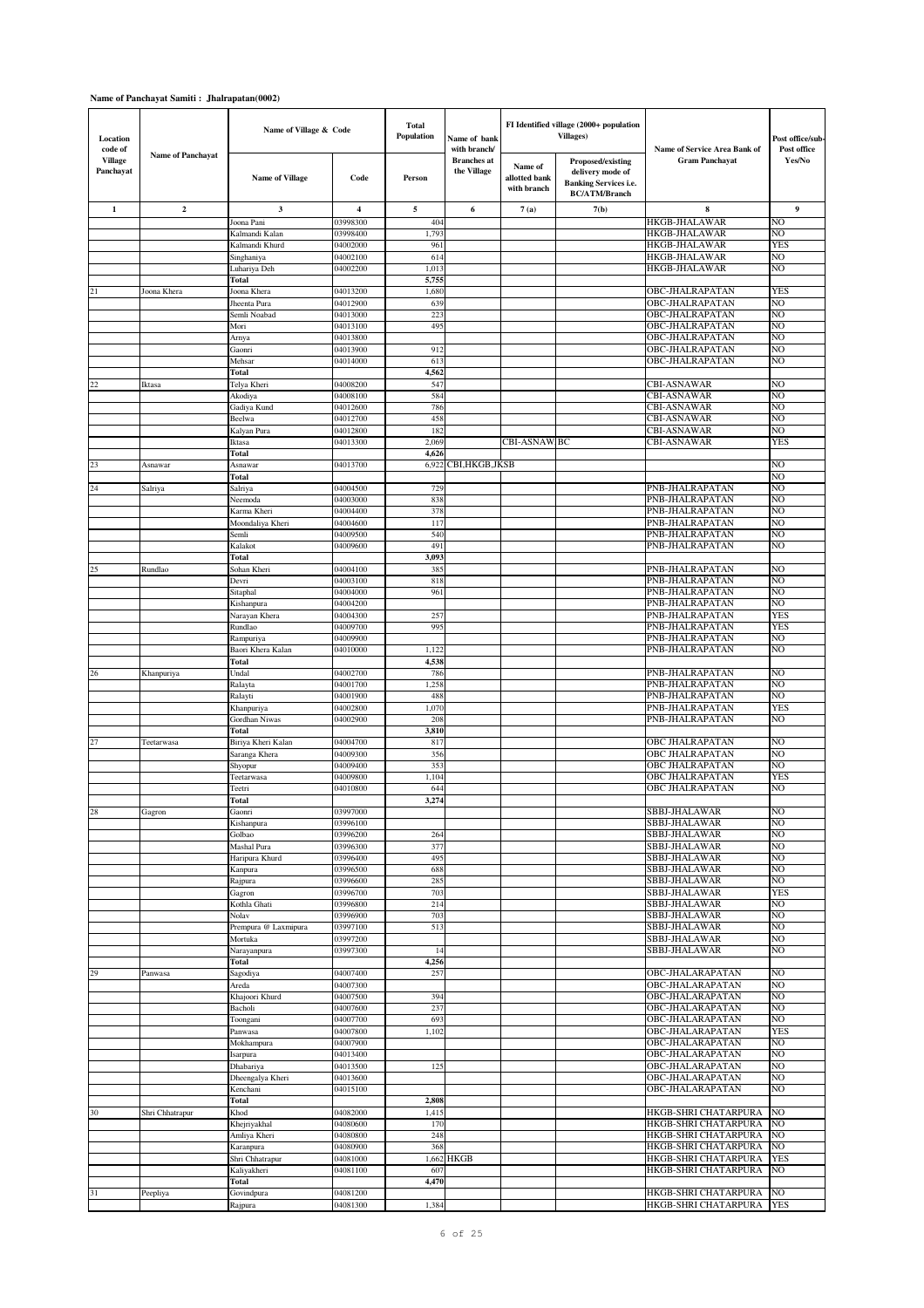| Location<br>code of         |                          | Name of Village & Code       |                         | <b>Total</b><br>Population | Name of bank<br>with branch/      |                                         | FI Identified village (2000+ population<br><b>Villages</b> )                           | Name of Service Area Bank of                 | Post office/sub-<br>Post office |
|-----------------------------|--------------------------|------------------------------|-------------------------|----------------------------|-----------------------------------|-----------------------------------------|----------------------------------------------------------------------------------------|----------------------------------------------|---------------------------------|
| <b>Village</b><br>Panchayat | <b>Name of Panchavat</b> | <b>Name of Village</b>       | Code                    | Person                     | <b>Branches</b> at<br>the Village | Name of<br>allotted bank<br>with branch | Proposed/existing<br>delivery mode of<br>Banking Services i.e.<br><b>BC/ATM/Branch</b> | <b>Gram Panchayat</b>                        | Yes/No                          |
| 1                           | $\mathbf 2$              | 3                            | $\overline{\mathbf{4}}$ | 5                          | 6                                 | 7(a)                                    | 7(b)                                                                                   | 8                                            | 9                               |
|                             |                          | Joona Pani                   | 03998300                | 404                        |                                   |                                         |                                                                                        | <b>HKGB-JHALAWAR</b>                         | NO                              |
|                             |                          | Kalmandi Kalan               | 03998400                | 1,793                      |                                   |                                         |                                                                                        | <b>HKGB-JHALAWAR</b>                         | NO                              |
|                             |                          | Kalmandi Khurd               | 04002000                | 961                        |                                   |                                         |                                                                                        | <b>HKGB-JHALAWAR</b>                         | YES                             |
|                             |                          | Singhaniya<br>Luhariya Deh   | 04002100<br>04002200    | 614<br>1,013               |                                   |                                         |                                                                                        | <b>HKGB-JHALAWAR</b><br><b>HKGB-JHALAWAR</b> | NO<br>NO                        |
|                             |                          | Total                        |                         | 5,755                      |                                   |                                         |                                                                                        |                                              |                                 |
| 21                          | Joona Khera              | Joona Khera                  | 04013200                | 1,680                      |                                   |                                         |                                                                                        | OBC-JHALRAPATAN                              | <b>YES</b>                      |
|                             |                          | Jheenta Pura                 | 04012900                | 639                        |                                   |                                         |                                                                                        | OBC-JHALRAPATAN                              | NO                              |
|                             |                          | Semli Noabad                 | 04013000                | 222                        |                                   |                                         |                                                                                        | OBC-JHALRAPATAN                              | NO                              |
|                             |                          | Mori                         | 04013100                | 495                        |                                   |                                         |                                                                                        | OBC-JHALRAPATAN                              | NO                              |
|                             |                          | Arnya                        | 04013800                |                            |                                   |                                         |                                                                                        | OBC-JHALRAPATAN                              | NO                              |
|                             |                          | Gaonri                       | 04013900                | 912                        |                                   |                                         |                                                                                        | OBC-JHALRAPATAN                              | NO                              |
|                             |                          | Mehsar<br>Total              | 04014000                | 613<br>4,562               |                                   |                                         |                                                                                        | OBC-JHALRAPATAN                              | NO                              |
| 22                          | Iktasa                   | Telya Kheri                  | 04008200                | 547                        |                                   |                                         |                                                                                        | <b>CBI-ASNAWAR</b>                           | N <sub>O</sub>                  |
|                             |                          | Akodiya                      | 04008100                | 584                        |                                   |                                         |                                                                                        | <b>CBI-ASNAWAR</b>                           | NO                              |
|                             |                          | Gadiya Kund                  | 04012600                | 786                        |                                   |                                         |                                                                                        | <b>CBI-ASNAWAR</b>                           | NO                              |
|                             |                          | Beelwa                       | 04012700                | 458                        |                                   |                                         |                                                                                        | <b>CBI-ASNAWAR</b>                           | NO                              |
|                             |                          | Kalyan Pura                  | 04012800                | 182                        |                                   |                                         |                                                                                        | <b>CBI-ASNAWAR</b>                           | N <sub>O</sub>                  |
|                             |                          | Iktasa                       | 04013300                | 2,069                      |                                   | CBI-ASNAW.BC                            |                                                                                        | <b>CBI-ASNAWAR</b>                           | <b>YES</b>                      |
|                             |                          | Total                        |                         | 4,626                      |                                   |                                         |                                                                                        |                                              |                                 |
| 23                          | Asnawar                  | Asnawar                      | 04013700                | 6,922                      | CBI,HKGB,JKSB                     |                                         |                                                                                        |                                              | NO<br>NO                        |
| 24                          | Salriya                  | Total<br>Salriya             | 04004500                | 729                        |                                   |                                         |                                                                                        | PNB-JHALRAPATAN                              | NO                              |
|                             |                          | Neemoda                      | 04003000                | 838                        |                                   |                                         |                                                                                        | PNB-JHALRAPATAN                              | NO                              |
|                             |                          | Karma Kheri                  | 04004400                | 378                        |                                   |                                         |                                                                                        | PNB-JHALRAPATAN                              | NO                              |
|                             |                          | Moondaliya Kheri             | 04004600                | 117                        |                                   |                                         |                                                                                        | PNB-JHALRAPATAN                              | NO                              |
|                             |                          | Semli                        | 04009500                | 540                        |                                   |                                         |                                                                                        | PNB-JHALRAPATAN                              | NO                              |
|                             |                          | Kalakot                      | 04009600                | 491                        |                                   |                                         |                                                                                        | PNB-JHALRAPATAN                              | NO                              |
|                             |                          | Total                        |                         | 3,093                      |                                   |                                         |                                                                                        |                                              |                                 |
| 25                          | Rundlao                  | Sohan Kheri<br>Devri         | 04004100                | 385<br>818                 |                                   |                                         |                                                                                        | PNB-JHALRAPATAN                              | NO<br>NO                        |
|                             |                          | Sitaphal                     | 04003100<br>04004000    | 961                        |                                   |                                         |                                                                                        | PNB-JHALRAPATAN<br>PNB-JHALRAPATAN           | NO                              |
|                             |                          | Kishanpura                   | 04004200                |                            |                                   |                                         |                                                                                        | PNB-JHALRAPATAN                              | NO                              |
|                             |                          | Narayan Khera                | 04004300                | 257                        |                                   |                                         |                                                                                        | PNB-JHALRAPATAN                              | <b>YES</b>                      |
|                             |                          | Rundlao                      | 04009700                | 995                        |                                   |                                         |                                                                                        | PNB-JHALRAPATAN                              | <b>YES</b>                      |
|                             |                          | Rampuriya                    | 04009900                |                            |                                   |                                         |                                                                                        | PNB-JHALRAPATAN                              | NO                              |
|                             |                          | Baori Khera Kalan            | 04010000                | 1,122                      |                                   |                                         |                                                                                        | PNB-JHALRAPATAN                              | NO                              |
|                             |                          | Total                        |                         | 4,538                      |                                   |                                         |                                                                                        |                                              |                                 |
| 26                          | Khanpuriya               | Undal                        | 04002700                | 786                        |                                   |                                         |                                                                                        | PNB-JHALRAPATAN                              | N <sub>O</sub>                  |
|                             |                          | Ralayta                      | 04001700                | 1,258<br>488               |                                   |                                         |                                                                                        | PNB-JHALRAPATAN                              | NO<br>NO                        |
|                             |                          | Ralayti<br>Khanpuriya        | 04001900<br>04002800    | 1,070                      |                                   |                                         |                                                                                        | PNB-JHALRAPATAN<br>PNB-JHALRAPATAN           | <b>YES</b>                      |
|                             |                          | Gordhan Niwas                | 04002900                | 208                        |                                   |                                         |                                                                                        | PNB-JHALRAPATAN                              | NO                              |
|                             |                          | Total                        |                         | 3,810                      |                                   |                                         |                                                                                        |                                              |                                 |
| 27                          | Teetarwasa               | Biriya Kheri Kalan           | 04004700                | 817                        |                                   |                                         |                                                                                        | <b>OBC JHALRAPATAN</b>                       | NO                              |
|                             |                          | Saranga Khera                | 04009300                | 356                        |                                   |                                         |                                                                                        | <b>OBC JHALRAPATAN</b>                       | NO                              |
|                             |                          | Shyopur                      | 04009400                | 353                        |                                   |                                         |                                                                                        | <b>OBC JHALRAPATAN</b>                       | NO                              |
|                             |                          | Teetarwasa                   | 04009800                | 1,104                      |                                   |                                         |                                                                                        | <b>OBC JHALRAPATAN</b>                       | <b>YES</b>                      |
|                             |                          | Teetri                       | 04010800                | 644<br>3,274               |                                   |                                         |                                                                                        | <b>OBC JHALRAPATAN</b>                       | NO                              |
| 28                          | Gagron                   | <b>Total</b><br>Gaonri       | 03997000                |                            |                                   |                                         |                                                                                        | SBBJ-JHALAWAR                                | NO                              |
|                             |                          | Kishanpura                   | 03996100                |                            |                                   |                                         |                                                                                        | SBBJ-JHALAWAR                                | NO                              |
|                             |                          | Golbao                       | 03996200                | 264                        |                                   |                                         |                                                                                        | SBBJ-JHALAWAR                                | N <sub>O</sub>                  |
|                             |                          | Mashal Pura                  | 03996300                | 377                        |                                   |                                         |                                                                                        | SBBJ-JHALAWAR                                | NO                              |
|                             |                          | Haripura Khurd               | 03996400                | 495                        |                                   |                                         |                                                                                        | SBBJ-JHALAWAR                                | NO                              |
|                             |                          | Kanpura                      | 03996500                | 688                        |                                   |                                         |                                                                                        | SBBJ-JHALAWAR                                | NO                              |
|                             |                          | Rajpura                      | 03996600                | 285                        |                                   |                                         |                                                                                        | SBBJ-JHALAWAR                                | NO                              |
|                             |                          | Gagron                       | 03996700                | 703                        |                                   |                                         |                                                                                        | SBBJ-JHALAWAR                                | <b>YES</b>                      |
|                             |                          | Kothla Ghati<br>Nolav        | 03996800<br>03996900    | 214<br>703                 |                                   |                                         |                                                                                        | SBBJ-JHALAWAR<br>SBBJ-JHALAWAR               | N <sub>O</sub><br>NO            |
|                             |                          | Prempura @ Laxmipura         | 03997100                | 513                        |                                   |                                         |                                                                                        | <b>SBBJ-JHALAWAR</b>                         | N <sub>O</sub>                  |
|                             |                          | Mortuka                      | 03997200                |                            |                                   |                                         |                                                                                        | <b>SBBJ-JHALAWAR</b>                         | NO                              |
|                             |                          | Narayanpura                  | 03997300                | 14                         |                                   |                                         |                                                                                        | SBBJ-JHALAWAR                                | NO                              |
|                             |                          | Total                        |                         | 4,256                      |                                   |                                         |                                                                                        |                                              |                                 |
| 29                          | Panwasa                  | Sagodiya                     | 04007400                | 257                        |                                   |                                         |                                                                                        | <b>OBC-JHALARAPATAN</b>                      | NO                              |
|                             |                          | Areda                        | 04007300                |                            |                                   |                                         |                                                                                        | OBC-JHALARAPATAN                             | NO                              |
|                             |                          | Khajoori Khurd               | 04007500                | 394                        |                                   |                                         |                                                                                        | <b>OBC-JHALARAPATAN</b>                      | NO.                             |
|                             |                          | Bacholi<br>Toongani          | 04007600<br>04007700    | 237<br>693                 |                                   |                                         |                                                                                        | OBC-JHALARAPATAN<br><b>OBC-JHALARAPATAN</b>  | NO<br>N <sub>O</sub>            |
|                             |                          | Panwasa                      | 04007800                | 1,102                      |                                   |                                         |                                                                                        | OBC-JHALARAPATAN                             | <b>YES</b>                      |
|                             |                          | Mokhampura                   | 04007900                |                            |                                   |                                         |                                                                                        | OBC-JHALARAPATAN                             | N <sub>O</sub>                  |
|                             |                          | Isarpura                     | 04013400                |                            |                                   |                                         |                                                                                        | OBC-JHALARAPATAN                             | N <sub>O</sub>                  |
|                             |                          | Dhabariya                    | 04013500                | 125                        |                                   |                                         |                                                                                        | OBC-JHALARAPATAN                             | N <sub>O</sub>                  |
|                             |                          | Dheengalya Kheri             | 04013600                |                            |                                   |                                         |                                                                                        | OBC-JHALARAPATAN                             | N <sub>O</sub>                  |
|                             |                          | Kenchani                     | 04015100                |                            |                                   |                                         |                                                                                        | OBC-JHALARAPATAN                             | NO                              |
|                             |                          | Total                        |                         | 2,808                      |                                   |                                         |                                                                                        |                                              |                                 |
| 30                          | Shri Chhatrapur          | Khod                         | 04082000<br>04080600    | 1,415                      |                                   |                                         |                                                                                        | HKGB-SHRI CHATARPURA<br>HKGB-SHRI CHATARPURA | NO<br>NO                        |
|                             |                          | Khejriyakhal<br>Amliya Kheri | 04080800                | 170<br>248                 |                                   |                                         |                                                                                        | HKGB-SHRI CHATARPURA                         | N <sub>O</sub>                  |
|                             |                          | Karanpura                    | 04080900                | 368                        |                                   |                                         |                                                                                        | HKGB-SHRI CHATARPURA                         | NO                              |
|                             |                          | Shri Chhatrapur              | 04081000                |                            | 1,662 HKGB                        |                                         |                                                                                        | HKGB-SHRI CHATARPURA                         | <b>YES</b>                      |
|                             |                          | Kaliyakheri                  | 04081100                | 607                        |                                   |                                         |                                                                                        | HKGB-SHRI CHATARPURA                         | NO                              |
|                             |                          | Total                        |                         | 4,470                      |                                   |                                         |                                                                                        |                                              |                                 |
| 31                          | Peepliya                 | Govindpura                   | 04081200                |                            |                                   |                                         |                                                                                        | HKGB-SHRI CHATARPURA                         | NO                              |
|                             |                          | Rajpura                      | 04081300                | 1,384                      |                                   |                                         |                                                                                        | HKGB-SHRI CHATARPURA                         | <b>YES</b>                      |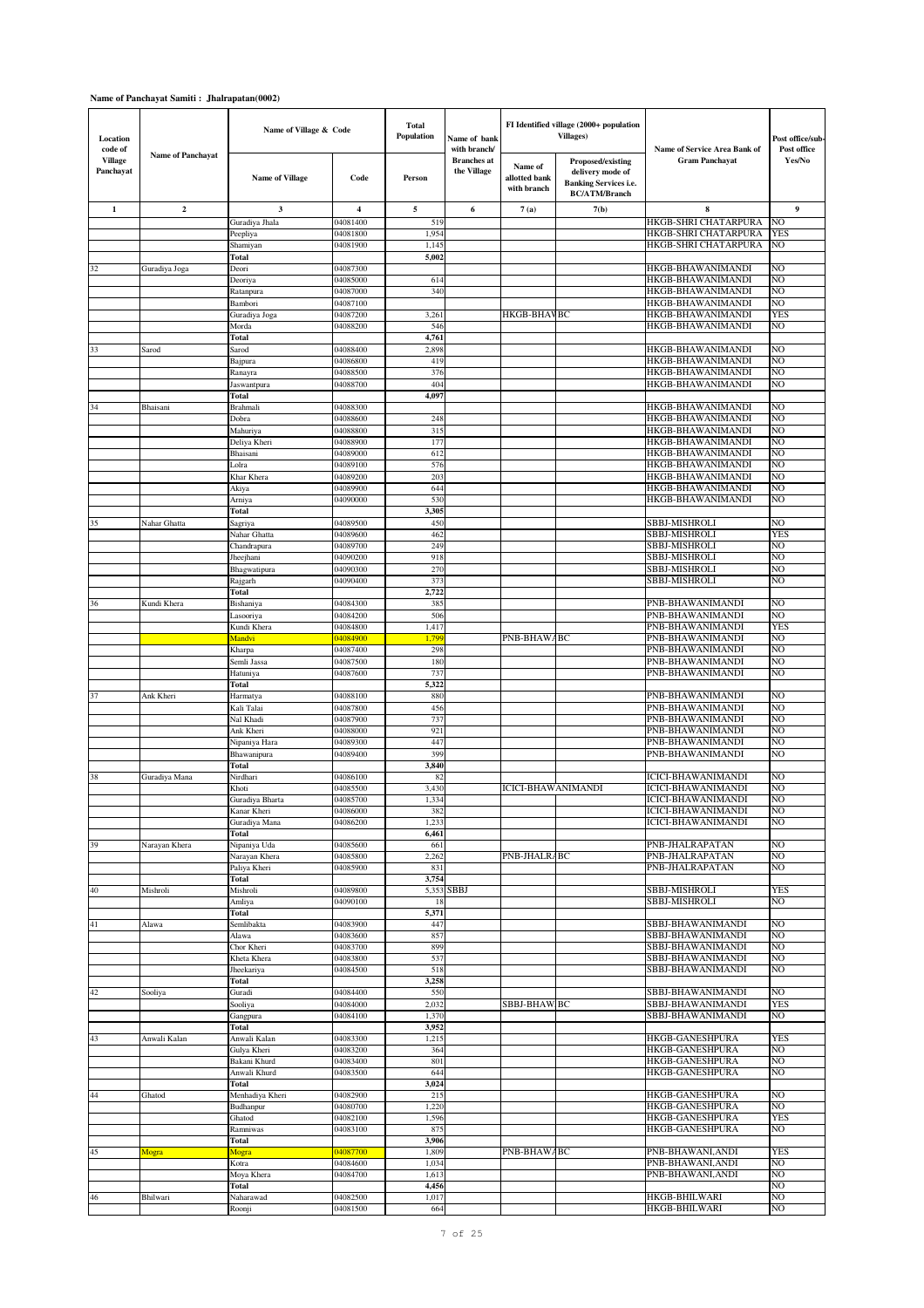| Location<br>code of         |                   | Name of Village & Code |                         | <b>Total</b><br>Population | Name of bank<br>with branch/      |                                         | FI Identified village (2000+ population<br><b>Villages</b> )                                  | Name of Service Area Bank of           | Post office/sub-<br>Post office |
|-----------------------------|-------------------|------------------------|-------------------------|----------------------------|-----------------------------------|-----------------------------------------|-----------------------------------------------------------------------------------------------|----------------------------------------|---------------------------------|
| <b>Village</b><br>Panchayat | Name of Panchayat | <b>Name of Village</b> | Code                    | Person                     | <b>Branches</b> at<br>the Village | Name of<br>allotted bank<br>with branch | Proposed/existing<br>delivery mode of<br><b>Banking Services i.e.</b><br><b>BC/ATM/Branch</b> | <b>Gram Panchayat</b>                  | Yes/No                          |
| 1                           | $\overline{2}$    | $\mathbf{3}$           | $\overline{\mathbf{4}}$ | 5                          | 6                                 | 7(a)                                    | 7(b)                                                                                          | 8                                      | 9                               |
|                             |                   | Guradiya Jhala         | 04081400                | 519                        |                                   |                                         |                                                                                               | HKGB-SHRI CHATARPURA                   | NO                              |
|                             |                   | Peepliya               | 04081800                | 1,954                      |                                   |                                         |                                                                                               | HKGB-SHRI CHATARPURA                   | YES                             |
|                             |                   | Shamiyan               | 04081900                | 1,14                       |                                   |                                         |                                                                                               | HKGB-SHRI CHATARPURA                   | NO                              |
|                             |                   | Total                  |                         | 5,002                      |                                   |                                         |                                                                                               |                                        |                                 |
| 32                          | Guradiya Joga     | Deori                  | 04087300                |                            |                                   |                                         |                                                                                               | HKGB-BHAWANIMANDI                      | NO                              |
|                             |                   | Deoriya                | 04085000                | 614                        |                                   |                                         |                                                                                               | HKGB-BHAWANIMANDI                      | NO                              |
|                             |                   | Ratanpura              | 04087000                | 340                        |                                   |                                         |                                                                                               | HKGB-BHAWANIMANDI                      | NO                              |
|                             |                   | Bambori                | 04087100                |                            |                                   |                                         |                                                                                               | HKGB-BHAWANIMANDI                      | NO                              |
|                             |                   | Guradiya Joga          | 04087200                | 3,26                       |                                   | <b>HKGB-BHAVBC</b>                      |                                                                                               | HKGB-BHAWANIMANDI                      | <b>YES</b>                      |
|                             |                   | Morda                  | 04088200                | 546                        |                                   |                                         |                                                                                               | HKGB-BHAWANIMANDI                      | NO                              |
|                             |                   | Total                  |                         | 4,761                      |                                   |                                         |                                                                                               |                                        |                                 |
| 33                          | Sarod             | Sarod                  | 04088400                | 2,898                      |                                   |                                         |                                                                                               | HKGB-BHAWANIMANDI                      | NO                              |
|                             |                   | Bajpura                | 04086800                | 419                        |                                   |                                         |                                                                                               | HKGB-BHAWANIMANDI<br>HKGB-BHAWANIMANDI | NO<br>NO                        |
|                             |                   | Ranayra                | 04088500<br>04088700    | 376<br>404                 |                                   |                                         |                                                                                               | HKGB-BHAWANIMANDI                      | NO                              |
|                             |                   | Jaswantpura<br>Total   |                         | 4,097                      |                                   |                                         |                                                                                               |                                        |                                 |
| 34                          | Bhaisani          | Brahmali               | 04088300                |                            |                                   |                                         |                                                                                               | <b>HKGB-BHAWANIMANDI</b>               | NO                              |
|                             |                   | Dobra                  | 04088600                | 248                        |                                   |                                         |                                                                                               | HKGB-BHAWANIMANDI                      | NO                              |
|                             |                   | Mahuriya               | 04088800                | 315                        |                                   |                                         |                                                                                               | HKGB-BHAWANIMANDI                      | NO                              |
|                             |                   | Deliya Kheri           | 04088900                | 177                        |                                   |                                         |                                                                                               | HKGB-BHAWANIMANDI                      | NO                              |
|                             |                   | Bhaisani               | 04089000                | 612                        |                                   |                                         |                                                                                               | HKGB-BHAWANIMANDI                      | NO                              |
|                             |                   | Lolra                  | 04089100                | 576                        |                                   |                                         |                                                                                               | HKGB-BHAWANIMANDI                      | N <sub>O</sub>                  |
|                             |                   | Khar Khera             | 04089200                | 20:                        |                                   |                                         |                                                                                               | HKGB-BHAWANIMANDI                      | N <sub>O</sub>                  |
|                             |                   | Akiya                  | 04089900                | 644                        |                                   |                                         |                                                                                               | HKGB-BHAWANIMANDI                      | N <sub>O</sub>                  |
|                             |                   | Arniya                 | 04090000                | 530                        |                                   |                                         |                                                                                               | HKGB-BHAWANIMANDI                      | NO                              |
|                             |                   | Total                  |                         | 3,305                      |                                   |                                         |                                                                                               |                                        |                                 |
| 35                          | Nahar Ghatta      | Sagriya                | 04089500                | 450                        |                                   |                                         |                                                                                               | <b>SBBJ-MISHROLI</b>                   | NO                              |
|                             |                   | Nahar Ghatta           | 04089600                | 462                        |                                   |                                         |                                                                                               | <b>SBBJ-MISHROLI</b>                   | <b>YES</b>                      |
|                             |                   | Chandrapura            | 04089700                | 249                        |                                   |                                         |                                                                                               | <b>SBBJ-MISHROLI</b>                   | NO                              |
|                             |                   | Jheejhani              | 04090200                | 918                        |                                   |                                         |                                                                                               | <b>SBBJ-MISHROLI</b>                   | NO                              |
|                             |                   | Bhagwatipura           | 04090300                | 270                        |                                   |                                         |                                                                                               | <b>SBBJ-MISHROLI</b>                   | NO                              |
|                             |                   | Rajgarh                | 04090400                | 37.3                       |                                   |                                         |                                                                                               | <b>SBBJ-MISHROLI</b>                   | NO                              |
|                             |                   | Total                  |                         | 2,722                      |                                   |                                         |                                                                                               |                                        |                                 |
| 36                          | Kundi Khera       | Bishaniya              | 04084300                | 385                        |                                   |                                         |                                                                                               | PNB-BHAWANIMANDI                       | NO                              |
|                             |                   | Lasooriya              | 04084200                | 506                        |                                   |                                         |                                                                                               | PNB-BHAWANIMANDI                       | NO                              |
|                             |                   | Kundi Khera            | 04084800                | 1,417                      |                                   |                                         |                                                                                               | PNB-BHAWANIMANDI                       | <b>YES</b>                      |
|                             |                   | Mandvi                 | 04084900                | 1,79                       |                                   | PNB-BHAWABC                             |                                                                                               | PNB-BHAWANIMANDI                       | NO                              |
|                             |                   | Kharpa                 | 04087400                | 298                        |                                   |                                         |                                                                                               | PNB-BHAWANIMANDI                       | NO                              |
|                             |                   | Semli Jassa            | 04087500                | 180                        |                                   |                                         |                                                                                               | PNB-BHAWANIMANDI                       | NO                              |
|                             |                   | Hatuniya               | 04087600                | 737                        |                                   |                                         |                                                                                               | PNB-BHAWANIMANDI                       | NO                              |
|                             |                   | <b>Total</b>           |                         | 5,322                      |                                   |                                         |                                                                                               |                                        |                                 |
| 37                          | Ank Kheri         | Harmatya               | 04088100                | 880                        |                                   |                                         |                                                                                               | PNB-BHAWANIMANDI                       | NO                              |
|                             |                   | Kali Talai             | 04087800                | 456                        |                                   |                                         |                                                                                               | PNB-BHAWANIMANDI                       | NO                              |
|                             |                   | Nal Khadi              | 04087900                | 737                        |                                   |                                         |                                                                                               | PNB-BHAWANIMANDI<br>PNB-BHAWANIMANDI   | NO<br>NO                        |
|                             |                   | Ank Kheri              | 04088000<br>04089300    | 92<br>441                  |                                   |                                         |                                                                                               |                                        | NO                              |
|                             |                   | Nipaniya Hara          | 04089400                | 399                        |                                   |                                         |                                                                                               | PNB-BHAWANIMANDI<br>PNB-BHAWANIMANDI   | NO                              |
|                             |                   | Bhawanipura<br>Total   |                         | 3,840                      |                                   |                                         |                                                                                               |                                        |                                 |
| 38                          | Guradiya Mana     | Nirdhari               | 04086100                | 82                         |                                   |                                         |                                                                                               | <b>ICICI-BHAWANIMANDI</b>              | NO.                             |
|                             |                   | Khoti                  | 04085500                | 3,430                      |                                   | <b>ICICI-BHAWANIMANDI</b>               |                                                                                               | ICICI-BHAWANIMANDI                     | NO                              |
|                             |                   | Guradiya Bharta        | 04085700                | 1,334                      |                                   |                                         |                                                                                               | <b>ICICI-BHAWANIMANDI</b>              | N <sub>O</sub>                  |
|                             |                   | Kanar Kheri            | 04086000                | 382                        |                                   |                                         |                                                                                               | ICICI-BHAWANIMANDI                     | NO                              |
|                             |                   | Guradiya Mana          | 04086200                | 1,233                      |                                   |                                         |                                                                                               | <b>ICICI-BHAWANIMANDI</b>              | N <sub>O</sub>                  |
|                             |                   | Total                  |                         | 6,461                      |                                   |                                         |                                                                                               |                                        |                                 |
| 39                          | Narayan Khera     | Nipaniya Uda           | 04085600                | 661                        |                                   |                                         |                                                                                               | PNB-JHALRAPATAN                        | NO                              |
|                             |                   | Narayan Khera          | 04085800                | 2,262                      |                                   | PNB-JHALR/BC                            |                                                                                               | PNB-JHALRAPATAN                        | NO                              |
|                             |                   | Paliya Kheri           | 04085900                | 831                        |                                   |                                         |                                                                                               | PNB-JHALRAPATAN                        | NO                              |
|                             |                   | Total                  |                         | 3,754                      |                                   |                                         |                                                                                               |                                        |                                 |
| 40                          | Mishroli          | Mishroli               | 04089800                | 5,353                      | <b>SBBJ</b>                       |                                         |                                                                                               | <b>SBBJ-MISHROLI</b>                   | <b>YES</b>                      |
|                             |                   | Amliya                 | 04090100                | 18                         |                                   |                                         |                                                                                               | <b>SBBJ-MISHROLI</b>                   | NO                              |
|                             |                   | Total                  |                         | 5,371                      |                                   |                                         |                                                                                               |                                        |                                 |
| 41                          | Alawa             | Semlibakta             | 04083900                | 447                        |                                   |                                         |                                                                                               | SBBJ-BHAWANIMANDI                      | NO                              |
|                             |                   | Alawa                  | 04083600                | 857                        |                                   |                                         |                                                                                               | SBBJ-BHAWANIMANDI                      | NO                              |
|                             |                   | Chor Kheri             | 04083700                | 899                        |                                   |                                         |                                                                                               | SBBJ-BHAWANIMANDI                      | N <sub>O</sub>                  |
|                             |                   | Kheta Khera            | 04083800                | 537                        |                                   |                                         |                                                                                               | SBBJ-BHAWANIMANDI                      | NO                              |
|                             |                   | Jheekariya             | 04084500                | 518                        |                                   |                                         |                                                                                               | SBBJ-BHAWANIMANDI                      | N <sub>O</sub>                  |
| 42                          | Sooliya           | Total<br>Guradi        | 04084400                | 3,258<br>550               |                                   |                                         |                                                                                               | SBBJ-BHAWANIMANDI                      | NO                              |
|                             |                   |                        | 04084000                | 2,032                      |                                   | SBBJ-BHAW.BC                            |                                                                                               | SBBJ-BHAWANIMANDI                      | <b>YES</b>                      |
|                             |                   | Sooliya                | 04084100                | 1,370                      |                                   |                                         |                                                                                               | SBBJ-BHAWANIMANDI                      | NO                              |
|                             |                   | Gangpura<br>Total      |                         | 3,952                      |                                   |                                         |                                                                                               |                                        |                                 |
| 43                          | Anwali Kalan      | Anwali Kalan           | 04083300                | 1,21:                      |                                   |                                         |                                                                                               | HKGB-GANESHPURA                        | <b>YES</b>                      |
|                             |                   | Gulya Kheri            | 04083200                | 364                        |                                   |                                         |                                                                                               | HKGB-GANESHPURA                        | NO                              |
|                             |                   | Bakani Khurd           | 04083400                | 801                        |                                   |                                         |                                                                                               | HKGB-GANESHPURA                        | NO                              |
|                             |                   | Anwali Khurd           | 04083500                | 644                        |                                   |                                         |                                                                                               | HKGB-GANESHPURA                        | NO                              |
|                             |                   | Total                  |                         | 3,024                      |                                   |                                         |                                                                                               |                                        |                                 |
| 44                          | Ghatod            | Menhadiya Kheri        | 04082900                | 215                        |                                   |                                         |                                                                                               | <b>HKGB-GANESHPURA</b>                 | N <sub>O</sub>                  |
|                             |                   | Budhanpur              | 04080700                | 1,220                      |                                   |                                         |                                                                                               | <b>HKGB-GANESHPURA</b>                 | NO                              |
|                             |                   | Ghatod                 | 04082100                | 1,596                      |                                   |                                         |                                                                                               | HKGB-GANESHPURA                        | <b>YES</b>                      |
|                             |                   | Ramniwas               | 04083100                | 875                        |                                   |                                         |                                                                                               | <b>HKGB-GANESHPURA</b>                 | NO                              |
|                             |                   | Total                  |                         | 3,906                      |                                   |                                         |                                                                                               |                                        |                                 |
| 45                          | Mogra             | Mogra                  | 04087700                | 1,809                      |                                   | PNB-BHAWABC                             |                                                                                               | PNB-BHAWANI, ANDI                      | <b>YES</b>                      |
|                             |                   | Kotra                  | 04084600                | 1,034                      |                                   |                                         |                                                                                               | PNB-BHAWANI, ANDI                      | NO                              |
|                             |                   | Moya Khera             | 04084700                | 1,613                      |                                   |                                         |                                                                                               | PNB-BHAWANI, ANDI                      | NO                              |
|                             |                   | Total                  |                         | 4,456                      |                                   |                                         |                                                                                               |                                        | N <sub>O</sub>                  |
| 46                          | Bhilwari          | Naharawad              | 04082500                | 1,017                      |                                   |                                         |                                                                                               | HKGB-BHILWARI                          | NO                              |
|                             |                   | Roonji                 | 04081500                | 664                        |                                   |                                         |                                                                                               | HKGB-BHILWARI                          | N <sub>O</sub>                  |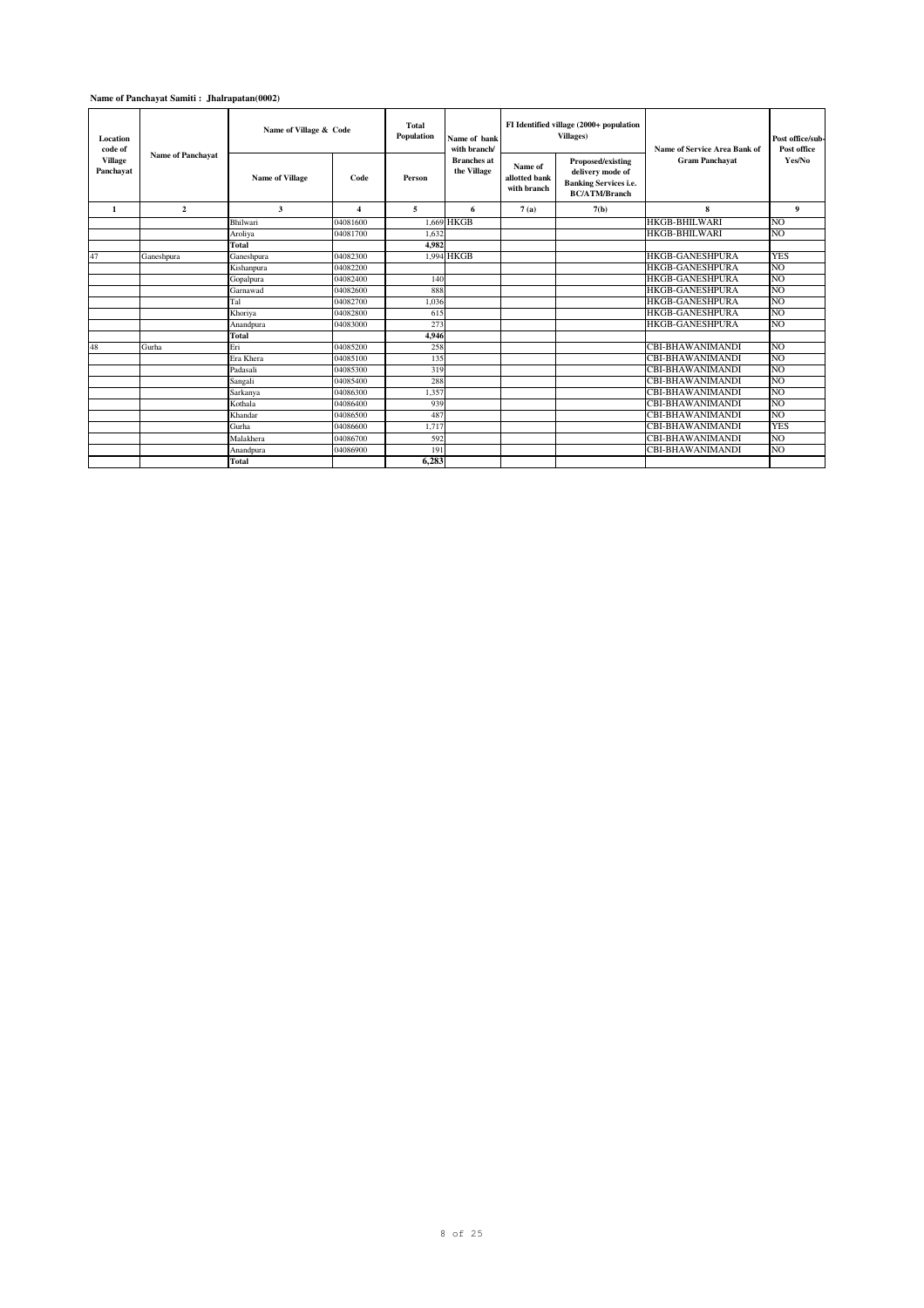| Location<br>code of         |                          | Name of Village & Code |                         | Total<br>Population | Name of hank<br>with branch/      |                                         | FI Identified village (2000+ population<br><b>Villages</b> )                                  | Name of Service Area Bank of | Post office/sub-<br>Post office |
|-----------------------------|--------------------------|------------------------|-------------------------|---------------------|-----------------------------------|-----------------------------------------|-----------------------------------------------------------------------------------------------|------------------------------|---------------------------------|
| <b>Village</b><br>Panchayat | <b>Name of Panchayat</b> | <b>Name of Village</b> | Code                    | Person              | <b>Branches</b> at<br>the Village | Name of<br>allotted bank<br>with branch | Proposed/existing<br>delivery mode of<br><b>Banking Services i.e.</b><br><b>BC/ATM/Branch</b> | <b>Gram Panchavat</b>        | Yes/No                          |
| 1                           | $\overline{2}$           | 3                      | $\overline{\mathbf{4}}$ | 5                   | 6                                 | 7(a)                                    | 7(b)                                                                                          | 8                            | 9                               |
|                             |                          | Bhilwari               | 04081600                |                     | 1.669 HKGB                        |                                         |                                                                                               | <b>HKGB-BHILWARI</b>         | N <sub>O</sub>                  |
|                             |                          | Aroliva                | 04081700                | 1.632               |                                   |                                         |                                                                                               | <b>HKGB-BHILWARI</b>         | N <sub>O</sub>                  |
|                             |                          | <b>Total</b>           |                         | 4.982               |                                   |                                         |                                                                                               |                              |                                 |
| 47                          | Ganeshpura               | Ganeshpura             | 04082300                |                     | 1.994 HKGB                        |                                         |                                                                                               | <b>HKGB-GANESHPURA</b>       | <b>YES</b>                      |
|                             |                          | Kishanpura             | 04082200                |                     |                                   |                                         |                                                                                               | <b>HKGB-GANESHPURA</b>       | N <sub>O</sub>                  |
|                             |                          | Gopalpura              | 04082400                | 140                 |                                   |                                         |                                                                                               | <b>HKGB-GANESHPURA</b>       | N <sub>O</sub>                  |
|                             |                          | Garnawad               | 04082600                | 888                 |                                   |                                         |                                                                                               | <b>HKGB-GANESHPURA</b>       | NO.                             |
|                             |                          | Tal                    | 04082700                | 1.036               |                                   |                                         |                                                                                               | <b>HKGB-GANESHPURA</b>       | N <sub>O</sub>                  |
|                             |                          | Khoriva                | 04082800                | 615                 |                                   |                                         |                                                                                               | <b>HKGB-GANESHPURA</b>       | N <sub>O</sub>                  |
|                             |                          | Anandpura              | 04083000                | 273                 |                                   |                                         |                                                                                               | <b>HKGB-GANESHPURA</b>       | N <sub>O</sub>                  |
|                             |                          | <b>Total</b>           |                         | 4,946               |                                   |                                         |                                                                                               |                              |                                 |
| 48                          | Gurha                    | Eri                    | 04085200                | 258                 |                                   |                                         |                                                                                               | <b>CBI-BHAWANIMANDI</b>      | NO                              |
|                             |                          | Era Khera              | 04085100                | 135                 |                                   |                                         |                                                                                               | <b>CBI-BHAWANIMANDI</b>      | N <sub>O</sub>                  |
|                             |                          | Padasali               | 04085300                | 319                 |                                   |                                         |                                                                                               | CBI-BHAWANIMANDI             | N <sub>O</sub>                  |
|                             |                          | Sangali                | 04085400                | 288                 |                                   |                                         |                                                                                               | CBI-BHAWANIMANDI             | N <sub>O</sub>                  |
|                             |                          | Sarkanya               | 04086300                | 1.357               |                                   |                                         |                                                                                               | CBI-BHAWANIMANDI             | N <sub>O</sub>                  |
|                             |                          | Kothala                | 04086400                | 939                 |                                   |                                         |                                                                                               | CBI-BHAWANIMANDI             | N <sub>O</sub>                  |
|                             |                          | Khandar                | 04086500                | 487                 |                                   |                                         |                                                                                               | CBI-BHAWANIMANDI             | N <sub>O</sub>                  |
|                             |                          | Gurha                  | 04086600                | 1.717               |                                   |                                         |                                                                                               | CBI-BHAWANIMANDI             | <b>YES</b>                      |
|                             |                          | Malakhera              | 04086700                | 592                 |                                   |                                         |                                                                                               | CBI-BHAWANIMANDI             | NO.                             |
|                             |                          | Anandpura              | 04086900                | 191                 |                                   |                                         |                                                                                               | CBI-BHAWANIMANDI             | N <sub>O</sub>                  |
|                             |                          | <b>Total</b>           |                         | 6.283               |                                   |                                         |                                                                                               |                              |                                 |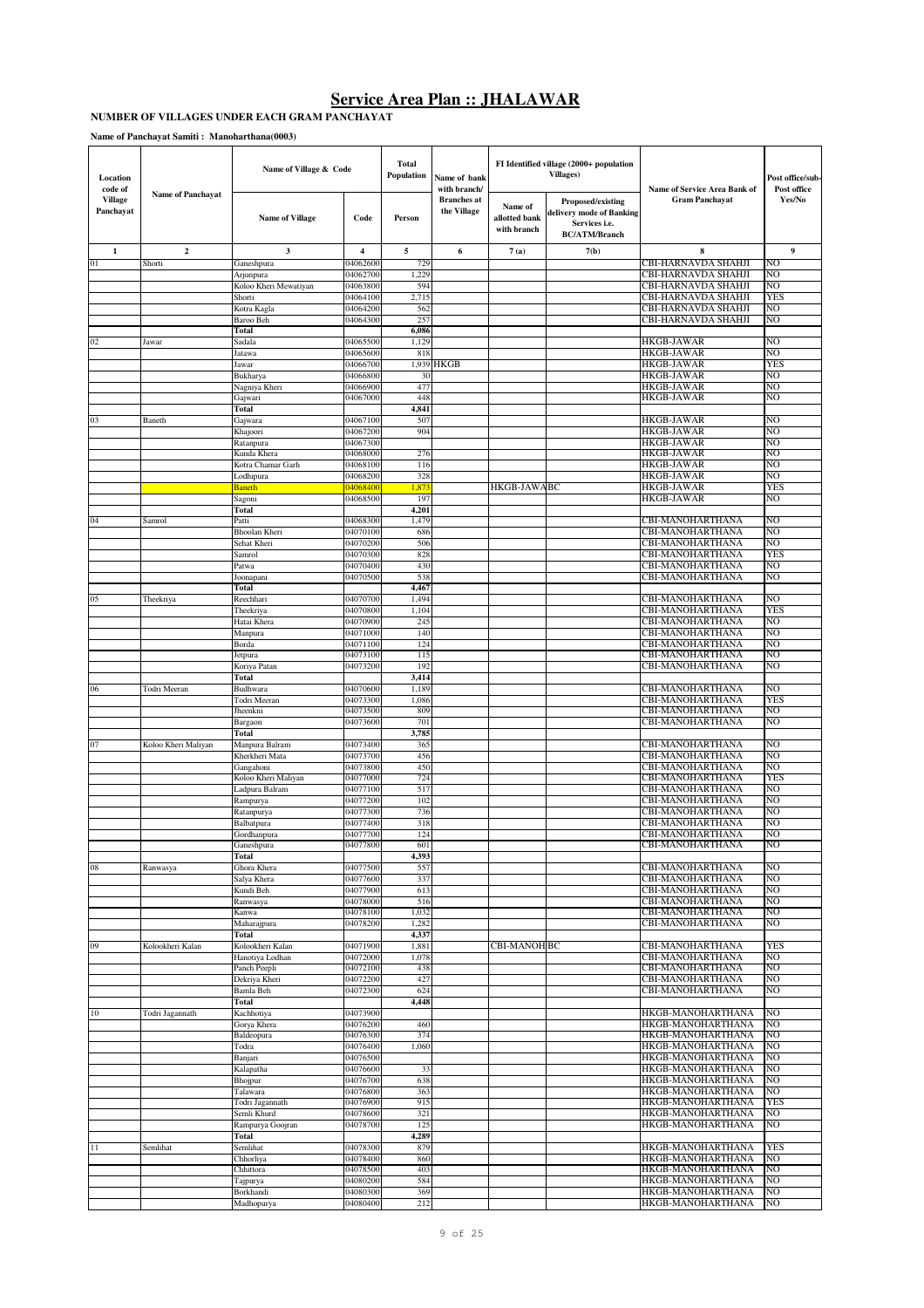#### **NUMBER OF VILLAGES UNDER EACH GRAM PANCHAYAT**

| Location<br>code of         |                          | Name of Village & Code                |                      | <b>Total</b><br>Population | Name of bank<br>with branch/      |                                         | FI Identified village (2000+ population<br><b>Villages</b> )                           | Name of Service Area Bank of               | Post office/sub-<br>Post office |
|-----------------------------|--------------------------|---------------------------------------|----------------------|----------------------------|-----------------------------------|-----------------------------------------|----------------------------------------------------------------------------------------|--------------------------------------------|---------------------------------|
| <b>Village</b><br>Panchayat | <b>Name of Panchavat</b> | <b>Name of Village</b>                | Code                 | Person                     | <b>Branches</b> at<br>the Village | Name of<br>allotted bank<br>with branch | Proposed/existing<br>delivery mode of Banking<br>Services i.e.<br><b>BC/ATM/Branch</b> | <b>Gram Panchavat</b>                      | Yes/No                          |
| $\mathbf{1}$                | $\boldsymbol{2}$         | 3                                     | 4                    | 5                          | 6                                 | 7(a)                                    | 7(b)                                                                                   | 8                                          | 9                               |
| 01                          | Shorti                   | Ganeshpura                            | 04062600             | 729                        |                                   |                                         |                                                                                        | CBI-HARNAVDA SHAHJI                        | NO                              |
|                             |                          | Arjunpura                             | 04062700             | 1,229                      |                                   |                                         |                                                                                        | CBI-HARNAVDA SHAHJI                        | NO                              |
|                             |                          | Koloo Kheri Mewatiyan                 | 04063800             | 594                        |                                   |                                         |                                                                                        | CBI-HARNAVDA SHAHJI                        | NO                              |
|                             |                          | Shorti<br>Kotra Kagla                 | 04064100<br>04064200 | 2,715<br>562               |                                   |                                         |                                                                                        | CBI-HARNAVDA SHAHJI<br>CBI-HARNAVDA SHAHJI | <b>YES</b><br>NO                |
|                             |                          | Baroo Beh                             | 04064300             | 257                        |                                   |                                         |                                                                                        | CBI-HARNAVDA SHAHJI                        | NO                              |
|                             |                          | Total                                 |                      | 6,086                      |                                   |                                         |                                                                                        |                                            |                                 |
| 02                          | Jawar                    | Sadala                                | 04065500             | 1,129                      |                                   |                                         |                                                                                        | <b>HKGB-JAWAR</b>                          | NO                              |
|                             |                          | Jatawa                                | 04065600             | 818                        |                                   |                                         |                                                                                        | <b>HKGB-JAWAR</b>                          | NO                              |
|                             |                          | Jawar                                 | 04066700             |                            | 1,939 HKGB                        |                                         |                                                                                        | <b>HKGB-JAWAR</b>                          | <b>YES</b>                      |
|                             |                          | Bukharya                              | 04066800<br>04066900 | 30<br>477                  |                                   |                                         |                                                                                        | <b>HKGB-JAWAR</b><br>HKGB-JAWAR            | NO<br>NO                        |
|                             |                          | Nagniya Kheri<br>Gajwari              | 04067000             | 448                        |                                   |                                         |                                                                                        | <b>HKGB-JAWAR</b>                          | NO                              |
|                             |                          | Total                                 |                      | 4,841                      |                                   |                                         |                                                                                        |                                            |                                 |
| 03                          | Baneth                   | Gajwara                               | 04067100             | 507                        |                                   |                                         |                                                                                        | <b>HKGB-JAWAR</b>                          | NO                              |
|                             |                          | Khajoori                              | 04067200             | 904                        |                                   |                                         |                                                                                        | <b>HKGB-JAWAR</b>                          | NO                              |
|                             |                          | Ratanpura                             | 04067300             |                            |                                   |                                         |                                                                                        | HKGB-JAWAR                                 | NO                              |
|                             |                          | Kunda Khera                           | 04068000             | 276                        |                                   |                                         |                                                                                        | <b>HKGB-JAWAR</b>                          | NO                              |
|                             |                          | Kotra Chamar Garh<br>Lodhipura        | 04068100<br>04068200 | 116<br>328                 |                                   |                                         |                                                                                        | <b>HKGB-JAWAR</b><br><b>HKGB-JAWAR</b>     | NO<br>NO                        |
|                             |                          | <b>Baneth</b>                         | 04068400             | 1,87                       |                                   | HKGB-JAWABC                             |                                                                                        | <b>HKGB-JAWAR</b>                          | YES                             |
|                             |                          | Sagoni                                | 04068500             | 197                        |                                   |                                         |                                                                                        | <b>HKGB-JAWAR</b>                          | NO                              |
|                             |                          | Total                                 |                      | 4,201                      |                                   |                                         |                                                                                        |                                            |                                 |
| 04                          | Samrol                   | Patti                                 | 04068300             | 1,479                      |                                   |                                         |                                                                                        | CBI-MANOHARTHANA                           | NO                              |
|                             |                          | <b>Bhoolan Kheri</b>                  | 04070100<br>04070200 | 686                        |                                   |                                         |                                                                                        | CBI-MANOHARTHANA<br>CBI-MANOHARTHANA       | NO<br>NO                        |
|                             |                          | Sehat Kheri<br>Samrol                 | 04070300             | 506<br>828                 |                                   |                                         |                                                                                        | CBI-MANOHARTHANA                           | <b>YES</b>                      |
|                             |                          | Patwa                                 | 04070400             | 430                        |                                   |                                         |                                                                                        | CBI-MANOHARTHANA                           | NO                              |
|                             |                          | Joonapani                             | 04070500             | 538                        |                                   |                                         |                                                                                        | CBI-MANOHARTHANA                           | NO                              |
|                             |                          | Total                                 |                      | 4,467                      |                                   |                                         |                                                                                        |                                            |                                 |
| 05                          | Theekriya                | Reechhari                             | 04070700             | 1,494                      |                                   |                                         |                                                                                        | CBI-MANOHARTHANA                           | NO                              |
|                             |                          | Theekriya                             | 04070800             | 1,104                      |                                   |                                         |                                                                                        | CBI-MANOHARTHANA                           | <b>YES</b>                      |
|                             |                          | Hatai Khera<br>Manpura                | 04070900<br>04071000 | 245<br>140                 |                                   |                                         |                                                                                        | CBI-MANOHARTHANA<br>CBI-MANOHARTHANA       | NO<br>NO                        |
|                             |                          | Borda                                 | 04071100             | 124                        |                                   |                                         |                                                                                        | CBI-MANOHARTHANA                           | NO                              |
|                             |                          | Jetpura                               | 04073100             | 115                        |                                   |                                         |                                                                                        | CBI-MANOHARTHANA                           | NO                              |
|                             |                          | Koriya Patan                          | 04073200             | 192                        |                                   |                                         |                                                                                        | CBI-MANOHARTHANA                           | NO                              |
|                             |                          | Total                                 |                      | 3,414                      |                                   |                                         |                                                                                        |                                            |                                 |
| 06                          | Todri Meeran             | Budhwara                              | 04070600             | 1,189                      |                                   |                                         |                                                                                        | CBI-MANOHARTHANA                           | NO                              |
|                             |                          | Todri Meeran                          | 04073300             | 1,086<br>809               |                                   |                                         |                                                                                        | CBI-MANOHARTHANA<br>CBI-MANOHARTHANA       | <b>YES</b><br>NO                |
|                             |                          | Jheenkni<br>Bargaon                   | 04073500<br>04073600 | 701                        |                                   |                                         |                                                                                        | CBI-MANOHARTHANA                           | NO                              |
|                             |                          | Total                                 |                      | 3,785                      |                                   |                                         |                                                                                        |                                            |                                 |
| 07                          | Koloo Kheri Maliyan      | Manpura Balram                        | 04073400             | 365                        |                                   |                                         |                                                                                        | CBI-MANOHARTHANA                           | NO                              |
|                             |                          | Kherkheri Mata                        | 04073700             | 456                        |                                   |                                         |                                                                                        | CBI-MANOHARTHANA                           | NO                              |
|                             |                          | Gangahoni                             | 04073800             | 450                        |                                   |                                         |                                                                                        | CBI-MANOHARTHANA                           | NO                              |
|                             |                          | Koloo Kheri Maliyan<br>Ladpura Balram | 04077000<br>04077100 | 724<br>517                 |                                   |                                         |                                                                                        | CBI-MANOHARTHANA<br>CBI-MANOHARTHANA       | <b>YES</b><br>NO                |
|                             |                          | Rampurya                              | 04077200             | 102                        |                                   |                                         |                                                                                        | CBI-MANOHARTHANA                           | NO                              |
|                             |                          | Ratanpurya                            | 04077300             | 736                        |                                   |                                         |                                                                                        | CBI-MANOHARTHANA                           | NO                              |
|                             |                          | Balbatpura                            | 04077400             | 318                        |                                   |                                         |                                                                                        | CBI-MANOHARTHANA                           | NO                              |
|                             |                          | Gordhanpura                           | 04077700             | 124                        |                                   |                                         |                                                                                        | CBI-MANOHARTHANA                           | NO                              |
|                             |                          | Ganesnpura                            | 04077800             | 601                        |                                   |                                         |                                                                                        | CBI-MANOHARTHANA                           | ΙNΟ                             |
| 80                          | Ranwasya                 | Total<br>Ghora Khera                  | 04077500             | 4,393<br>557               |                                   |                                         |                                                                                        | CBI-MANOHARTHANA                           | NO                              |
|                             |                          | Salya Khera                           | 04077600             | 337                        |                                   |                                         |                                                                                        | CBI-MANOHARTHANA                           | NO                              |
|                             |                          | Kundi Beh                             | 04077900             | 613                        |                                   |                                         |                                                                                        | CBI-MANOHARTHANA                           | N <sub>O</sub>                  |
|                             |                          | Ranwasya                              | 04078000             | 516                        |                                   |                                         |                                                                                        | CBI-MANOHARTHANA                           | NO                              |
|                             |                          | Kanwa                                 | 04078100             | 1,032                      |                                   |                                         |                                                                                        | CBI-MANOHARTHANA                           | NO                              |
|                             |                          | Maharajpura<br>Total                  | 04078200             | 1,282<br>4,337             |                                   |                                         |                                                                                        | CBI-MANOHARTHANA                           | NO                              |
| 09                          | Kolookheri Kalan         | Kolookheri Kalan                      | 04071900             | 1,881                      |                                   | CBI-MANOH BC                            |                                                                                        | CBI-MANOHARTHANA                           | <b>YES</b>                      |
|                             |                          | Hanotiya Lodhan                       | 04072000             | 1,078                      |                                   |                                         |                                                                                        | CBI-MANOHARTHANA                           | NO                              |
|                             |                          | Panch Peepli                          | 04072100             | 438                        |                                   |                                         |                                                                                        | <b>CBI-MANOHARTHANA</b>                    | NO                              |
|                             |                          | Dekriya Kheri                         | 04072200             | 427                        |                                   |                                         |                                                                                        | CBI-MANOHARTHANA                           | NO                              |
|                             |                          | Bamla Beh                             | 04072300             | 624                        |                                   |                                         |                                                                                        | CBI-MANOHARTHANA                           | NO                              |
|                             |                          | Total                                 | 04073900             | 4,448                      |                                   |                                         |                                                                                        | HKGB-MANOHARTHANA                          | NO                              |
| 10                          | Todri Jagannath          | Kachhotiya<br>Gorya Khera             | 04076200             | 460                        |                                   |                                         |                                                                                        | HKGB-MANOHARTHANA                          | NO                              |
|                             |                          | Baldeopura                            | 04076300             | 374                        |                                   |                                         |                                                                                        | HKGB-MANOHARTHANA                          | NO                              |
|                             |                          | Todra                                 | 04076400             | 1,060                      |                                   |                                         |                                                                                        | HKGB-MANOHARTHANA                          | NO                              |
|                             |                          | Banjari                               | 04076500             |                            |                                   |                                         |                                                                                        | HKGB-MANOHARTHANA                          | NO                              |
|                             |                          | Kalapatha                             | 04076600             | 33                         |                                   |                                         |                                                                                        | HKGB-MANOHARTHANA                          | NO                              |
|                             |                          | Bhojpur                               | 04076700             | 638                        |                                   |                                         |                                                                                        | HKGB-MANOHARTHANA                          | NO<br>NO                        |
|                             |                          | Talawara<br>Todri Jagannath           | 04076800<br>04076900 | 363<br>915                 |                                   |                                         |                                                                                        | HKGB-MANOHARTHANA<br>HKGB-MANOHARTHANA     | <b>YES</b>                      |
|                             |                          | Semli Khurd                           | 04078600             | 321                        |                                   |                                         |                                                                                        | HKGB-MANOHARTHANA                          | NO                              |
|                             |                          | Rampurya Goojran                      | 04078700             | 125                        |                                   |                                         |                                                                                        | HKGB-MANOHARTHANA                          | NO                              |
|                             |                          | Total                                 |                      | 4,289                      |                                   |                                         |                                                                                        |                                            |                                 |
| $\overline{11}$             | Semlihat                 | Semlihat                              | 04078300             | 879                        |                                   |                                         |                                                                                        | HKGB-MANOHARTHANA                          | <b>YES</b>                      |
|                             |                          | Chhorliya                             | 04078400             | 860                        |                                   |                                         |                                                                                        | HKGB-MANOHARTHANA                          | NO                              |
|                             |                          | Chhittora<br>Tajpurya                 | 04078500<br>04080200 | 403<br>584                 |                                   |                                         |                                                                                        | HKGB-MANOHARTHANA<br>HKGB-MANOHARTHANA     | NO<br>NO                        |
|                             |                          | Borkhandi                             | 04080300             | 369                        |                                   |                                         |                                                                                        | HKGB-MANOHARTHANA                          | NO                              |
|                             |                          | Madhopurya                            | 04080400             | 212                        |                                   |                                         |                                                                                        | HKGB-MANOHARTHANA                          | NO                              |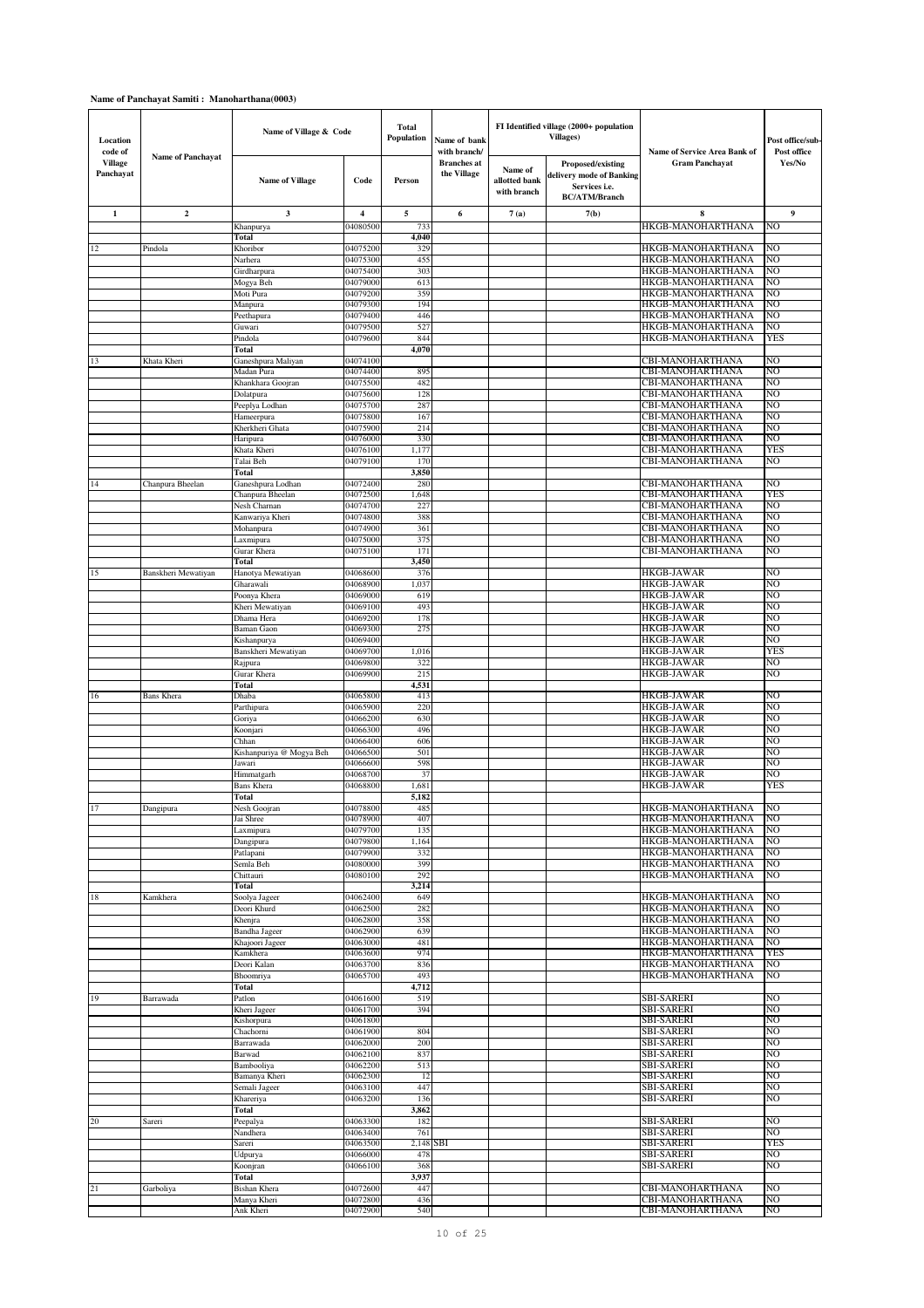| Location<br>code of         |                         | Name of Village & Code           |                      | <b>Total</b><br><b>Population</b> | Name of bank<br>with branch/      |                                         | FI Identified village (2000+ population<br>Villages)                                   | Name of Service Area Bank of                | Post office/sub-<br>Post office |
|-----------------------------|-------------------------|----------------------------------|----------------------|-----------------------------------|-----------------------------------|-----------------------------------------|----------------------------------------------------------------------------------------|---------------------------------------------|---------------------------------|
| <b>Village</b><br>Panchayat | Name of Panchayat       | <b>Name of Village</b>           | Code                 | Person                            | <b>Branches</b> at<br>the Village | Name of<br>allotted bank<br>with branch | Proposed/existing<br>delivery mode of Banking<br>Services i.e.<br><b>BC/ATM/Branch</b> | <b>Gram Panchavat</b>                       | Yes/No                          |
| $\mathbf{1}$                | $\overline{\mathbf{2}}$ | 3                                | 4                    | 5                                 | 6                                 | 7(a)                                    | 7(b)                                                                                   | 8                                           | 9                               |
|                             |                         | Khanpurya                        | 04080500             | 733                               |                                   |                                         |                                                                                        | HKGB-MANOHARTHANA                           | NO                              |
|                             |                         | Total                            |                      | 4,040                             |                                   |                                         |                                                                                        |                                             |                                 |
| 12                          | Pindola                 | Khoribor<br>Narhera              | 04075200<br>04075300 | 329<br>455                        |                                   |                                         |                                                                                        | HKGB-MANOHARTHANA<br>HKGB-MANOHARTHANA      | NO<br>NO                        |
|                             |                         | Girdharpura                      | 04075400             | 303                               |                                   |                                         |                                                                                        | HKGB-MANOHARTHANA                           | NO                              |
|                             |                         | Mogya Beh                        | 04079000             | 613                               |                                   |                                         |                                                                                        | HKGB-MANOHARTHANA                           | NO                              |
|                             |                         | Moti Pura                        | 04079200             | 359                               |                                   |                                         |                                                                                        | HKGB-MANOHARTHANA                           | NO                              |
|                             |                         | Manpura                          | 04079300<br>04079400 | 194<br>446                        |                                   |                                         |                                                                                        | HKGB-MANOHARTHANA<br>HKGB-MANOHARTHANA      | NO<br>NO                        |
|                             |                         | Peethapura<br>Guwari             | 04079500             | 527                               |                                   |                                         |                                                                                        | HKGB-MANOHARTHANA                           | NO                              |
|                             |                         | Pindola                          | 04079600             | 844                               |                                   |                                         |                                                                                        | HKGB-MANOHARTHANA                           | YES                             |
|                             |                         | Total                            |                      | 4,070                             |                                   |                                         |                                                                                        |                                             |                                 |
| 13                          | Khata Kheri             | Ganeshpura Maliyan               | 04074100<br>04074400 |                                   |                                   |                                         |                                                                                        | CBI-MANOHARTHANA<br><b>CBI-MANOHARTHANA</b> | NO<br>NO                        |
|                             |                         | Madan Pura<br>Khankhara Goojran  | 04075500             | 895<br>482                        |                                   |                                         |                                                                                        | CBI-MANOHARTHANA                            | NO                              |
|                             |                         | Dolatpura                        | 04075600             | 128                               |                                   |                                         |                                                                                        | CBI-MANOHARTHANA                            | NO                              |
|                             |                         | Peeplya Lodhan                   | 04075700             | 287                               |                                   |                                         |                                                                                        | CBI-MANOHARTHANA                            | NO                              |
|                             |                         | Hameerpura                       | 04075800             | 167                               |                                   |                                         |                                                                                        | CBI-MANOHARTHANA                            | NO                              |
|                             |                         | Kherkheri Ghata<br>Haripura      | 04075900<br>04076000 | 214<br>330                        |                                   |                                         |                                                                                        | CBI-MANOHARTHANA<br>CBI-MANOHARTHANA        | NO<br>NO                        |
|                             |                         | Khata Kheri                      | 04076100             | 1,177                             |                                   |                                         |                                                                                        | CBI-MANOHARTHANA                            | YES                             |
|                             |                         | Talai Beh                        | 04079100             | 170                               |                                   |                                         |                                                                                        | CBI-MANOHARTHANA                            | NO                              |
|                             |                         | Total                            |                      | 3,850                             |                                   |                                         |                                                                                        |                                             |                                 |
| 14                          | Chanpura Bheelan        | Ganeshpura Lodhan                | 04072400             | 280                               |                                   |                                         |                                                                                        | CBI-MANOHARTHANA                            | NO                              |
|                             |                         | Chanpura Bheelan<br>Nesh Charnan | 04072500<br>04074700 | 1,648<br>227                      |                                   |                                         |                                                                                        | CBI-MANOHARTHANA<br>CBI-MANOHARTHANA        | YES<br>NO                       |
|                             |                         | Kanwariya Kheri                  | 04074800             | 388                               |                                   |                                         |                                                                                        | CBI-MANOHARTHANA                            | NO                              |
|                             |                         | Mohanpura                        | 04074900             | 361                               |                                   |                                         |                                                                                        | CBI-MANOHARTHANA                            | NO                              |
|                             |                         | axmipura                         | 04075000             | 375                               |                                   |                                         |                                                                                        | CBI-MANOHARTHANA                            | NO                              |
|                             |                         | Gurar Khera<br>Total             | 04075100             | 171<br>3,450                      |                                   |                                         |                                                                                        | CBI-MANOHARTHANA                            | NO                              |
| 15                          | Banskheri Mewatiyan     | Hanotya Mewatiyan                | 04068600             | 376                               |                                   |                                         |                                                                                        | HKGB-JAWAR                                  | NO                              |
|                             |                         | Gharawali                        | 04068900             | 1,037                             |                                   |                                         |                                                                                        | <b>HKGB-JAWAR</b>                           | NO                              |
|                             |                         | Poonya Khera                     | 04069000             | 619                               |                                   |                                         |                                                                                        | HKGB-JAWAR                                  | NO                              |
|                             |                         | Kheri Mewatiyan                  | 04069100             | 493                               |                                   |                                         |                                                                                        | HKGB-JAWAR                                  | NO<br>NO                        |
|                             |                         | Dhama Hera<br>Baman Gaon         | 04069200<br>04069300 | 178<br>275                        |                                   |                                         |                                                                                        | HKGB-JAWAR<br>HKGB-JAWAR                    | NO                              |
|                             |                         | Kishanpurya                      | 04069400             |                                   |                                   |                                         |                                                                                        | <b>HKGB-JAWAR</b>                           | NO                              |
|                             |                         | Banskheri Mewatiyan              | 04069700             | 1,016                             |                                   |                                         |                                                                                        | HKGB-JAWAR                                  | YES                             |
|                             |                         | Rajpura                          | 04069800             | 322                               |                                   |                                         |                                                                                        | HKGB-JAWAR                                  | NO                              |
|                             |                         | Gurar Khera<br>Total             | 04069900             | 215<br>4,531                      |                                   |                                         |                                                                                        | HKGB-JAWAR                                  | NO                              |
| 16                          | <b>Bans Khera</b>       | Dhaba                            | 04065800             | 413                               |                                   |                                         |                                                                                        | HKGB-JAWAR                                  | NO                              |
|                             |                         | Parthipura                       | 04065900             | 220                               |                                   |                                         |                                                                                        | <b>HKGB-JAWAR</b>                           | NO                              |
|                             |                         | Goriya                           | 04066200             | 630                               |                                   |                                         |                                                                                        | HKGB-JAWAR                                  | NO                              |
|                             |                         | Koonjari<br>Chhan                | 04066300<br>04066400 | 496<br>606                        |                                   |                                         |                                                                                        | HKGB-JAWAR<br><b>HKGB-JAWAR</b>             | NO<br>NO                        |
|                             |                         | Kishanpuriya @ Mogya Beh         | 04066500             | 501                               |                                   |                                         |                                                                                        | <b>HKGB-JAWAR</b>                           | NO                              |
|                             |                         | Jawari                           | 04066600             | 598                               |                                   |                                         |                                                                                        | HKGB-JAWAR                                  | NO                              |
|                             |                         | Himmatgarh                       | 04068700             | 37                                |                                   |                                         |                                                                                        | HKGB-JAWAR                                  | NO                              |
|                             |                         | <b>Bans Khera</b>                | 04068800             | 1,681                             |                                   |                                         |                                                                                        | HKGB-JAWAR                                  | YES                             |
| 17                          | Dangipura               | Total<br>Nesh Goojran            | 04078800             | 5,182<br>485                      |                                   |                                         |                                                                                        | HKGB-MANOHARTHANA                           | NO                              |
|                             |                         | Jai Shree                        | 04078900             | 407                               |                                   |                                         |                                                                                        | HKGB-MANOHARTHANA                           | NO                              |
|                             |                         | Laxmipura                        | 04079700             | 135                               |                                   |                                         |                                                                                        | HKGB-MANOHARTHANA                           | NO                              |
|                             |                         | Dangipura                        | 04079800             | 1,164                             |                                   |                                         |                                                                                        | HKGB-MANOHARTHANA                           | NO                              |
|                             |                         | Patlapani<br>Semla Beh           | 04079900<br>04080000 | 332<br>399                        |                                   |                                         |                                                                                        | HKGB-MANOHARTHANA<br>HKGB-MANOHARTHANA      | NO<br>NO                        |
|                             |                         | Chittauri                        | 04080100             | 292                               |                                   |                                         |                                                                                        | HKGB-MANOHARTHANA                           | NO                              |
|                             |                         | Total                            |                      | 3,214                             |                                   |                                         |                                                                                        |                                             |                                 |
| 18                          | Kamkhera                | Soolya Jageer<br>Deori Khurd     | 04062400<br>04062500 | 649<br>282                        |                                   |                                         |                                                                                        | HKGB-MANOHARTHANA<br>HKGB-MANOHARTHANA      | NO<br>NO                        |
|                             |                         | Khenjra                          | 04062800             | 358                               |                                   |                                         |                                                                                        | HKGB-MANOHARTHANA                           | NO                              |
|                             |                         | <b>Bandha Jageer</b>             | 04062900             | 639                               |                                   |                                         |                                                                                        | HKGB-MANOHARTHANA                           | NO                              |
|                             |                         | Khajoori Jageer                  | 04063000             | 481                               |                                   |                                         |                                                                                        | HKGB-MANOHARTHANA                           | NO                              |
|                             |                         | Kamkhera<br>Deori Kalan          | 04063600<br>04063700 | 974<br>836                        |                                   |                                         |                                                                                        | HKGB-MANOHARTHANA<br>HKGB-MANOHARTHANA      | YES<br>NO                       |
|                             |                         | Bhoomriya                        | 04065700             | 493                               |                                   |                                         |                                                                                        | HKGB-MANOHARTHANA                           | NO                              |
|                             |                         | Total                            |                      | 4,712                             |                                   |                                         |                                                                                        |                                             |                                 |
| 19                          | Barrawada               | Patlon                           | 04061600             | 519                               |                                   |                                         |                                                                                        | SBI-SARERI                                  | NO                              |
|                             |                         | Kheri Jageer<br>Kishorpura       | 04061700<br>04061800 | 394                               |                                   |                                         |                                                                                        | SBI-SARERI<br><b>SBI-SARERI</b>             | NO<br>NO                        |
|                             |                         | Chachorni                        | 04061900             | 804                               |                                   |                                         |                                                                                        | <b>SBI-SARERI</b>                           | NO                              |
|                             |                         | Barrawada                        | 04062000             | 200                               |                                   |                                         |                                                                                        | SBI-SARERI                                  | NO                              |
|                             |                         | Barwad                           | 04062100             | 837                               |                                   |                                         |                                                                                        | SBI-SARERI                                  | NO                              |
|                             |                         | Bambooliya<br>Bamanya Kheri      | 04062200<br>04062300 | 513<br>12                         |                                   |                                         |                                                                                        | <b>SBI-SARERI</b><br><b>SBI-SARERI</b>      | N <sub>O</sub><br>NO            |
|                             |                         | Semali Jageer                    | 04063100             | 447                               |                                   |                                         |                                                                                        | SBI-SARERI                                  | NO                              |
|                             |                         | Khareriya                        | 04063200             | 136                               |                                   |                                         |                                                                                        | SBI-SARERI                                  | NO                              |
|                             |                         | Total                            |                      | 3,862                             |                                   |                                         |                                                                                        |                                             |                                 |
| 20                          | Sareri                  | Peepalya                         | 04063300             | 182<br>761                        |                                   |                                         |                                                                                        | <b>SBI-SARERI</b>                           | NO<br>NO                        |
|                             |                         | Nandhera<br>Sareri               | 04063400<br>04063500 | 2,148                             | SBI                               |                                         |                                                                                        | <b>SBI-SARERI</b><br>SBI-SARERI             | YES                             |
|                             |                         | Udpurya                          | 04066000             | 478                               |                                   |                                         |                                                                                        | SBI-SARERI                                  | NO                              |
|                             |                         | Koonjran                         | 04066100             | 368                               |                                   |                                         |                                                                                        | <b>SBI-SARERI</b>                           | NO                              |
|                             |                         | Total                            |                      | 3,937                             |                                   |                                         |                                                                                        |                                             |                                 |
| 21                          | Garboliya               | Bishan Khera<br>Manya Kheri      | 04072600<br>04072800 | 447<br>436                        |                                   |                                         |                                                                                        | CBI-MANOHARTHANA<br>CBI-MANOHARTHANA        | NO<br>NO                        |
|                             |                         | Ank Kheri                        | 04072900             | 540                               |                                   |                                         |                                                                                        | CBI-MANOHARTHANA                            | NO                              |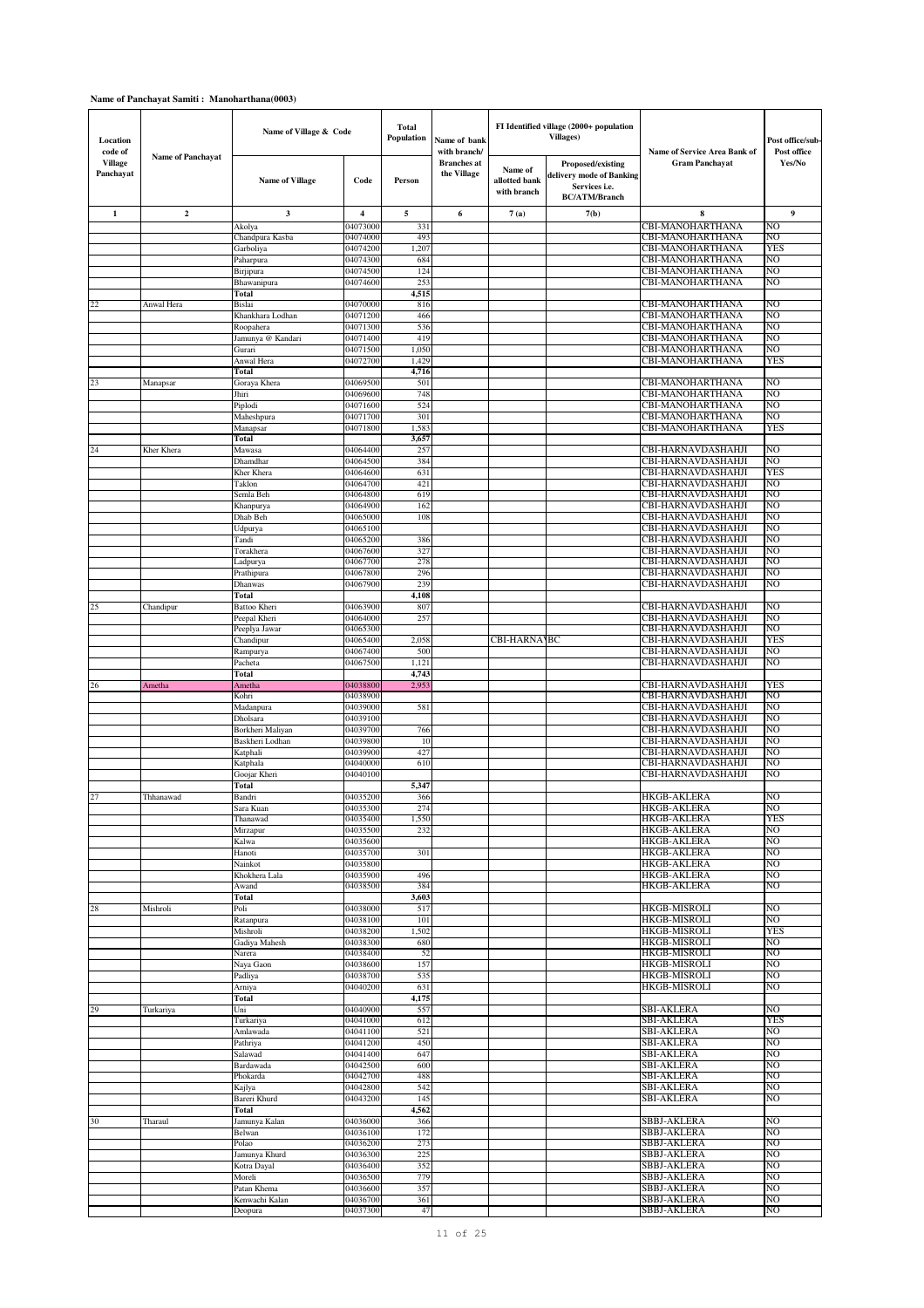| Location<br>code of         |                          | Name of Village & Code        |                      | Total<br><b>Population</b> | Name of bank<br>with branch/      |                                         | FI Identified village (2000+ population<br><b>Villages</b> )                           | Name of Service Area Bank of             | Post office/sub-<br>Post office |
|-----------------------------|--------------------------|-------------------------------|----------------------|----------------------------|-----------------------------------|-----------------------------------------|----------------------------------------------------------------------------------------|------------------------------------------|---------------------------------|
| <b>Village</b><br>Panchayat | <b>Name of Panchayat</b> | <b>Name of Village</b>        | Code                 | Person                     | <b>Branches</b> at<br>the Village | Name of<br>allotted bank<br>with branch | Proposed/existing<br>delivery mode of Banking<br>Services i.e.<br><b>BC/ATM/Branch</b> | <b>Gram Panchavat</b>                    | Yes/No                          |
| $\mathbf{1}$                | $\boldsymbol{2}$         | 3                             | 4                    | 5                          | 6                                 | 7(a)                                    | 7(b)                                                                                   | 8                                        | 9                               |
|                             |                          | Akolya                        | 0407300              | 33                         |                                   |                                         |                                                                                        | CBI-MANOHARTHANA                         | NO                              |
|                             |                          | Chandpura Kasba               | 04074000             | 493                        |                                   |                                         |                                                                                        | CBI-MANOHARTHANA                         | NO                              |
|                             |                          | Garboliya                     | 04074200<br>04074300 | 1,207<br>684               |                                   |                                         |                                                                                        | CBI-MANOHARTHANA<br>CBI-MANOHARTHANA     | YES<br>NO                       |
|                             |                          | Paharpura<br>Birjipura        | 04074500             | 124                        |                                   |                                         |                                                                                        | CBI-MANOHARTHANA                         | NO                              |
|                             |                          | Bhawanipura                   | 04074600             | 25.3                       |                                   |                                         |                                                                                        | CBI-MANOHARTHANA                         | NO                              |
|                             |                          | Total                         |                      | 4,515                      |                                   |                                         |                                                                                        |                                          |                                 |
| 22                          | Anwal Hera               | <b>Bislai</b>                 | 04070000             | 816                        |                                   |                                         |                                                                                        | CBI-MANOHARTHANA                         | NO                              |
|                             |                          | Khankhara Lodhan<br>Roopahera | 04071200<br>04071300 | 466<br>536                 |                                   |                                         |                                                                                        | CBI-MANOHARTHANA<br>CBI-MANOHARTHANA     | NO<br>NO                        |
|                             |                          | Jamunya @ Kandari             | 04071400             | 419                        |                                   |                                         |                                                                                        | CBI-MANOHARTHANA                         | NO                              |
|                             |                          | Gurari                        | 04071500             | 1,050                      |                                   |                                         |                                                                                        | CBI-MANOHARTHANA                         | NO                              |
|                             |                          | Anwal Hera                    | 04072700             | 1,429                      |                                   |                                         |                                                                                        | CBI-MANOHARTHANA                         | YES                             |
|                             |                          | Total                         |                      | 4,716                      |                                   |                                         |                                                                                        |                                          |                                 |
| 23                          | Manapsar                 | Goraya Khera<br>Jhiri         | 04069500<br>04069600 | 501<br>748                 |                                   |                                         |                                                                                        | CBI-MANOHARTHANA<br>CBI-MANOHARTHANA     | NO<br>NO                        |
|                             |                          | Piplodi                       | 04071600             | 524                        |                                   |                                         |                                                                                        | CBI-MANOHARTHANA                         | NO                              |
|                             |                          | Maheshpura                    | 04071700             | 301                        |                                   |                                         |                                                                                        | <b>CBI-MANOHARTHANA</b>                  | NO                              |
|                             |                          | Manapsar                      | 04071800             | 1,583                      |                                   |                                         |                                                                                        | CBI-MANOHARTHANA                         | YES                             |
| 24                          | Kher Khera               | Total                         |                      | 3,657<br>257               |                                   |                                         |                                                                                        | CBI-HARNAVDASHAHJI                       | NO                              |
|                             |                          | Mawasa<br>Dhamdhar            | 04064400<br>04064500 | 384                        |                                   |                                         |                                                                                        | CBI-HARNAVDASHAHJI                       | NO                              |
|                             |                          | Kher Khera                    | 04064600             | 631                        |                                   |                                         |                                                                                        | CBI-HARNAVDASHAHJI                       | YES                             |
|                             |                          | Taklon                        | 04064700             | 421                        |                                   |                                         |                                                                                        | CBI-HARNAVDASHAHJI                       | NO                              |
|                             |                          | Semla Beh                     | 04064800             | 619                        |                                   |                                         |                                                                                        | CBI-HARNAVDASHAHJI                       | NO                              |
|                             |                          | Khanpurya<br>Dhab Beh         | 04064900<br>04065000 | 162<br>108                 |                                   |                                         |                                                                                        | CBI-HARNAVDASHAHJI<br>CBI-HARNAVDASHAHJI | NO<br>NO                        |
|                             |                          | Udpurya                       | 04065100             |                            |                                   |                                         |                                                                                        | CBI-HARNAVDASHAHJI                       | NO                              |
|                             |                          | Tandi                         | 04065200             | 386                        |                                   |                                         |                                                                                        | CBI-HARNAVDASHAHJI                       | NO                              |
|                             |                          | Torakhera                     | 04067600             | 327                        |                                   |                                         |                                                                                        | CBI-HARNAVDASHAHJI                       | NO                              |
|                             |                          | Ladpurya                      | 04067700             | 278                        |                                   |                                         |                                                                                        | CBI-HARNAVDASHAHJI                       | NO                              |
|                             |                          | Prathipura<br>Dhanwas         | 04067800<br>04067900 | 296<br>239                 |                                   |                                         |                                                                                        | CBI-HARNAVDASHAHJI<br>CBI-HARNAVDASHAHJI | NO<br>NO                        |
|                             |                          | Total                         |                      | 4,108                      |                                   |                                         |                                                                                        |                                          |                                 |
| 25                          | Chandipur                | Battoo Kheri                  | 04063900             | 807                        |                                   |                                         |                                                                                        | CBI-HARNAVDASHAHJI                       | NO                              |
|                             |                          | Peepal Kheri                  | 04064000             | 257                        |                                   |                                         |                                                                                        | CBI-HARNAVDASHAHJI                       | NO                              |
|                             |                          | Peeplya Jawar                 | 04065300             |                            |                                   |                                         |                                                                                        | CBI-HARNAVDASHAHJI                       | NO                              |
|                             |                          | Chandipur<br>Rampurya         | 04065400<br>04067400 | 2,058<br>500               |                                   | <b>CBI-HARNAMBC</b>                     |                                                                                        | CBI-HARNAVDASHAHJI<br>CBI-HARNAVDASHAHJI | YES<br>NO                       |
|                             |                          | Pacheta                       | 04067500             | 1,121                      |                                   |                                         |                                                                                        | CBI-HARNAVDASHAHJI                       | NO                              |
|                             |                          | Total                         |                      | 4,743                      |                                   |                                         |                                                                                        |                                          |                                 |
| 26                          | Ametha                   | Ametha                        | 04038800             | 2,953                      |                                   |                                         |                                                                                        | CBI-HARNAVDASHAHJI                       | YES                             |
|                             |                          | Kohri                         | 04038900<br>04039000 | 581                        |                                   |                                         |                                                                                        | CBI-HARNAVDASHAHJI<br>CBI-HARNAVDASHAHJI | NO<br>NO                        |
|                             |                          | Madanpura<br>Dholsara         | 04039100             |                            |                                   |                                         |                                                                                        | CBI-HARNAVDASHAHJI                       | NO                              |
|                             |                          | Borkheri Maliyan              | 04039700             | 766                        |                                   |                                         |                                                                                        | CBI-HARNAVDASHAHJI                       | NO                              |
|                             |                          | Baskheri Lodhan               | 04039800             | 10                         |                                   |                                         |                                                                                        | CBI-HARNAVDASHAHJI                       | NO                              |
|                             |                          | Katphali                      | 04039900             | 427                        |                                   |                                         |                                                                                        | CBI-HARNAVDASHAHJI                       | NO                              |
|                             |                          | Katphala<br>Goojar Kheri      | 04040000<br>04040100 | 610                        |                                   |                                         |                                                                                        | CBI-HARNAVDASHAHJI<br>CBI-HARNAVDASHAHJI | NO<br>NO                        |
|                             |                          | Total                         |                      | 5,347                      |                                   |                                         |                                                                                        |                                          |                                 |
| 27                          | Thhanawad                | Bandri                        | 04035200             | 366                        |                                   |                                         |                                                                                        | HKGB-AKLERA                              | NO                              |
|                             |                          | Sara Kuan                     | 04035300             | 274                        |                                   |                                         |                                                                                        | HKGB-AKLERA                              | NO                              |
|                             |                          | Thanawad                      | 04035400<br>04035500 | 1,550<br>232               |                                   |                                         |                                                                                        | HKGB-AKLERA<br>HKGB-AKLERA               | <b>YES</b><br>NO                |
|                             |                          | Mirzapur<br>Kalwa             | 04035600             |                            |                                   |                                         |                                                                                        | HKGB-AKLERA                              | NO                              |
|                             |                          | Hanoti                        | 04035700             | 301                        |                                   |                                         |                                                                                        | <b>HKGB-AKLERA</b>                       | NO                              |
|                             |                          | Nainkot                       | 04035800             |                            |                                   |                                         |                                                                                        | <b>HKGB-AKLERA</b>                       | NO                              |
|                             |                          | Khokhera Lala                 | 04035900<br>04038500 | 496<br>384                 |                                   |                                         |                                                                                        | HKGB-AKLERA<br>HKGB-AKLERA               | NO<br>NO                        |
|                             |                          | Awand<br>Total                |                      | 3,603                      |                                   |                                         |                                                                                        |                                          |                                 |
| 28                          | Mishroli                 | Poli                          | 04038000             | 517                        |                                   |                                         |                                                                                        | HKGB-MISROLI                             | NO                              |
|                             |                          | Ratanpura                     | 04038100             | 101                        |                                   |                                         |                                                                                        | HKGB-MISROLI                             | NO                              |
|                             |                          | Mishroli                      | 04038200             | 1,502                      |                                   |                                         |                                                                                        | HKGB-MISROLI                             | <b>YES</b>                      |
|                             |                          | Gadiya Mahesh<br>Narera       | 04038300<br>04038400 | 680<br>52                  |                                   |                                         |                                                                                        | HKGB-MISROLI<br>HKGB-MISROLI             | NO<br>NO                        |
|                             |                          | Naya Gaon                     | 04038600             | 157                        |                                   |                                         |                                                                                        | HKGB-MISROLI                             | NO                              |
|                             |                          | Padliya                       | 04038700             | 535                        |                                   |                                         |                                                                                        | HKGB-MISROLI                             | NO                              |
|                             |                          | Arniya                        | 04040200             | 631                        |                                   |                                         |                                                                                        | HKGB-MISROLI                             | NO                              |
| 29                          | Turkariya                | Total<br>Uni                  | 04040900             | 4,175<br>557               |                                   |                                         |                                                                                        | SBI-AKLERA                               | NO                              |
|                             |                          | Turkariya                     | 04041000             | 612                        |                                   |                                         |                                                                                        | <b>SBI-AKLERA</b>                        | YES                             |
|                             |                          | Amlawada                      | 04041100             | 521                        |                                   |                                         |                                                                                        | SBI-AKLERA                               | NO                              |
|                             |                          | Pathriya                      | 04041200             | 450                        |                                   |                                         |                                                                                        | SBI-AKLERA                               | NO                              |
|                             |                          | Salawad                       | 04041400             | 647                        |                                   |                                         |                                                                                        | <b>SBI-AKLERA</b>                        | NO                              |
|                             |                          | Bardawada<br>Phokarda         | 04042500<br>04042700 | 600<br>488                 |                                   |                                         |                                                                                        | <b>SBI-AKLERA</b><br><b>SBI-AKLERA</b>   | NO<br>NO                        |
|                             |                          | Kajlya                        | 04042800             | 542                        |                                   |                                         |                                                                                        | SBI-AKLERA                               | NO                              |
|                             |                          | Bareri Khurd                  | 04043200             | 145                        |                                   |                                         |                                                                                        | SBI-AKLERA                               | NO                              |
|                             |                          | Total                         |                      | 4,562                      |                                   |                                         |                                                                                        |                                          |                                 |
| 30                          | Tharaul                  | Jamunya Kalan                 | 04036000             | 366                        |                                   |                                         |                                                                                        | SBBJ-AKLERA                              | NO                              |
|                             |                          | Belwan<br>Polao               | 04036100<br>04036200 | 172<br>273                 |                                   |                                         |                                                                                        | SBBJ-AKLERA<br>SBBJ-AKLERA               | NO<br>NO                        |
|                             |                          | Jamunya Khurd                 | 04036300             | 225                        |                                   |                                         |                                                                                        | SBBJ-AKLERA                              | NO                              |
|                             |                          | Kotra Dayal                   | 04036400             | 352                        |                                   |                                         |                                                                                        | SBBJ-AKLERA                              | NO                              |
|                             |                          | Moreli                        | 04036500             | 779                        |                                   |                                         |                                                                                        | SBBJ-AKLERA                              | NO                              |
|                             |                          | Patan Khema<br>Kenwachi Kalan | 04036600<br>04036700 | 357<br>361                 |                                   |                                         |                                                                                        | SBBJ-AKLERA<br>SBBJ-AKLERA               | NO<br>NO                        |
|                             |                          | Deopura                       | 04037300             | 47                         |                                   |                                         |                                                                                        | SBBJ-AKLERA                              | NO                              |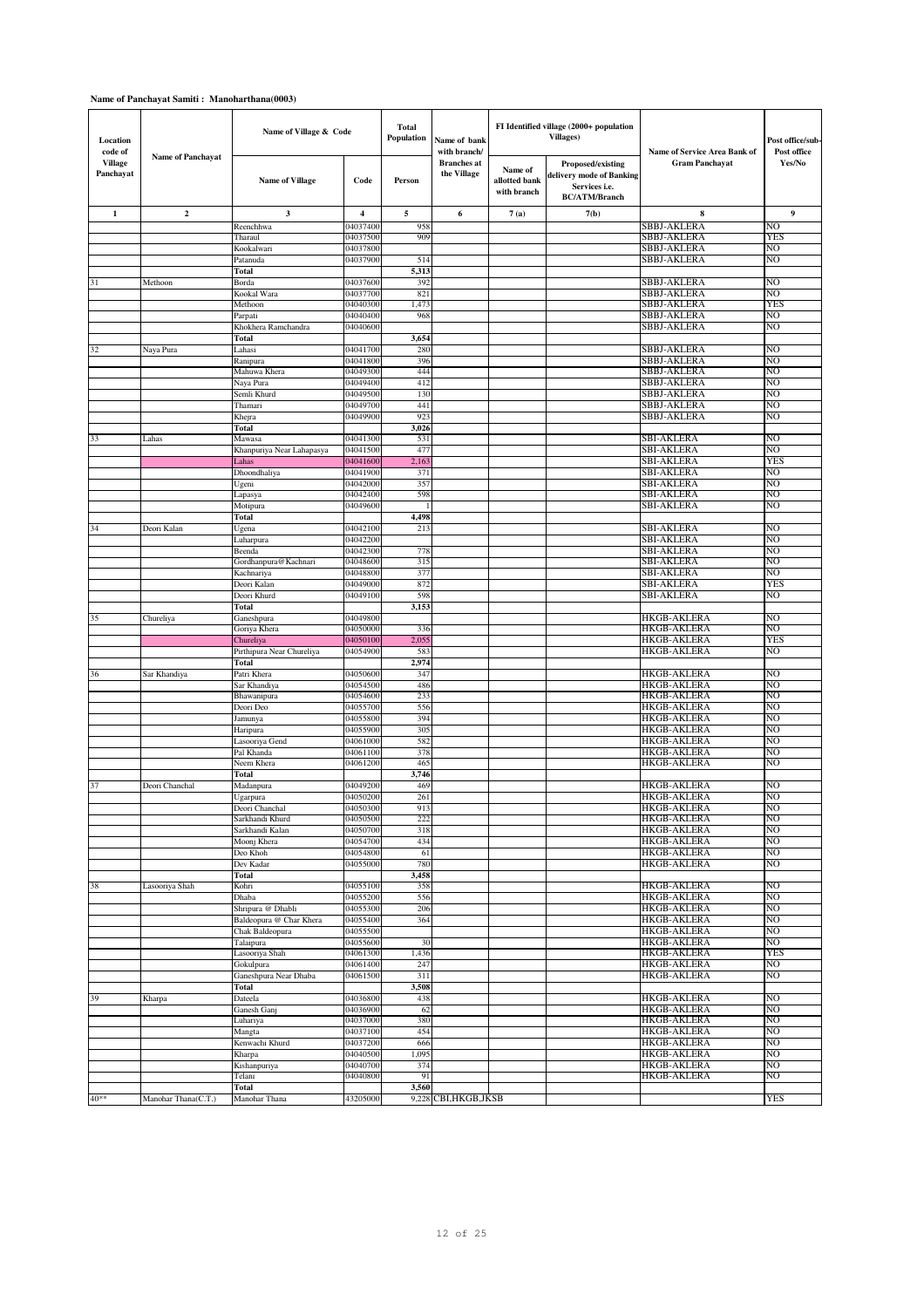| Location<br>code of         |                          | Name of Village & Code                       |                         | <b>Total</b><br>Population | Name of bank<br>with branch/      |                                         | FI Identified village (2000+ population<br><b>Villages</b> )                           | Name of Service Area Bank of             | Post office/sub-<br>Post office |
|-----------------------------|--------------------------|----------------------------------------------|-------------------------|----------------------------|-----------------------------------|-----------------------------------------|----------------------------------------------------------------------------------------|------------------------------------------|---------------------------------|
| <b>Village</b><br>Panchayat | <b>Name of Panchayat</b> | <b>Name of Village</b>                       | Code                    | Person                     | <b>Branches</b> at<br>the Village | Name of<br>allotted bank<br>with branch | Proposed/existing<br>delivery mode of Banking<br>Services i.e.<br><b>BC/ATM/Branch</b> | <b>Gram Panchayat</b>                    | Yes/No                          |
| $\mathbf{1}$                | $\boldsymbol{2}$         | 3                                            | $\overline{\mathbf{4}}$ | 5                          | 6                                 | 7(a)                                    | 7(b)                                                                                   | 8                                        | 9                               |
|                             |                          | Reenchhwa                                    | 04037400                | 958                        |                                   |                                         |                                                                                        | SBBJ-AKLERA                              | NO                              |
|                             |                          | Tharaul                                      | 04037500<br>04037800    | 909                        |                                   |                                         |                                                                                        | SBBJ-AKLERA<br>SBBJ-AKLERA               | YES<br>N <sub>O</sub>           |
|                             |                          | Kookalwari<br>Patanuda                       | 04037900                | 514                        |                                   |                                         |                                                                                        | SBBJ-AKLERA                              | NO                              |
|                             |                          | Total                                        |                         | 5,313                      |                                   |                                         |                                                                                        |                                          |                                 |
| 31                          | Methoon                  | Borda                                        | 04037600                | 392                        |                                   |                                         |                                                                                        | SBBJ-AKLERA                              | N <sub>O</sub>                  |
|                             |                          | Kookal Wara                                  | 04037700                | 821                        |                                   |                                         |                                                                                        | SBBJ-AKLERA                              | NO                              |
|                             |                          | Methoon                                      | 04040300                | 1,473                      |                                   |                                         |                                                                                        | SBBJ-AKLERA                              | YES                             |
|                             |                          | Parpati<br>Khokhera Ramchandra               | 04040400<br>04040600    | 968                        |                                   |                                         |                                                                                        | SBBJ-AKLERA<br>SBBJ-AKLERA               | NO<br>NO                        |
|                             |                          | Total                                        |                         | 3,654                      |                                   |                                         |                                                                                        |                                          |                                 |
| 32                          | Naya Pura                | Lahasi                                       | 04041700                | 280                        |                                   |                                         |                                                                                        | SBBJ-AKLERA                              | NO                              |
|                             |                          | Ranipura                                     | 04041800                | 396                        |                                   |                                         |                                                                                        | SBBJ-AKLERA                              | NO                              |
|                             |                          | Mahuwa Khera                                 | 04049300<br>04049400    | 444<br>412                 |                                   |                                         |                                                                                        | SBBJ-AKLERA                              | NO<br>NO                        |
|                             |                          | Naya Pura<br>Semli Khurd                     | 04049500                | 130                        |                                   |                                         |                                                                                        | SBBJ-AKLERA<br>SBBJ-AKLERA               | N <sub>O</sub>                  |
|                             |                          | Thamari                                      | 04049700                | 441                        |                                   |                                         |                                                                                        | SBBJ-AKLERA                              | NO                              |
|                             |                          | Khejra                                       | 04049900                | 923                        |                                   |                                         |                                                                                        | SBBJ-AKLERA                              | NO                              |
|                             |                          | Total                                        |                         | 3,026                      |                                   |                                         |                                                                                        |                                          |                                 |
| 33                          | Lahas                    | Mawasa                                       | 04041300<br>04041500    | 531<br>477                 |                                   |                                         |                                                                                        | <b>SBI-AKLERA</b>                        | NO<br>NO                        |
|                             |                          | Khanpuriya Near Lahapasya<br>Lahas           | 04041600                | 2,163                      |                                   |                                         |                                                                                        | SBI-AKLERA<br>SBI-AKLERA                 | YES                             |
|                             |                          | Dhoondhaliya                                 | 04041900                | 371                        |                                   |                                         |                                                                                        | SBI-AKLERA                               | NO                              |
|                             |                          | Ugeni                                        | 04042000                | 357                        |                                   |                                         |                                                                                        | SBI-AKLERA                               | NO                              |
|                             |                          | Lapasya                                      | 04042400                | 598                        |                                   |                                         |                                                                                        | SBI-AKLERA                               | NO                              |
|                             |                          | Motipura                                     | 04049600                |                            |                                   |                                         |                                                                                        | SBI-AKLERA                               | N <sub>O</sub>                  |
| 34                          | Deori Kalan              | Total<br>Ugena                               | 04042100                | 4,498<br>213               |                                   |                                         |                                                                                        | <b>SBI-AKLERA</b>                        | N <sub>O</sub>                  |
|                             |                          | Luharpura                                    | 04042200                |                            |                                   |                                         |                                                                                        | <b>SBI-AKLERA</b>                        | NO                              |
|                             |                          | Beenda                                       | 04042300                | 778                        |                                   |                                         |                                                                                        | <b>SBI-AKLERA</b>                        | NO                              |
|                             |                          | Gordhanpura@Kachnari                         | 04048600                | 315                        |                                   |                                         |                                                                                        | <b>SBI-AKLERA</b>                        | NO                              |
|                             |                          | Kachnariya                                   | 04048800                | 377                        |                                   |                                         |                                                                                        | <b>SBI-AKLERA</b>                        | NO                              |
|                             |                          | Deori Kalan<br>Deori Khurd                   | 04049000<br>04049100    | 872<br>598                 |                                   |                                         |                                                                                        | <b>SBI-AKLERA</b><br>SBI-AKLERA          | YES<br>NO                       |
|                             |                          | Total                                        |                         | 3,153                      |                                   |                                         |                                                                                        |                                          |                                 |
| 35                          | Chureliya                | Ganeshpura                                   | 04049800                |                            |                                   |                                         |                                                                                        | <b>HKGB-AKLERA</b>                       | N <sub>O</sub>                  |
|                             |                          | Goriya Khera                                 | 04050000                | 336                        |                                   |                                         |                                                                                        | <b>HKGB-AKLERA</b>                       | NO                              |
|                             |                          | Chureliya<br>Pirthipura Near Chureliya       | 04050100<br>04054900    | 2,055<br>583               |                                   |                                         |                                                                                        | <b>HKGB-AKLERA</b><br><b>HKGB-AKLERA</b> | YES<br>NO                       |
|                             |                          | Total                                        |                         | 2,974                      |                                   |                                         |                                                                                        |                                          |                                 |
| 36                          | Sar Khandiya             | Patri Khera                                  | 04050600                | 347                        |                                   |                                         |                                                                                        | <b>HKGB-AKLERA</b>                       | NO                              |
|                             |                          | Sar Khandiya                                 | 04054500                | 486                        |                                   |                                         |                                                                                        | <b>HKGB-AKLERA</b>                       | NO                              |
|                             |                          | Bhawanipura                                  | 04054600                | 233                        |                                   |                                         |                                                                                        | <b>HKGB-AKLERA</b>                       | N <sub>O</sub>                  |
|                             |                          | Deori Deo<br>Jamunya                         | 04055700<br>04055800    | 556<br>394                 |                                   |                                         |                                                                                        | <b>HKGB-AKLERA</b><br><b>HKGB-AKLERA</b> | NO<br>NO                        |
|                             |                          | Haripura                                     | 04055900                | 305                        |                                   |                                         |                                                                                        | <b>HKGB-AKLERA</b>                       | N <sub>O</sub>                  |
|                             |                          | Lasooriya Gend                               | 04061000                | 582                        |                                   |                                         |                                                                                        | <b>HKGB-AKLERA</b>                       | NO                              |
|                             |                          | Pal Khanda                                   | 04061100                | 378                        |                                   |                                         |                                                                                        | <b>HKGB-AKLERA</b>                       | NO                              |
|                             |                          | Neem Khera<br>Total                          | 04061200                | 465<br>3,746               |                                   |                                         |                                                                                        | <b>HKGB-AKLERA</b>                       | NO                              |
| 37                          | Deori Chanchal           | Madanpura                                    | 04049200                | 469                        |                                   |                                         |                                                                                        | <b>HKGB-AKLERA</b>                       | NO                              |
|                             |                          | Ugarpura                                     | 04050200                | 261                        |                                   |                                         |                                                                                        | <b>HKGB-AKLERA</b>                       | N <sub>O</sub>                  |
|                             |                          | Deori Chanchal                               | 04050300                | 913                        |                                   |                                         |                                                                                        | <b>HKGB-AKLERA</b>                       | NO                              |
|                             |                          | Sarkhandi Khurd                              | 04050500                | 222                        |                                   |                                         |                                                                                        | <b>HKGB-AKLERA</b><br><b>HKGB-AKLERA</b> | N <sub>O</sub>                  |
|                             |                          | Sarkhandi Kalan<br>Moonj Khera               | 04050700<br>04054700    | 318<br>434                 |                                   |                                         |                                                                                        | <b>HKGB-AKLERA</b>                       | NO<br>NO                        |
|                             |                          | Deo Khoh                                     | 04054800                | 61                         |                                   |                                         |                                                                                        | <b>HKGB-AKLERA</b>                       | N <sub>O</sub>                  |
|                             |                          | Dev Kadar                                    | 04055000                | 780                        |                                   |                                         |                                                                                        | <b>HKGB-AKLERA</b>                       | N <sub>O</sub>                  |
|                             |                          |                                              |                         | 3,458                      |                                   |                                         |                                                                                        |                                          |                                 |
| 38                          |                          | Total                                        |                         |                            |                                   |                                         |                                                                                        |                                          |                                 |
|                             | Lasooriya Shah           | Kohri                                        | 04055100                | 358                        |                                   |                                         |                                                                                        | <b>HKGB-AKLERA</b>                       | NO                              |
|                             |                          | Dhaba                                        | 04055200                | 556                        |                                   |                                         |                                                                                        | HKGB-AKLERA                              | NO                              |
|                             |                          | Shripura @ Dhabli<br>Baldeopura @ Char Khera | 04055300<br>04055400    | 206<br>364                 |                                   |                                         |                                                                                        | <b>HKGB-AKLERA</b><br><b>HKGB-AKLERA</b> | N <sub>O</sub><br>NO            |
|                             |                          | Chak Baldeopura                              | 04055500                |                            |                                   |                                         |                                                                                        | <b>HKGB-AKLERA</b>                       | N <sub>O</sub>                  |
|                             |                          | Talaipura                                    | 04055600                | 30                         |                                   |                                         |                                                                                        | <b>HKGB-AKLERA</b>                       | NO                              |
|                             |                          | Lasooriya Shah                               | 04061300                | 1,436                      |                                   |                                         |                                                                                        | HKGB-AKLERA                              | YES                             |
|                             |                          | Gokulpura                                    | 04061400                | 247                        |                                   |                                         |                                                                                        | <b>HKGB-AKLERA</b><br><b>HKGB-AKLERA</b> | N <sub>O</sub><br>NO            |
|                             |                          | Ganeshpura Near Dhaba<br>Total               | 04061500                | 311<br>3,508               |                                   |                                         |                                                                                        |                                          |                                 |
| 39                          | Kharpa                   | Dateela                                      | 04036800                | 438                        |                                   |                                         |                                                                                        | <b>HKGB-AKLERA</b>                       | NO                              |
|                             |                          | Ganesh Ganj                                  | 04036900                | 62                         |                                   |                                         |                                                                                        | HKGB-AKLERA                              | NO                              |
|                             |                          | Luhariya                                     | 04037000                | 380                        |                                   |                                         |                                                                                        | <b>HKGB-AKLERA</b>                       | N <sub>O</sub>                  |
|                             |                          | Mangta                                       | 04037100                | 454<br>666                 |                                   |                                         |                                                                                        | <b>HKGB-AKLERA</b>                       | NO<br>N <sub>O</sub>            |
|                             |                          | Kenwachi Khurd<br>Kharpa                     | 04037200<br>04040500    | 1,095                      |                                   |                                         |                                                                                        | <b>HKGB-AKLERA</b><br><b>HKGB-AKLERA</b> | NO                              |
|                             |                          | Kishanpuriya                                 | 04040700                | 374                        |                                   |                                         |                                                                                        | HKGB-AKLERA                              | NO                              |
|                             |                          | Telani<br>Total                              | 04040800                | 91<br>3,560                |                                   |                                         |                                                                                        | <b>HKGB-AKLERA</b>                       | N <sub>O</sub>                  |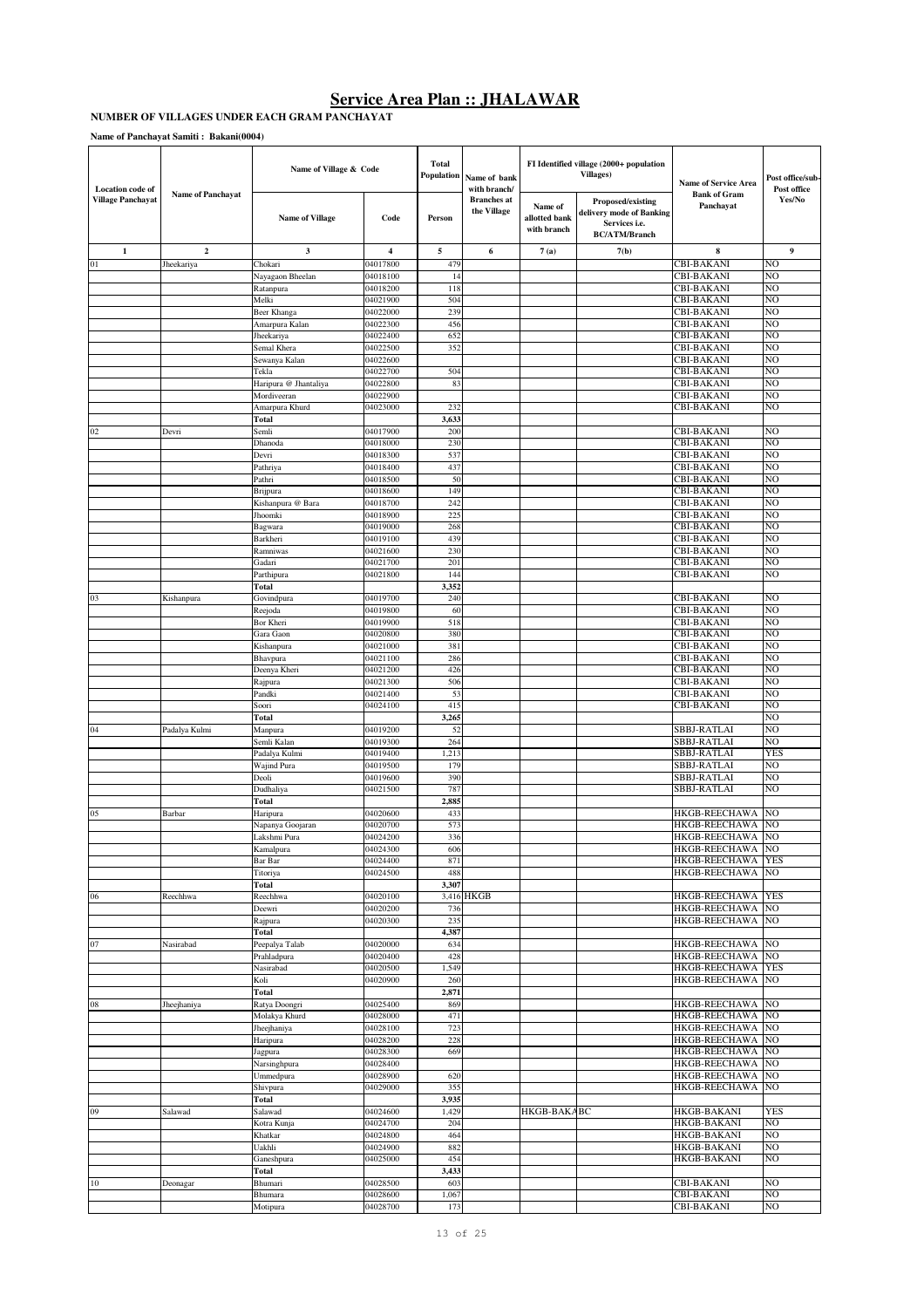#### **NUMBER OF VILLAGES UNDER EACH GRAM PANCHAYAT**

| <b>Location</b> code of  |                          | Name of Village & Code               |                      | <b>Total</b><br><b>Population</b> | Name of bank<br>with branch/      |                                         | FI Identified village (2000+ population<br><b>Villages)</b>                            | Name of Service Area                         | Post office/sub-<br>Post office |
|--------------------------|--------------------------|--------------------------------------|----------------------|-----------------------------------|-----------------------------------|-----------------------------------------|----------------------------------------------------------------------------------------|----------------------------------------------|---------------------------------|
| <b>Village Panchayat</b> | <b>Name of Panchayat</b> | <b>Name of Village</b>               | Code                 | Person                            | <b>Branches</b> at<br>the Village | Name of<br>allotted bank<br>with branch | Proposed/existing<br>delivery mode of Banking<br>Services i.e.<br><b>BC/ATM/Branch</b> | <b>Bank of Gram</b><br>Panchayat             | Yes/No                          |
| $\mathbf{1}$             | $\boldsymbol{2}$         | 3                                    | 4                    | 5                                 | 6                                 | 7(a)                                    | 7(b)                                                                                   | 8                                            | 9                               |
| 01                       | Jheekariya               | Chokari                              | 04017800             | 479                               |                                   |                                         |                                                                                        | <b>CBI-BAKANI</b>                            | NO                              |
|                          |                          | Nayagaon Bheelan                     | 04018100             | 14                                |                                   |                                         |                                                                                        | CBI-BAKANI                                   | NO                              |
|                          |                          | Ratanpura                            | 04018200             | 118                               |                                   |                                         |                                                                                        | <b>CBI-BAKANI</b>                            | NO                              |
|                          |                          | Melki<br>Beer Khanga                 | 04021900<br>04022000 | 504<br>239                        |                                   |                                         |                                                                                        | CBI-BAKANI<br>CBI-BAKANI                     | NO<br>NO                        |
|                          |                          | Amarpura Kalan                       | 04022300             | 456                               |                                   |                                         |                                                                                        | <b>CBI-BAKANI</b>                            | NO                              |
|                          |                          | Jheekariya                           | 04022400             | 652                               |                                   |                                         |                                                                                        | <b>CBI-BAKANI</b>                            | NO                              |
|                          |                          | Semal Khera                          | 04022500             | 352                               |                                   |                                         |                                                                                        | CBI-BAKANI                                   | NO                              |
|                          |                          | Sewanya Kalan                        | 04022600             |                                   |                                   |                                         |                                                                                        | CBI-BAKANI                                   | NO                              |
|                          |                          | Tekla                                | 04022700             | 504                               |                                   |                                         |                                                                                        | CBI-BAKANI                                   | NO                              |
|                          |                          | Haripura @ Jhantaliya<br>Mordiveeran | 04022800<br>04022900 | 83                                |                                   |                                         |                                                                                        | <b>CBI-BAKANI</b><br>CBI-BAKANI              | NO<br>NO                        |
|                          |                          | Amarpura Khurd                       | 04023000             | 232                               |                                   |                                         |                                                                                        | CBI-BAKANI                                   | NO                              |
|                          |                          | Total                                |                      | 3,633                             |                                   |                                         |                                                                                        |                                              |                                 |
| 02                       | Devri                    | Semli                                | 04017900             | 200                               |                                   |                                         |                                                                                        | <b>CBI-BAKANI</b>                            | NO                              |
|                          |                          | Dhanoda                              | 04018000             | 230                               |                                   |                                         |                                                                                        | <b>CBI-BAKANI</b>                            | NO                              |
|                          |                          | Devri                                | 04018300             | 537                               |                                   |                                         |                                                                                        | <b>CBI-BAKANI</b>                            | NO                              |
|                          |                          | Pathriya                             | 04018400             | 437                               |                                   |                                         |                                                                                        | <b>CBI-BAKANI</b>                            | NO                              |
|                          |                          | Pathri                               | 04018500             | 50<br>149                         |                                   |                                         |                                                                                        | <b>CBI-BAKANI</b><br><b>CBI-BAKANI</b>       | NO<br>NO                        |
|                          |                          | Brijpura<br>Kishanpura @ Bara        | 04018600<br>04018700 | 242                               |                                   |                                         |                                                                                        | <b>CBI-BAKANI</b>                            | NO                              |
|                          |                          | Jhoomki                              | 04018900             | 225                               |                                   |                                         |                                                                                        | <b>CBI-BAKANI</b>                            | NO                              |
|                          |                          | Bagwara                              | 04019000             | 268                               |                                   |                                         |                                                                                        | CBI-BAKANI                                   | NO                              |
|                          |                          | Barkheri                             | 04019100             | 439                               |                                   |                                         |                                                                                        | <b>CBI-BAKANI</b>                            | NO                              |
|                          |                          | Ramniwas                             | 04021600             | 230                               |                                   |                                         |                                                                                        | <b>CBI-BAKANI</b>                            | NO                              |
|                          |                          | Gadari                               | 04021700             | 201                               |                                   |                                         |                                                                                        | CBI-BAKANI                                   | NO                              |
|                          |                          | Parthipura                           | 04021800             | 144<br>3,352                      |                                   |                                         |                                                                                        | CBI-BAKANI                                   | NO                              |
| 03                       | Kishanpura               | Total<br>Govindpura                  | 04019700             | 240                               |                                   |                                         |                                                                                        | <b>CBI-BAKANI</b>                            | NO                              |
|                          |                          | Reejoda                              | 04019800             | 60                                |                                   |                                         |                                                                                        | CBI-BAKANI                                   | NO                              |
|                          |                          | Bor Kheri                            | 04019900             | 518                               |                                   |                                         |                                                                                        | <b>CBI-BAKANI</b>                            | NO                              |
|                          |                          | Gara Gaon                            | 04020800             | 380                               |                                   |                                         |                                                                                        | CBI-BAKANI                                   | NO                              |
|                          |                          | Kishanpura                           | 04021000             | 381                               |                                   |                                         |                                                                                        | CBI-BAKANI                                   | NO                              |
|                          |                          | Bhavpura                             | 04021100             | 286                               |                                   |                                         |                                                                                        | CBI-BAKANI                                   | NO                              |
|                          |                          | Deenya Kheri                         | 04021200             | 426<br>506                        |                                   |                                         |                                                                                        | CBI-BAKANI                                   | NO<br>NO                        |
|                          |                          | Rajpura<br>Pandki                    | 04021300<br>04021400 | 53                                |                                   |                                         |                                                                                        | <b>CBI-BAKANI</b><br>CBI-BAKANI              | NO                              |
|                          |                          | Soori                                | 04024100             | 415                               |                                   |                                         |                                                                                        | <b>CBI-BAKANI</b>                            | NO                              |
|                          |                          | Total                                |                      | 3,265                             |                                   |                                         |                                                                                        |                                              | NO                              |
| 04                       | Padalya Kulmi            | Manpura                              | 04019200             | 52                                |                                   |                                         |                                                                                        | SBBJ-RATLAI                                  | NO                              |
|                          |                          | Semli Kalan                          | 04019300             | 264                               |                                   |                                         |                                                                                        | SBBJ-RATLAI                                  | NO                              |
|                          |                          | Padalya Kulmi                        | 04019400             | 1,213                             |                                   |                                         |                                                                                        | <b>SBBJ-RATLAI</b>                           | <b>YES</b>                      |
|                          |                          | Wajind Pura                          | 04019500             | 179                               |                                   |                                         |                                                                                        | SBBJ-RATLAI                                  | NO                              |
|                          |                          | Deoli<br>Dudhaliya                   | 04019600<br>04021500 | 390<br>787                        |                                   |                                         |                                                                                        | SBBJ-RATLAI<br>SBBJ-RATLAI                   | NO<br>NO                        |
|                          |                          | Total                                |                      | 2,885                             |                                   |                                         |                                                                                        |                                              |                                 |
| 05                       | Barbar                   | Haripura                             | 04020600             | 433                               |                                   |                                         |                                                                                        | <b>HKGB-REECHAWA</b>                         | NO                              |
|                          |                          | Napanya Goojaran                     | 04020700             | 573                               |                                   |                                         |                                                                                        | <b>HKGB-REECHAWA</b>                         | NO                              |
|                          |                          | Lakshmi Pura                         | 04024200             | 336                               |                                   |                                         |                                                                                        | HKGB-REECHAWA                                | NO                              |
|                          |                          | Kamalpura                            | 04024300             | 606                               |                                   |                                         |                                                                                        | <b>HKGB-REECHAWA</b>                         | NO                              |
|                          |                          | Bar Bar<br>Titoriya                  | 04024400<br>04024500 | 871<br>488                        |                                   |                                         |                                                                                        | <b>HKGB-REECHAWA</b><br><b>HKGB-REECHAWA</b> | <b>YES</b><br>NO                |
|                          |                          | Total                                |                      | 3,307                             |                                   |                                         |                                                                                        |                                              |                                 |
| 06                       | Reechhwa                 | Reechhwa                             | 04020100             |                                   | 3,416 HKGB                        |                                         |                                                                                        | <b>HKGB-REECHAWA</b>                         | <b>YES</b>                      |
|                          |                          | Deewri                               | 04020200             | 736                               |                                   |                                         |                                                                                        | <b>HKGB-REECHAWA</b>                         | NO                              |
|                          |                          | Rajpura                              | 04020300             | 235                               |                                   |                                         |                                                                                        | <b>HKGB-REECHAWA</b>                         | NO                              |
|                          |                          | Total                                |                      | 4,387                             |                                   |                                         |                                                                                        |                                              | NO                              |
| 07                       | Nasirabad                | Peepalya Talab                       | 04020000<br>04020400 | 634<br>428                        |                                   |                                         |                                                                                        | <b>HKGB-REECHAWA</b><br><b>HKGB-REECHAWA</b> | NO                              |
|                          |                          | Prahladpura<br>Nasirabad             | 04020500             | 1,549                             |                                   |                                         |                                                                                        | HKGB-REECHAWA                                | <b>YES</b>                      |
|                          |                          | Koli                                 | 04020900             | 260                               |                                   |                                         |                                                                                        | <b>HKGB-REECHAWA</b>                         | NO                              |
|                          |                          | Total                                |                      | 2,871                             |                                   |                                         |                                                                                        |                                              |                                 |
| $08\,$                   | Jheejhaniya              | Ratya Doongri                        | 04025400             | 869                               |                                   |                                         |                                                                                        | <b>HKGB-REECHAWA</b>                         | NO                              |
|                          |                          | Molakya Khurd                        | 04028000             | 471                               |                                   |                                         |                                                                                        | HKGB-REECHAWA                                | NO                              |
|                          |                          | Jheejhaniya                          | 04028100             | 723                               |                                   |                                         |                                                                                        | <b>HKGB-REECHAWA</b>                         | NO                              |
|                          |                          | Haripura<br>Jagpura                  | 04028200<br>04028300 | 228<br>669                        |                                   |                                         |                                                                                        | <b>HKGB-REECHAWA</b><br><b>HKGB-REECHAWA</b> | NO<br>NO                        |
|                          |                          | Narsinghpura                         | 04028400             |                                   |                                   |                                         |                                                                                        | HKGB-REECHAWA                                | NO                              |
|                          |                          | Ummedpura                            | 04028900             | 620                               |                                   |                                         |                                                                                        | <b>HKGB-REECHAWA</b>                         | NO                              |
|                          |                          | Shivpura                             | 04029000             | 355                               |                                   |                                         |                                                                                        | <b>HKGB-REECHAWA</b>                         | NO                              |
|                          |                          | Total                                |                      | 3,935                             |                                   |                                         |                                                                                        |                                              |                                 |
| 09                       | Salawad                  | Salawad                              | 04024600             | 1,429                             |                                   | HKGB-BAKABC                             |                                                                                        | HKGB-BAKANI                                  | <b>YES</b>                      |
|                          |                          | Kotra Kunja                          | 04024700             | 204                               |                                   |                                         |                                                                                        | HKGB-BAKANI                                  | NO                              |
|                          |                          | Khatkar<br>Uakhli                    | 04024800<br>04024900 | 464<br>882                        |                                   |                                         |                                                                                        | HKGB-BAKANI<br><b>HKGB-BAKANI</b>            | NO<br>NO                        |
|                          |                          | Ganeshpura                           | 04025000             | 454                               |                                   |                                         |                                                                                        | HKGB-BAKANI                                  | NO                              |
|                          |                          | Total                                |                      | 3,433                             |                                   |                                         |                                                                                        |                                              |                                 |
| 10                       | Deonagar                 | Bhumari                              | 04028500             | 603                               |                                   |                                         |                                                                                        | CBI-BAKANI                                   | NO                              |
|                          |                          | Bhumara                              | 04028600             | 1,067                             |                                   |                                         |                                                                                        | CBI-BAKANI                                   | NO                              |
|                          |                          | Motipura                             | 04028700             | 173                               |                                   |                                         |                                                                                        | CBI-BAKANI                                   | NO                              |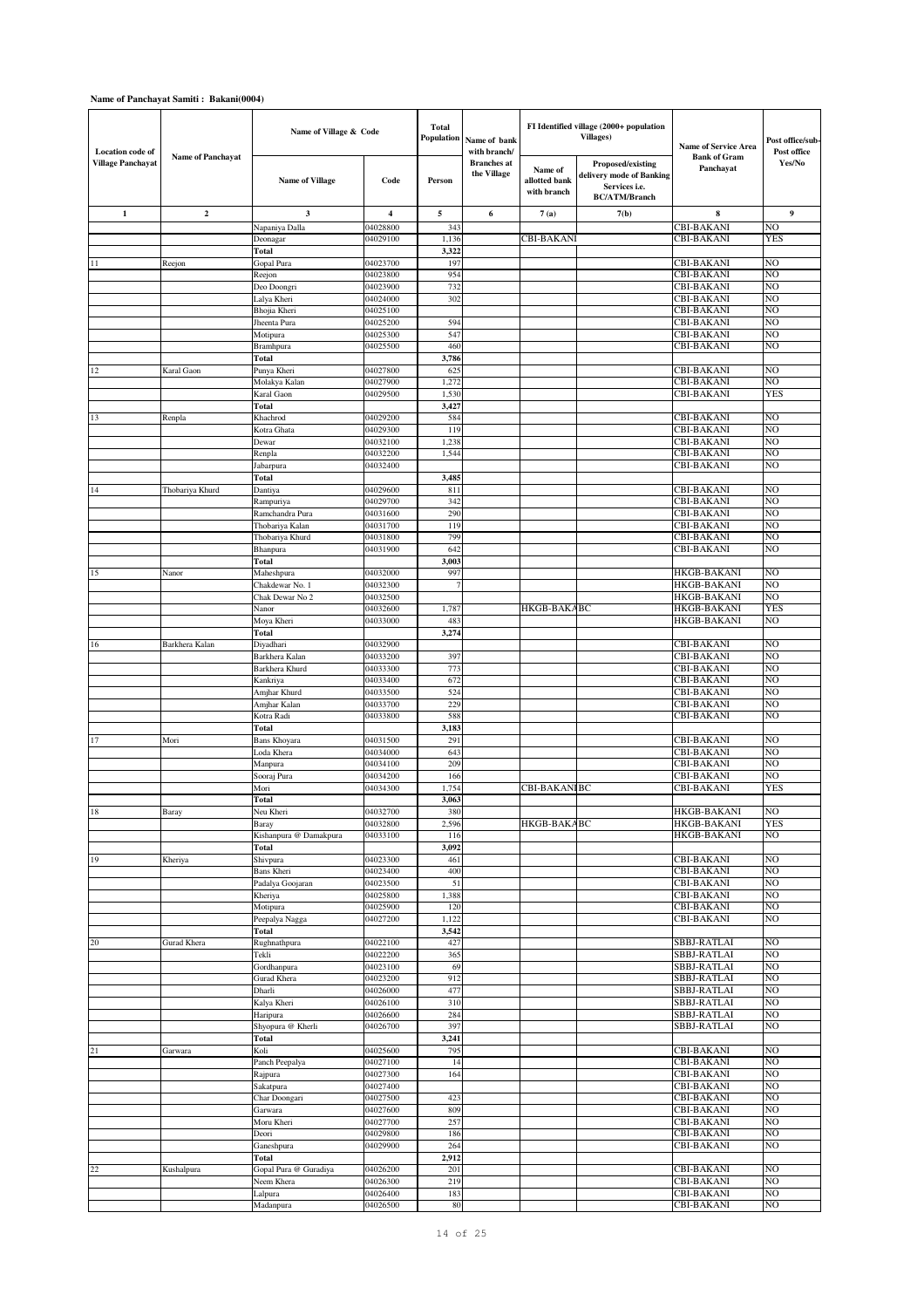| <b>Location</b> code of |                   | Name of Village & Code        |                      | <b>Total</b><br>Population | Name of bank<br>with branch/      |                                         | FI Identified village (2000+ population<br><b>Villages</b> )                           | <b>Name of Service Area</b>              | Post office/sub-<br>Post office |
|-------------------------|-------------------|-------------------------------|----------------------|----------------------------|-----------------------------------|-----------------------------------------|----------------------------------------------------------------------------------------|------------------------------------------|---------------------------------|
| Village Panchayat       | Name of Panchayat | <b>Name of Village</b>        | Code                 | Person                     | <b>Branches</b> at<br>the Village | Name of<br>allotted bank<br>with branch | Proposed/existing<br>delivery mode of Banking<br>Services i.e.<br><b>BC/ATM/Branch</b> | <b>Bank of Gram</b><br>Panchayat         | Yes/No                          |
| $\mathbf{1}$            | $\mathbf 2$       | 3                             | 4                    | 5                          | 6                                 | 7(a)                                    | 7(b)                                                                                   | 8                                        | 9                               |
|                         |                   | Napaniya Dalla                | 04028800             | 343                        |                                   |                                         |                                                                                        | <b>CBI-BAKANI</b>                        | NO                              |
|                         |                   | Deonagar                      | 04029100             | 1,136                      |                                   | <b>CBI-BAKANI</b>                       |                                                                                        | <b>CBI-BAKANI</b>                        | YES                             |
|                         |                   | Total                         |                      | 3,322                      |                                   |                                         |                                                                                        |                                          |                                 |
| 11                      | Reejon            | Gopal Pura                    | 04023700             | 197                        |                                   |                                         |                                                                                        | <b>CBI-BAKANI</b>                        | NÓ<br>NO                        |
|                         |                   | Reejon<br>Deo Doongri         | 04023800<br>04023900 | 954<br>732                 |                                   |                                         |                                                                                        | <b>CBI-BAKANI</b><br><b>CBI-BAKANI</b>   | NO                              |
|                         |                   | Lalya Kheri                   | 04024000             | 302                        |                                   |                                         |                                                                                        | <b>CBI-BAKANI</b>                        | NO                              |
|                         |                   | Bhojia Kheri                  | 04025100             |                            |                                   |                                         |                                                                                        | <b>CBI-BAKANI</b>                        | NO                              |
|                         |                   | Jheenta Pura                  | 04025200             | 594                        |                                   |                                         |                                                                                        | <b>CBI-BAKANI</b>                        | NO                              |
|                         |                   | Motipura                      | 04025300             | 547                        |                                   |                                         |                                                                                        | <b>CBI-BAKANI</b>                        | NO                              |
|                         |                   | Bramhpura                     | 04025500             | 460                        |                                   |                                         |                                                                                        | <b>CBI-BAKANI</b>                        | NO                              |
|                         |                   | Total                         |                      | 3,786                      |                                   |                                         |                                                                                        |                                          |                                 |
| 12                      | Karal Gaon        | Punya Kheri                   | 04027800             | 625                        |                                   |                                         |                                                                                        | <b>CBI-BAKANI</b>                        | NO                              |
|                         |                   | Molakya Kalan                 | 04027900             | 1,272                      |                                   |                                         |                                                                                        | <b>CBI-BAKANI</b>                        | NO                              |
|                         |                   | Karal Gaon                    | 04029500             | 1,530                      |                                   |                                         |                                                                                        | <b>CBI-BAKANI</b>                        | YES                             |
|                         |                   | Total                         |                      | 3,427                      |                                   |                                         |                                                                                        |                                          | NO                              |
| 13                      | Renpla            | Khachrod                      | 04029200             | 584<br>119                 |                                   |                                         |                                                                                        | <b>CBI-BAKANI</b><br><b>CBI-BAKANI</b>   | NO                              |
|                         |                   | Kotra Ghata<br>Dewar          | 04029300<br>04032100 | 1,238                      |                                   |                                         |                                                                                        | <b>CBI-BAKANI</b>                        | NO                              |
|                         |                   | Renpla                        | 04032200             | 1,544                      |                                   |                                         |                                                                                        | <b>CBI-BAKANI</b>                        | NO                              |
|                         |                   | Jabarpura                     | 04032400             |                            |                                   |                                         |                                                                                        | <b>CBI-BAKANI</b>                        | NO                              |
|                         |                   | Total                         |                      | 3,485                      |                                   |                                         |                                                                                        |                                          |                                 |
| 14                      | Thobariya Khurd   | Dantiya                       | 04029600             | 811                        |                                   |                                         |                                                                                        | <b>CBI-BAKANI</b>                        | NO                              |
|                         |                   | Rampuriya                     | 04029700             | 342                        |                                   |                                         |                                                                                        | <b>CBI-BAKANI</b>                        | NO                              |
|                         |                   | Ramchandra Pura               | 04031600             | 290                        |                                   |                                         |                                                                                        | <b>CBI-BAKANI</b>                        | NO                              |
|                         |                   | Thobariya Kalan               | 04031700             | 119                        |                                   |                                         |                                                                                        | <b>CBI-BAKANI</b>                        | NO                              |
|                         |                   | Thobariya Khurd               | 04031800             | 799                        |                                   |                                         |                                                                                        | <b>CBI-BAKANI</b>                        | NO                              |
|                         |                   | Bhanpura                      | 04031900             | 642                        |                                   |                                         |                                                                                        | <b>CBI-BAKANI</b>                        | NO                              |
|                         |                   | Total                         |                      | 3,003<br>99                |                                   |                                         |                                                                                        |                                          | NO                              |
| 15                      | Nanor             | Maheshpura<br>Chakdewar No. 1 | 04032000<br>04032300 |                            |                                   |                                         |                                                                                        | <b>HKGB-BAKANI</b><br><b>HKGB-BAKANI</b> | NO                              |
|                         |                   | Chak Dewar No 2               | 04032500             |                            |                                   |                                         |                                                                                        | <b>HKGB-BAKANI</b>                       | NO                              |
|                         |                   | Nanor                         | 04032600             | 1,787                      |                                   | HKGB-BAKABC                             |                                                                                        | <b>HKGB-BAKANI</b>                       | <b>YES</b>                      |
|                         |                   | Moya Kheri                    | 04033000             | 483                        |                                   |                                         |                                                                                        | <b>HKGB-BAKANI</b>                       | NO                              |
|                         |                   | Total                         |                      | 3,274                      |                                   |                                         |                                                                                        |                                          |                                 |
| 16                      | Barkhera Kalan    | Diyadhari                     | 04032900             |                            |                                   |                                         |                                                                                        | <b>CBI-BAKANI</b>                        | NO                              |
|                         |                   | Barkhera Kalan                | 04033200             | 397                        |                                   |                                         |                                                                                        | <b>CBI-BAKANI</b>                        | NO                              |
|                         |                   | Barkhera Khurd                | 04033300             | 773                        |                                   |                                         |                                                                                        | <b>CBI-BAKANI</b>                        | NO                              |
|                         |                   | Kankriya                      | 04033400             | 672                        |                                   |                                         |                                                                                        | <b>CBI-BAKANI</b>                        | NO                              |
|                         |                   | Amjhar Khurd                  | 04033500             | 524                        |                                   |                                         |                                                                                        | <b>CBI-BAKANI</b>                        | NO                              |
|                         |                   | Amjhar Kalan                  | 04033700             | 229                        |                                   |                                         |                                                                                        | <b>CBI-BAKANI</b>                        | NO                              |
|                         |                   | Kotra Radi<br>Total           | 04033800             | 588                        |                                   |                                         |                                                                                        | <b>CBI-BAKANI</b>                        | NO                              |
| 17                      | Mori              | Bans Khoyara                  | 04031500             | 3,183<br>291               |                                   |                                         |                                                                                        | <b>CBI-BAKANI</b>                        | NO                              |
|                         |                   | Loda Khera                    | 04034000             | 643                        |                                   |                                         |                                                                                        | <b>CBI-BAKANI</b>                        | NO                              |
|                         |                   | Manpura                       | 04034100             | 209                        |                                   |                                         |                                                                                        | <b>CBI-BAKANI</b>                        | NO                              |
|                         |                   | Sooraj Pura                   | 04034200             | 166                        |                                   |                                         |                                                                                        | <b>CBI-BAKANI</b>                        | NO                              |
|                         |                   | Mori                          | 04034300             | 1,754                      |                                   | CBI-BAKANI BC                           |                                                                                        | <b>CBI-BAKANI</b>                        | YES                             |
|                         |                   | <b>Total</b>                  |                      | 3,063                      |                                   |                                         |                                                                                        |                                          |                                 |
| 18                      | Baray             | Neu Kheri                     | 04032700             | 380                        |                                   |                                         |                                                                                        | HKGB-BAKANI                              | NO                              |
|                         |                   | Baray                         | 04032800             | 2,596                      |                                   | HKGB-BAKABC                             |                                                                                        | HKGB-BAKANI                              | <b>YES</b>                      |
|                         |                   | Kishanpura @ Damakpura        | 04033100             | 116                        |                                   |                                         |                                                                                        | HKGB-BAKANI                              | NO                              |
| 19                      |                   | Total                         |                      | 3,092<br>461               |                                   |                                         |                                                                                        | <b>CBI-BAKANI</b>                        | NO                              |
|                         | Kheriya           | Shivpura<br><b>Bans Kheri</b> | 04023300<br>04023400 | 400                        |                                   |                                         |                                                                                        | <b>CBI-BAKANI</b>                        | NO                              |
|                         |                   | Padalya Goojaran              | 04023500             | 51                         |                                   |                                         |                                                                                        | CBI-BAKANI                               | NO                              |
|                         |                   | Kheriya                       | 04025800             | 1,388                      |                                   |                                         |                                                                                        | <b>CBI-BAKANI</b>                        | NO                              |
|                         |                   | Motipura                      | 04025900             | 120                        |                                   |                                         |                                                                                        | <b>CBI-BAKANI</b>                        | NO                              |
|                         |                   | Peepalya Nagga                | 04027200             | 1,122                      |                                   |                                         |                                                                                        | <b>CBI-BAKANI</b>                        | NO                              |
|                         |                   | Total                         |                      | 3,542                      |                                   |                                         |                                                                                        |                                          |                                 |
| 20                      | Gurad Khera       | Rughnathpura                  | 04022100             | 427                        |                                   |                                         |                                                                                        | SBBJ-RATLAI                              | NO                              |
|                         |                   | Tekli                         | 04022200             | 365                        |                                   |                                         |                                                                                        | SBBJ-RATLAI                              | NO                              |
|                         |                   | Gordhanpura                   | 04023100             | 69                         |                                   |                                         |                                                                                        | SBBJ-RATLAI                              | NO                              |
|                         |                   | Gurad Khera<br>Dharli         | 04023200             | 912<br>477                 |                                   |                                         |                                                                                        | SBBJ-RATLAI<br>SBBJ-RATLAI               | NO<br>NO                        |
|                         |                   | Kalya Kheri                   | 04026000<br>04026100 | 310                        |                                   |                                         |                                                                                        | SBBJ-RATLAI                              | NO                              |
|                         |                   | Haripura                      | 04026600             | 284                        |                                   |                                         |                                                                                        | SBBJ-RATLAI                              | NO                              |
|                         |                   | Shyopura @ Kherli             | 04026700             | 397                        |                                   |                                         |                                                                                        | SBBJ-RATLAI                              | NO                              |
|                         |                   | Total                         |                      | 3,241                      |                                   |                                         |                                                                                        |                                          |                                 |
| 21                      | Garwara           | Koli                          | 04025600             | 795                        |                                   |                                         |                                                                                        | CBI-BAKANI                               | NO                              |
|                         |                   | Panch Peepalya                | 04027100             | 14                         |                                   |                                         |                                                                                        | <b>CBI-BAKANI</b>                        | NO                              |
|                         |                   | Rajpura                       | 04027300             | 164                        |                                   |                                         |                                                                                        | <b>CBI-BAKANI</b>                        | NO                              |
|                         |                   | Sakatpura                     | 04027400             |                            |                                   |                                         |                                                                                        | <b>CBI-BAKANI</b>                        | NO                              |
|                         |                   | Char Doongari                 | 04027500             | 423                        |                                   |                                         |                                                                                        | <b>CBI-BAKANI</b>                        | NO                              |
|                         |                   | Garwara                       | 04027600             | 809                        |                                   |                                         |                                                                                        | <b>CBI-BAKANI</b>                        | NO                              |
|                         |                   | Moru Kheri                    | 04027700             | 257                        |                                   |                                         |                                                                                        | <b>CBI-BAKANI</b>                        | NO                              |
|                         |                   | Deori                         | 04029800             | 186                        |                                   |                                         |                                                                                        | <b>CBI-BAKANI</b>                        | NO                              |
|                         |                   | Ganeshpura<br>Total           | 04029900             | 264<br>2,912               |                                   |                                         |                                                                                        | CBI-BAKANI                               | NO                              |
| 22                      | Kushalpura        | Gopal Pura @ Guradiya         | 04026200             | 201                        |                                   |                                         |                                                                                        | <b>CBI-BAKANI</b>                        | NO                              |
|                         |                   | Neem Khera                    | 04026300             | 219                        |                                   |                                         |                                                                                        | <b>CBI-BAKANI</b>                        | NO                              |
|                         |                   | Lalpura                       | 04026400             | 183                        |                                   |                                         |                                                                                        | <b>CBI-BAKANI</b>                        | NO                              |
|                         |                   | Madanpura                     | 04026500             | 80                         |                                   |                                         |                                                                                        | CBI-BAKANI                               | NO                              |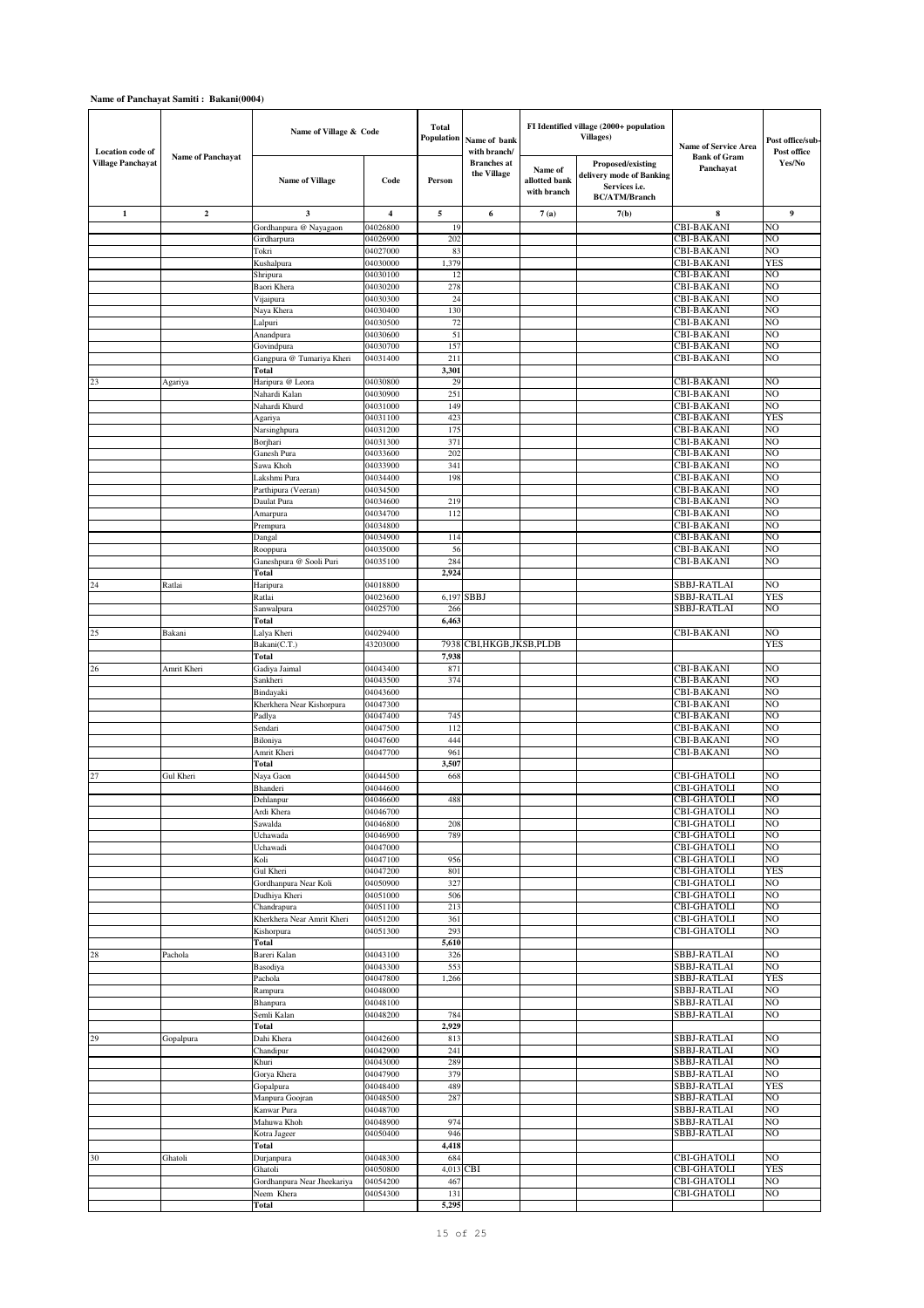| <b>Location</b> code of  |                          | Name of Village & Code                    |                      | <b>Total</b><br>Population | Name of bank<br>with branch/      |                                         | FI Identified village (2000+ population<br><b>Villages</b> )                           | <b>Name of Service Area</b>              | Post office/sub-<br>Post office |
|--------------------------|--------------------------|-------------------------------------------|----------------------|----------------------------|-----------------------------------|-----------------------------------------|----------------------------------------------------------------------------------------|------------------------------------------|---------------------------------|
| <b>Village Panchayat</b> | <b>Name of Panchayat</b> | <b>Name of Village</b>                    | Code                 | Person                     | <b>Branches</b> at<br>the Village | Name of<br>allotted bank<br>with branch | Proposed/existing<br>delivery mode of Banking<br>Services i.e.<br><b>BC/ATM/Branch</b> | <b>Bank of Gram</b><br>Panchayat         | Yes/No                          |
| $\mathbf{1}$             | $\mathbf 2$              | 3                                         | 4                    | 5                          | 6                                 | 7(a)                                    | 7(b)                                                                                   | 8                                        | 9                               |
|                          |                          | Gordhanpura @ Nayagaon                    | 04026800             | 19                         |                                   |                                         |                                                                                        | <b>CBI-BAKANI</b>                        | NO                              |
|                          |                          | Girdharpura                               | 04026900             | 202                        |                                   |                                         |                                                                                        | <b>CBI-BAKANI</b>                        | NO                              |
|                          |                          | Tokri<br>Kushalpura                       | 04027000<br>04030000 | 83<br>1,379                |                                   |                                         |                                                                                        | <b>CBI-BAKANI</b><br><b>CBI-BAKANI</b>   | NO<br>YES                       |
|                          |                          | Shripura                                  | 04030100             | 12                         |                                   |                                         |                                                                                        | <b>CBI-BAKANI</b>                        | NO                              |
|                          |                          | Baori Khera                               | 04030200             | 278                        |                                   |                                         |                                                                                        | <b>CBI-BAKANI</b>                        | NO                              |
|                          |                          | Vijaipura                                 | 04030300             | 24                         |                                   |                                         |                                                                                        | <b>CBI-BAKANI</b>                        | NO                              |
|                          |                          | Naya Khera                                | 04030400             | 130                        |                                   |                                         |                                                                                        | CBI-BAKANI                               | NO                              |
|                          |                          | Lalpuri                                   | 04030500             | 72                         |                                   |                                         |                                                                                        | <b>CBI-BAKANI</b>                        | NO<br>NO                        |
|                          |                          | Anandpura<br>Govindpura                   | 04030600<br>04030700 | 51<br>157                  |                                   |                                         |                                                                                        | <b>CBI-BAKANI</b><br><b>CBI-BAKANI</b>   | NO                              |
|                          |                          | Gangpura @ Tumariya Kheri                 | 04031400             | 211                        |                                   |                                         |                                                                                        | <b>CBI-BAKANI</b>                        | NO                              |
|                          |                          | Total                                     |                      | 3,301                      |                                   |                                         |                                                                                        |                                          |                                 |
| 23                       | Agariya                  | Haripura @ Leora                          | 04030800             | 29                         |                                   |                                         |                                                                                        | <b>CBI-BAKANI</b>                        | NO                              |
|                          |                          | Nahardi Kalan                             | 04030900             | 251                        |                                   |                                         |                                                                                        | <b>CBI-BAKANI</b>                        | NO                              |
|                          |                          | Nahardi Khurd                             | 04031000             | 149                        |                                   |                                         |                                                                                        | <b>CBI-BAKANI</b>                        | NO<br>YES                       |
|                          |                          | Agariya<br>Narsinghpura                   | 04031100<br>04031200 | 423<br>175                 |                                   |                                         |                                                                                        | <b>CBI-BAKANI</b><br><b>CBI-BAKANI</b>   | NO                              |
|                          |                          | Borjhari                                  | 04031300             | 371                        |                                   |                                         |                                                                                        | <b>CBI-BAKANI</b>                        | NO                              |
|                          |                          | Ganesh Pura                               | 04033600             | 202                        |                                   |                                         |                                                                                        | <b>CBI-BAKANI</b>                        | NO                              |
|                          |                          | Sawa Khoh                                 | 04033900             | 341                        |                                   |                                         |                                                                                        | <b>CBI-BAKANI</b>                        | NO                              |
|                          |                          | Lakshmi Pura                              | 04034400             | 198                        |                                   |                                         |                                                                                        | <b>CBI-BAKANI</b>                        | NO                              |
|                          |                          | Parthipura (Veeran)                       | 04034500             |                            |                                   |                                         |                                                                                        | <b>CBI-BAKANI</b>                        | NO                              |
|                          |                          | Daulat Pura                               | 04034600<br>04034700 | 219<br>112                 |                                   |                                         |                                                                                        | <b>CBI-BAKANI</b><br><b>CBI-BAKANI</b>   | NO<br>NO                        |
|                          |                          | Amarpura<br>Prempura                      | 04034800             |                            |                                   |                                         |                                                                                        | <b>CBI-BAKANI</b>                        | NO                              |
|                          |                          | Dangal                                    | 04034900             | 114                        |                                   |                                         |                                                                                        | <b>CBI-BAKANI</b>                        | NO                              |
|                          |                          | Rooppura                                  | 04035000             | 56                         |                                   |                                         |                                                                                        | <b>CBI-BAKANI</b>                        | NO                              |
|                          |                          | Ganeshpura @ Sooli Puri                   | 04035100             | 284                        |                                   |                                         |                                                                                        | <b>CBI-BAKANI</b>                        | NO                              |
|                          |                          | Total                                     |                      | 2,924                      |                                   |                                         |                                                                                        |                                          |                                 |
| 24                       | Ratlai                   | Haripura                                  | 04018800             |                            |                                   |                                         |                                                                                        | <b>SBBJ-RATLAI</b>                       | NO                              |
|                          |                          | Ratlai                                    | 04023600             | 6,197<br>266               | SBBJ                              |                                         |                                                                                        | SBBJ-RATLAI<br>SBBJ-RATLAI               | YES<br>NO                       |
|                          |                          | Sanwalpura<br>Total                       | 04025700             | 6,463                      |                                   |                                         |                                                                                        |                                          |                                 |
| 25                       | Bakani                   | Lalya Kheri                               | 04029400             |                            |                                   |                                         |                                                                                        | CBI-BAKANI                               | NO                              |
|                          |                          | Bakani(C.T.)                              | 43203000             | 7938                       | CBI,HKGB,JKSB,PLDB                |                                         |                                                                                        |                                          | YES                             |
|                          |                          | Total                                     |                      | 7,938                      |                                   |                                         |                                                                                        |                                          |                                 |
| 26                       | Amrit Kheri              | Gadiya Jaimal                             | 04043400             | 871                        |                                   |                                         |                                                                                        | <b>CBI-BAKANI</b>                        | NO                              |
|                          |                          | Sankheri                                  | 04043500             | 374                        |                                   |                                         |                                                                                        | <b>CBI-BAKANI</b>                        | NO                              |
|                          |                          | Bindayaki                                 | 04043600             |                            |                                   |                                         |                                                                                        | <b>CBI-BAKANI</b>                        | NO                              |
|                          |                          | Kherkhera Near Kishorpura<br>Padlya       | 04047300<br>04047400 | 745                        |                                   |                                         |                                                                                        | <b>CBI-BAKANI</b><br><b>CBI-BAKANI</b>   | NO<br>NO                        |
|                          |                          | Sendari                                   | 04047500             | 112                        |                                   |                                         |                                                                                        | <b>CBI-BAKANI</b>                        | NO                              |
|                          |                          | Biloniya                                  | 04047600             | 444                        |                                   |                                         |                                                                                        | <b>CBI-BAKANI</b>                        | NO                              |
|                          |                          | Amrit Kheri                               | 04047700             | 961                        |                                   |                                         |                                                                                        | <b>CBI-BAKANI</b>                        | NO                              |
|                          |                          | Total                                     |                      | 3,507                      |                                   |                                         |                                                                                        |                                          |                                 |
| 27                       | Gul Kheri                | Naya Gaon                                 | 04044500             | 668                        |                                   |                                         |                                                                                        | CBI-GHATOLI                              | NO                              |
|                          |                          | Bhanderi                                  | 04044600             |                            |                                   |                                         |                                                                                        | <b>CBI-GHATOLI</b>                       | NO                              |
|                          |                          | Dehlanpur<br>Ardi Khera                   | 04046600<br>04046700 | 488                        |                                   |                                         |                                                                                        | <b>CBI-GHATOLI</b><br><b>CBI-GHATOLI</b> | NO<br>NO                        |
|                          |                          | Sawalda                                   | 04046800             | 208                        |                                   |                                         |                                                                                        | <b>CBI-GHATOLI</b>                       | NO                              |
|                          |                          | Uchawada                                  | 04046900             | 789                        |                                   |                                         |                                                                                        | <b>CBI-GHATOLI</b>                       | NO                              |
|                          |                          | Uchawadi                                  | 04047000             |                            |                                   |                                         |                                                                                        | <b>CBI-GHATOLI</b>                       | NO                              |
|                          |                          | Koli                                      | 04047100             | 956                        |                                   |                                         |                                                                                        | <b>CBI-GHATOLI</b>                       | NO                              |
|                          |                          | Gul Kheri                                 | 04047200             | 801                        |                                   |                                         |                                                                                        | <b>CBI-GHATOLI</b>                       | YES                             |
|                          |                          | Gordhanpura Near Koli<br>Dudhiya Kheri    | 04050900<br>04051000 | 327<br>506                 |                                   |                                         |                                                                                        | <b>CBI-GHATOLI</b><br>CBI-GHATOLI        | NO<br>NO                        |
|                          |                          | Chandrapura                               | 04051100             | 213                        |                                   |                                         |                                                                                        | CBI-GHATOLI                              | NO                              |
|                          |                          | Kherkhera Near Amrit Kheri                | 04051200             | 361                        |                                   |                                         |                                                                                        | <b>CBI-GHATOLI</b>                       | NO                              |
|                          |                          | Kishorpura                                | 04051300             | 293                        |                                   |                                         |                                                                                        | CBI-GHATOLI                              | NO                              |
|                          |                          | Total                                     |                      | 5,610                      |                                   |                                         |                                                                                        |                                          |                                 |
| 28                       | Pachola                  | Bareri Kalan                              | 04043100             | 326                        |                                   |                                         |                                                                                        | SBBJ-RATLAI                              | NO                              |
|                          |                          | Basodiya                                  | 04043300             | 553                        |                                   |                                         |                                                                                        | SBBJ-RATLAI                              | NO                              |
|                          |                          | Pachola<br>Rampura                        | 04047800<br>04048000 | 1,266                      |                                   |                                         |                                                                                        | SBBJ-RATLAI<br>SBBJ-RATLAI               | <b>YES</b><br>NO                |
|                          |                          | Bhanpura                                  | 04048100             |                            |                                   |                                         |                                                                                        | SBBJ-RATLAI                              | NO                              |
|                          |                          | Semli Kalan                               | 04048200             | 784                        |                                   |                                         |                                                                                        | SBBJ-RATLAI                              | NO                              |
|                          |                          | Total                                     |                      | 2,929                      |                                   |                                         |                                                                                        |                                          |                                 |
| 29                       | Gopalpura                | Dahi Khera                                | 04042600             | 813                        |                                   |                                         |                                                                                        | SBBJ-RATLAI                              | NO                              |
|                          |                          | Chandipur                                 | 04042900             | 241                        |                                   |                                         |                                                                                        | SBBJ-RATLAI                              | NO                              |
|                          |                          | Khuri                                     | 04043000             | 289                        |                                   |                                         |                                                                                        | <b>SBBJ-RATLAI</b>                       | NO                              |
|                          |                          | Gorya Khera                               | 04047900             | 379<br>489                 |                                   |                                         |                                                                                        | SBBJ-RATLAI                              | NO<br><b>YES</b>                |
|                          |                          | Gopalpura<br>Manpura Goojran              | 04048400<br>04048500 | 287                        |                                   |                                         |                                                                                        | SBBJ-RATLAI<br>SBBJ-RATLAI               | NO                              |
|                          |                          | Kanwar Pura                               | 04048700             |                            |                                   |                                         |                                                                                        | SBBJ-RATLAI                              | NO                              |
|                          |                          | Mahuwa Khoh                               | 04048900             | 974                        |                                   |                                         |                                                                                        | SBBJ-RATLAI                              | NO                              |
|                          |                          | Kotra Jageer                              | 04050400             | 946                        |                                   |                                         |                                                                                        | SBBJ-RATLAI                              | NO                              |
|                          |                          | Total                                     |                      | 4,418                      |                                   |                                         |                                                                                        |                                          |                                 |
| 30                       | Ghatoli                  | Durjanpura                                | 04048300             | 684                        |                                   |                                         |                                                                                        | <b>CBI-GHATOLI</b>                       | NO                              |
|                          |                          | Ghatoli                                   | 04050800             | 4,013                      | <b>CBI</b>                        |                                         |                                                                                        | <b>CBI-GHATOLI</b>                       | <b>YES</b><br>NO                |
|                          |                          | Gordhanpura Near Jheekariya<br>Neem Khera | 04054200<br>04054300 | 467<br>131                 |                                   |                                         |                                                                                        | <b>CBI-GHATOLI</b><br>CBI-GHATOLI        | NO                              |
|                          |                          | Total                                     |                      | 5,295                      |                                   |                                         |                                                                                        |                                          |                                 |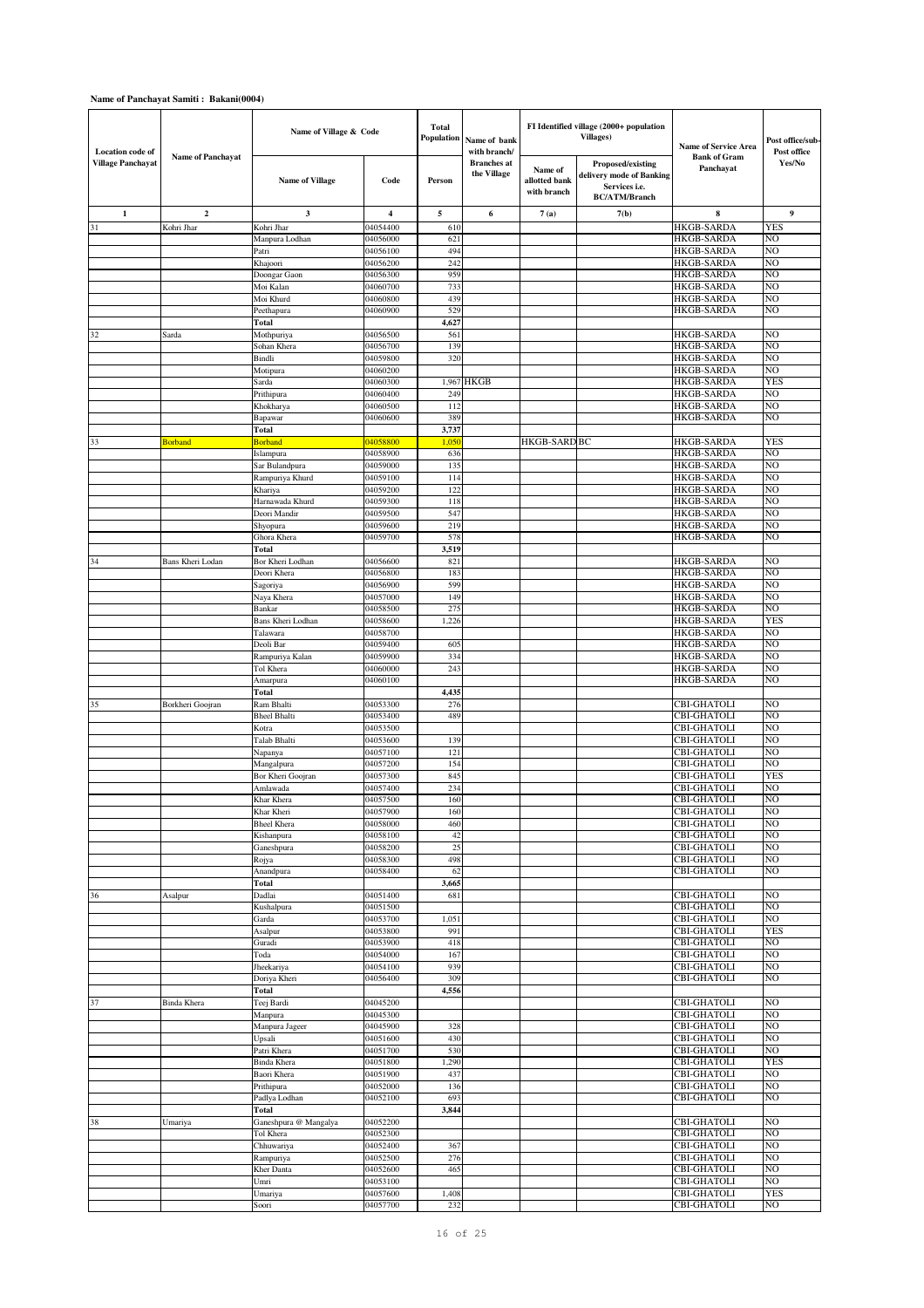| <b>Location</b> code of  |                          | Name of Village & Code         |                      | <b>Total</b><br><b>Population</b> | Name of bank<br>with branch/      |                                         | FI Identified village (2000+ population<br><b>Villages)</b>                            | <b>Name of Service Area</b>              | Post office/sub-<br>Post office |
|--------------------------|--------------------------|--------------------------------|----------------------|-----------------------------------|-----------------------------------|-----------------------------------------|----------------------------------------------------------------------------------------|------------------------------------------|---------------------------------|
| <b>Village Panchayat</b> | <b>Name of Panchayat</b> | <b>Name of Village</b>         | Code                 | Person                            | <b>Branches</b> at<br>the Village | Name of<br>allotted bank<br>with branch | Proposed/existing<br>delivery mode of Banking<br>Services i.e.<br><b>BC/ATM/Branch</b> | <b>Bank of Gram</b><br>Panchayat         | Yes/No                          |
| $\mathbf{1}$             | $\mathbf{2}$             | 3                              | 4                    | 5                                 | 6                                 | 7(a)                                    | 7(b)                                                                                   | 8                                        | 9                               |
| 31                       | Kohri Jhar               | Kohri Jhar                     | 04054400             | 610                               |                                   |                                         |                                                                                        | <b>HKGB-SARDA</b>                        | YES                             |
|                          |                          | Manpura Lodhan                 | 04056000             | 621                               |                                   |                                         |                                                                                        | <b>HKGB-SARDA</b>                        | NO                              |
|                          |                          | Patri<br>Khajoori              | 04056100<br>04056200 | 494<br>242                        |                                   |                                         |                                                                                        | <b>HKGB-SARDA</b><br><b>HKGB-SARDA</b>   | NO<br>NO                        |
|                          |                          | Doongar Gaon                   | 04056300             | 959                               |                                   |                                         |                                                                                        | <b>HKGB-SARDA</b>                        | NO                              |
|                          |                          | Moi Kalan                      | 04060700             | 733                               |                                   |                                         |                                                                                        | <b>HKGB-SARDA</b>                        | NO                              |
|                          |                          | Moi Khurd                      | 04060800             | 439                               |                                   |                                         |                                                                                        | HKGB-SARDA                               | NO                              |
|                          |                          | Peethapura                     | 04060900             | 529                               |                                   |                                         |                                                                                        | <b>HKGB-SARDA</b>                        | NO                              |
|                          |                          | Total                          |                      | 4,627                             |                                   |                                         |                                                                                        |                                          | NO                              |
| 32                       | Sarda                    | Mothpuriya<br>Sohan Khera      | 04056500<br>04056700 | 561<br>139                        |                                   |                                         |                                                                                        | <b>HKGB-SARDA</b><br><b>HKGB-SARDA</b>   | NO                              |
|                          |                          | Bindli                         | 04059800             | 320                               |                                   |                                         |                                                                                        | <b>HKGB-SARDA</b>                        | NO                              |
|                          |                          | Motipura                       | 04060200             |                                   |                                   |                                         |                                                                                        | <b>HKGB-SARDA</b>                        | NO                              |
|                          |                          | Sarda                          | 04060300             | 1,967                             | <b>HKGB</b>                       |                                         |                                                                                        | <b>HKGB-SARDA</b>                        | YES                             |
|                          |                          | Prithipura                     | 04060400             | 249                               |                                   |                                         |                                                                                        | <b>HKGB-SARDA</b>                        | NO                              |
|                          |                          | Khokharya                      | 04060500<br>04060600 | 112<br>389                        |                                   |                                         |                                                                                        | <b>HKGB-SARDA</b><br><b>HKGB-SARDA</b>   | NO<br>NO                        |
|                          |                          | Bapawar<br>Total               |                      | 3,737                             |                                   |                                         |                                                                                        |                                          |                                 |
| 33                       | <b>Borband</b>           | <b>Borband</b>                 | 04058800             | 1,050                             |                                   | <b>HKGB-SARD BC</b>                     |                                                                                        | <b>HKGB-SARDA</b>                        | YES                             |
|                          |                          | Islampura                      | 04058900             | 636                               |                                   |                                         |                                                                                        | <b>HKGB-SARDA</b>                        | NO                              |
|                          |                          | Sar Bulandpura                 | 04059000             | 135                               |                                   |                                         |                                                                                        | <b>HKGB-SARDA</b>                        | NO                              |
|                          |                          | Rampuriya Khurd                | 04059100             | 114                               |                                   |                                         |                                                                                        | HKGB-SARDA                               | NO                              |
|                          |                          | Khariya<br>Harnawada Khurd     | 04059200<br>04059300 | 122<br>118                        |                                   |                                         |                                                                                        | <b>HKGB-SARDA</b><br><b>HKGB-SARDA</b>   | NO<br>NO                        |
|                          |                          | Deori Mandir                   | 04059500             | 547                               |                                   |                                         |                                                                                        | <b>HKGB-SARDA</b>                        | NO                              |
|                          |                          | Shyopura                       | 04059600             | 219                               |                                   |                                         |                                                                                        | <b>HKGB-SARDA</b>                        | NO                              |
|                          |                          | Ghora Khera                    | 04059700             | 578                               |                                   |                                         |                                                                                        | <b>HKGB-SARDA</b>                        | NO                              |
|                          |                          | Total                          |                      | 3,519                             |                                   |                                         |                                                                                        |                                          |                                 |
| 34                       | Bans Kheri Lodan         | Bor Kheri Lodhan               | 04056600             | 821                               |                                   |                                         |                                                                                        | HKGB-SARDA                               | NO<br>NO                        |
|                          |                          | Deori Khera<br>Sagoriya        | 04056800<br>04056900 | 183<br>599                        |                                   |                                         |                                                                                        | <b>HKGB-SARDA</b><br><b>HKGB-SARDA</b>   | NO                              |
|                          |                          | Naya Khera                     | 04057000             | 149                               |                                   |                                         |                                                                                        | HKGB-SARDA                               | NO                              |
|                          |                          | Bankar                         | 04058500             | 275                               |                                   |                                         |                                                                                        | <b>HKGB-SARDA</b>                        | NO                              |
|                          |                          | Bans Kheri Lodhan              | 04058600             | 1,226                             |                                   |                                         |                                                                                        | <b>HKGB-SARDA</b>                        | YES                             |
|                          |                          | Talawara                       | 04058700             |                                   |                                   |                                         |                                                                                        | <b>HKGB-SARDA</b>                        | NO                              |
|                          |                          | Deoli Bar<br>Rampuriya Kalan   | 04059400<br>04059900 | 605<br>334                        |                                   |                                         |                                                                                        | <b>HKGB-SARDA</b><br><b>HKGB-SARDA</b>   | NO<br>NO                        |
|                          |                          | Tol Khera                      | 04060000             | 243                               |                                   |                                         |                                                                                        | <b>HKGB-SARDA</b>                        | NO                              |
|                          |                          | Amarpura                       | 04060100             |                                   |                                   |                                         |                                                                                        | <b>HKGB-SARDA</b>                        | NO                              |
|                          |                          | Total                          |                      | 4,435                             |                                   |                                         |                                                                                        |                                          |                                 |
| 35                       | Borkheri Goojran         | Ram Bhalti                     | 04053300             | 276                               |                                   |                                         |                                                                                        | <b>CBI-GHATOLI</b>                       | NO                              |
|                          |                          | <b>Bheel Bhalti</b>            | 04053400             | 489                               |                                   |                                         |                                                                                        | <b>CBI-GHATOLI</b>                       | NO<br>NO                        |
|                          |                          | Kotra<br>Talab Bhalti          | 04053500<br>04053600 | 139                               |                                   |                                         |                                                                                        | CBI-GHATOLI<br><b>CBI-GHATOLI</b>        | NO                              |
|                          |                          | Napanya                        | 04057100             | 121                               |                                   |                                         |                                                                                        | CBI-GHATOL                               | NO                              |
|                          |                          | Mangalpura                     | 04057200             | 154                               |                                   |                                         |                                                                                        | <b>CBI-GHATOLI</b>                       | NO                              |
|                          |                          | Bor Kheri Goojran              | 04057300             | 845                               |                                   |                                         |                                                                                        | <b>CBI-GHATOLI</b>                       | <b>YES</b>                      |
|                          |                          | Amlawada                       | 04057400             | 234                               |                                   |                                         |                                                                                        | <b>CBI-GHATOLI</b>                       | NO                              |
|                          |                          | Khar Khera<br>Khar Kheri       | 04057500<br>04057900 | 160<br>160                        |                                   |                                         |                                                                                        | <b>CBI-GHATOLI</b><br><b>CBI-GHATOLI</b> | NO.<br>NO                       |
|                          |                          | <b>Bheel Khera</b>             | 04058000             | 460                               |                                   |                                         |                                                                                        | <b>CBI-GHATOLI</b>                       | NO                              |
|                          |                          | Kishanpura                     | 04058100             | 42                                |                                   |                                         |                                                                                        | <b>CBI-GHATOLI</b>                       | NO                              |
|                          |                          | Ganeshpura                     | 04058200             | 25                                |                                   |                                         |                                                                                        | <b>CBI-GHATOLI</b>                       | NO                              |
|                          |                          | Rojya                          | 04058300             | 498                               |                                   |                                         |                                                                                        | <b>CBI-GHATOLI</b>                       | NO                              |
|                          |                          | Anandpura<br>Total             | 04058400             | 62                                |                                   |                                         |                                                                                        | CBI-GHATOLI                              | NO                              |
| 36                       | Asalpur                  | Dadlai                         | 04051400             | 3,665<br>681                      |                                   |                                         |                                                                                        | CBI-GHATOLI                              | NO                              |
|                          |                          | Kushalpura                     | 04051500             |                                   |                                   |                                         |                                                                                        | CBI-GHATOLI                              | NO                              |
|                          |                          | Garda                          | 04053700             | 1,051                             |                                   |                                         |                                                                                        | CBI-GHATOLI                              | NO                              |
|                          |                          | Asalpur                        | 04053800             | 991                               |                                   |                                         |                                                                                        | <b>CBI-GHATOLI</b>                       | <b>YES</b>                      |
|                          |                          | Guradi                         | 04053900             | 418                               |                                   |                                         |                                                                                        | <b>CBI-GHATOLI</b><br><b>CBI-GHATOLI</b> | NO                              |
|                          |                          | Toda<br>Jheekariya             | 04054000<br>04054100 | 167<br>939                        |                                   |                                         |                                                                                        | <b>CBI-GHATOLI</b>                       | NO<br>NO                        |
|                          |                          | Doriya Kheri                   | 04056400             | 309                               |                                   |                                         |                                                                                        | CBI-GHATOLI                              | NO                              |
|                          |                          | Total                          |                      | 4,556                             |                                   |                                         |                                                                                        |                                          |                                 |
| 37                       | Binda Khera              | Teej Bardi                     | 04045200             |                                   |                                   |                                         |                                                                                        | <b>CBI-GHATOLI</b>                       | NO                              |
|                          |                          | Manpura                        | 04045300             |                                   |                                   |                                         |                                                                                        | <b>CBI-GHATOLI</b>                       | NO                              |
|                          |                          | Manpura Jageer                 | 04045900             | 328                               |                                   |                                         |                                                                                        | CBI-GHATOLI                              | NO                              |
|                          |                          | Upsali<br>Patri Khera          | 04051600<br>04051700 | 430<br>530                        |                                   |                                         |                                                                                        | <b>CBI-GHATOLI</b><br><b>CBI-GHATOLI</b> | NO<br>NO                        |
|                          |                          | <b>Binda Khera</b>             | 04051800             | 1,290                             |                                   |                                         |                                                                                        | <b>CBI-GHATOLI</b>                       | YES                             |
|                          |                          | Baori Khera                    | 04051900             | 437                               |                                   |                                         |                                                                                        | <b>CBI-GHATOLI</b>                       | NO                              |
|                          |                          | Prithipura                     | 04052000             | 136                               |                                   |                                         |                                                                                        | <b>CBI-GHATOLI</b>                       | NO                              |
|                          |                          | Padlya Lodhan                  | 04052100             | 693                               |                                   |                                         |                                                                                        | CBI-GHATOLI                              | NO                              |
| 38                       |                          | Total<br>Ganeshpura @ Mangalya | 04052200             | 3,844                             |                                   |                                         |                                                                                        | CBI-GHATOLI                              | NO                              |
|                          | Umariya                  | Tol Khera                      | 04052300             |                                   |                                   |                                         |                                                                                        | <b>CBI-GHATOLI</b>                       | NO                              |
|                          |                          | Chhuwariya                     | 04052400             | 367                               |                                   |                                         |                                                                                        | CBI-GHATOLI                              | NO                              |
|                          |                          | Rampuriya                      | 04052500             | 276                               |                                   |                                         |                                                                                        | <b>CBI-GHATOLI</b>                       | NO                              |
|                          |                          | Kher Danta                     | 04052600             | 465                               |                                   |                                         |                                                                                        | <b>CBI-GHATOLI</b>                       | NO                              |
|                          |                          | Umri                           | 04053100             |                                   |                                   |                                         |                                                                                        | <b>CBI-GHATOLI</b>                       | NO                              |
|                          |                          | Umariya<br>Soori               | 04057600<br>04057700 | 1,408<br>232                      |                                   |                                         |                                                                                        | <b>CBI-GHATOLI</b><br><b>CBI-GHATOLI</b> | <b>YES</b><br>NO                |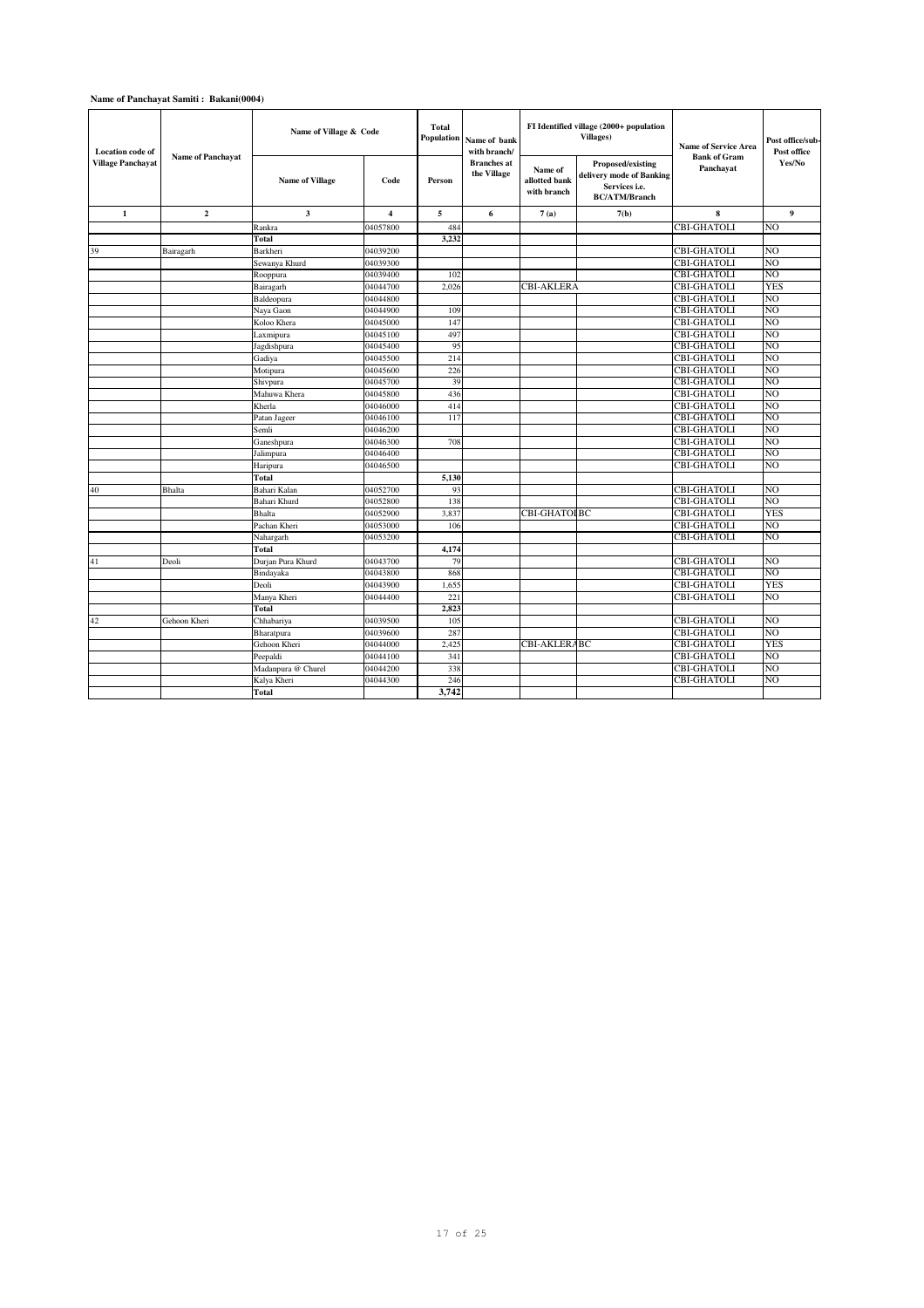| <b>Location</b> code of<br>Village Panchavat | <b>Name of Panchavat</b> | Name of Village & Code |                         | <b>Total</b><br><b>Population</b><br>Name of bank<br>with branch/ |                                   |                                         | FI Identified village (2000+ population<br><b>Villages)</b>                                          | <b>Name of Service Area</b>      | Post office/sub-<br>Post office |  |
|----------------------------------------------|--------------------------|------------------------|-------------------------|-------------------------------------------------------------------|-----------------------------------|-----------------------------------------|------------------------------------------------------------------------------------------------------|----------------------------------|---------------------------------|--|
|                                              |                          | <b>Name of Village</b> | Code                    | Person                                                            | <b>Branches</b> at<br>the Village | Name of<br>allotted bank<br>with branch | <b>Proposed/existing</b><br>delivery mode of Banking<br>Services <i>i.e.</i><br><b>BC/ATM/Branch</b> | <b>Bank of Gram</b><br>Panchayat | Yes/No                          |  |
| $\mathbf{1}$                                 | $\overline{2}$           | $\mathbf{3}$           | $\overline{\mathbf{4}}$ | 5                                                                 | 6                                 | 7(a)                                    | 7(b)                                                                                                 | 8                                | 9                               |  |
|                                              |                          | Rankra                 | 04057800                | 484                                                               |                                   |                                         |                                                                                                      | <b>CBI-GHATOLI</b>               | NΟ                              |  |
|                                              |                          | <b>Total</b>           |                         | 3,232                                                             |                                   |                                         |                                                                                                      |                                  |                                 |  |
| 39                                           | Bairagarh                | Barkheri               | 04039200                |                                                                   |                                   |                                         |                                                                                                      | <b>CBI-GHATOLI</b>               | N <sub>O</sub>                  |  |
|                                              |                          | Sewanya Khurd          | 04039300                |                                                                   |                                   |                                         |                                                                                                      | <b>CBI-GHATOLI</b>               | N <sub>O</sub>                  |  |
|                                              |                          | Rooppura               | 04039400                | 102                                                               |                                   |                                         |                                                                                                      | <b>CBI-GHATOLI</b>               | NΟ                              |  |
|                                              |                          | Bairagarh              | 04044700                | 2.026                                                             |                                   | <b>CBI-AKLERA</b>                       |                                                                                                      | CBI-GHATOLI                      | <b>YES</b>                      |  |
|                                              |                          | Baldeopura             | 04044800                |                                                                   |                                   |                                         |                                                                                                      | <b>CBI-GHATOLI</b>               | NO                              |  |
|                                              |                          | Naya Gaon              | 04044900                | 109                                                               |                                   |                                         |                                                                                                      | <b>CBI-GHATOLI</b>               | N()                             |  |
|                                              |                          | Koloo Khera            | 04045000                | 147                                                               |                                   |                                         |                                                                                                      | <b>CBI-GHATOLI</b>               | NO                              |  |
|                                              |                          | Laxmipura              | 04045100                | 497                                                               |                                   |                                         |                                                                                                      | <b>CBI-GHATOLI</b>               | NO                              |  |
|                                              |                          | Jagdishpura            | 04045400                | 95                                                                |                                   |                                         |                                                                                                      | CBI-GHATOLI                      | NO                              |  |
|                                              |                          | Gadiya                 | 04045500                | 214                                                               |                                   |                                         |                                                                                                      | <b>CBI-GHATOLI</b>               | NO                              |  |
|                                              |                          | Motipura               | 04045600                | 226                                                               |                                   |                                         |                                                                                                      | <b>CBI-GHATOLI</b>               | NO                              |  |
|                                              |                          | Shivpura               | 04045700                | 39                                                                |                                   |                                         |                                                                                                      | <b>CBI-GHATOLI</b>               | NO                              |  |
|                                              |                          | Mahuwa Khera           | 04045800                | 436                                                               |                                   |                                         |                                                                                                      | <b>CBI-GHATOLI</b>               | NO                              |  |
|                                              |                          | Kherla                 | 04046000                | 414                                                               |                                   |                                         |                                                                                                      | <b>CBI-GHATOLI</b>               | NÓ                              |  |
|                                              |                          | Patan Jageer           | 04046100                | 117                                                               |                                   |                                         |                                                                                                      | <b>CBI-GHATOLI</b>               | NΟ                              |  |
|                                              |                          | Semli                  | 04046200                |                                                                   |                                   |                                         |                                                                                                      | <b>CBI-GHATOLI</b>               | NÓ                              |  |
|                                              |                          | Ganeshpura             | 04046300                | 708                                                               |                                   |                                         |                                                                                                      | CBI-GHATOLI                      | NO                              |  |
|                                              |                          | Jalimpura              | 04046400                |                                                                   |                                   |                                         |                                                                                                      | CBI-GHATOLI                      | NO                              |  |
|                                              |                          | Haripura               | 04046500                |                                                                   |                                   |                                         |                                                                                                      | CBI-GHATOLI                      | NÓ                              |  |
|                                              |                          | <b>Total</b>           |                         | 5,130                                                             |                                   |                                         |                                                                                                      |                                  |                                 |  |
| 40                                           | Bhalta                   | Bahari Kalan           | 04052700                | 93                                                                |                                   |                                         |                                                                                                      | CBI-GHATOLI                      | NO                              |  |
|                                              |                          | Bahari Khurd           | 04052800                | 138                                                               |                                   |                                         |                                                                                                      | <b>CBI-GHATOLI</b>               | NO.                             |  |
|                                              |                          | <b>Bhalta</b>          | 04052900                | 3,837                                                             |                                   | CBI-GHATOI BC                           |                                                                                                      | CBI-GHATOLI                      | <b>YES</b>                      |  |
|                                              |                          | Pachan Kheri           | 04053000                | 106                                                               |                                   |                                         |                                                                                                      | <b>CBI-GHATOLI</b>               | NO.                             |  |
|                                              |                          | Nahargarh              | 04053200                |                                                                   |                                   |                                         |                                                                                                      | CBI-GHATOLI                      | NO                              |  |
|                                              |                          | <b>Total</b>           |                         | 4,174                                                             |                                   |                                         |                                                                                                      |                                  |                                 |  |
| 41                                           | Deoli                    | Durjan Pura Khurd      | 04043700                | 79                                                                |                                   |                                         |                                                                                                      | CBI-GHATOLI                      | NO                              |  |
|                                              |                          | Bindayaka              | 04043800                | 868                                                               |                                   |                                         |                                                                                                      | <b>CBI-GHATOLI</b>               | NO                              |  |
|                                              |                          | Deoli                  | 04043900                | 1.655                                                             |                                   |                                         |                                                                                                      | CBI-GHATOLI                      | <b>YES</b>                      |  |
|                                              |                          | Manya Kheri            | 04044400                | 221                                                               |                                   |                                         |                                                                                                      | CBI-GHATOLI                      | NO                              |  |
|                                              |                          | <b>Total</b>           |                         | 2.823                                                             |                                   |                                         |                                                                                                      |                                  |                                 |  |
| 42                                           | Gehoon Kheri             | Chhabariya             | 04039500                | 105                                                               |                                   |                                         |                                                                                                      | <b>CBI-GHATOLI</b>               | NO                              |  |
|                                              |                          | Bharatpura             | 04039600                | 287                                                               |                                   |                                         |                                                                                                      | <b>CBI-GHATOLI</b>               | NO                              |  |
|                                              |                          | Gehoon Kheri           | 04044000                | 2,425                                                             |                                   | CBI-AKLERABC                            |                                                                                                      | <b>CBI-GHATOLI</b>               | <b>YES</b>                      |  |
|                                              |                          | Peepaldi               | 04044100                | 341                                                               |                                   |                                         |                                                                                                      | <b>CBI-GHATOLI</b>               | NO                              |  |
|                                              |                          | Madanpura @ Churel     | 04044200                | 338                                                               |                                   |                                         |                                                                                                      | <b>CBI-GHATOLI</b>               | NΟ                              |  |
|                                              |                          | Kalya Kheri            | 04044300                | 246                                                               |                                   |                                         |                                                                                                      | CBI-GHATOLI                      | NO                              |  |
|                                              |                          | <b>Total</b>           |                         | 3,742                                                             |                                   |                                         |                                                                                                      |                                  |                                 |  |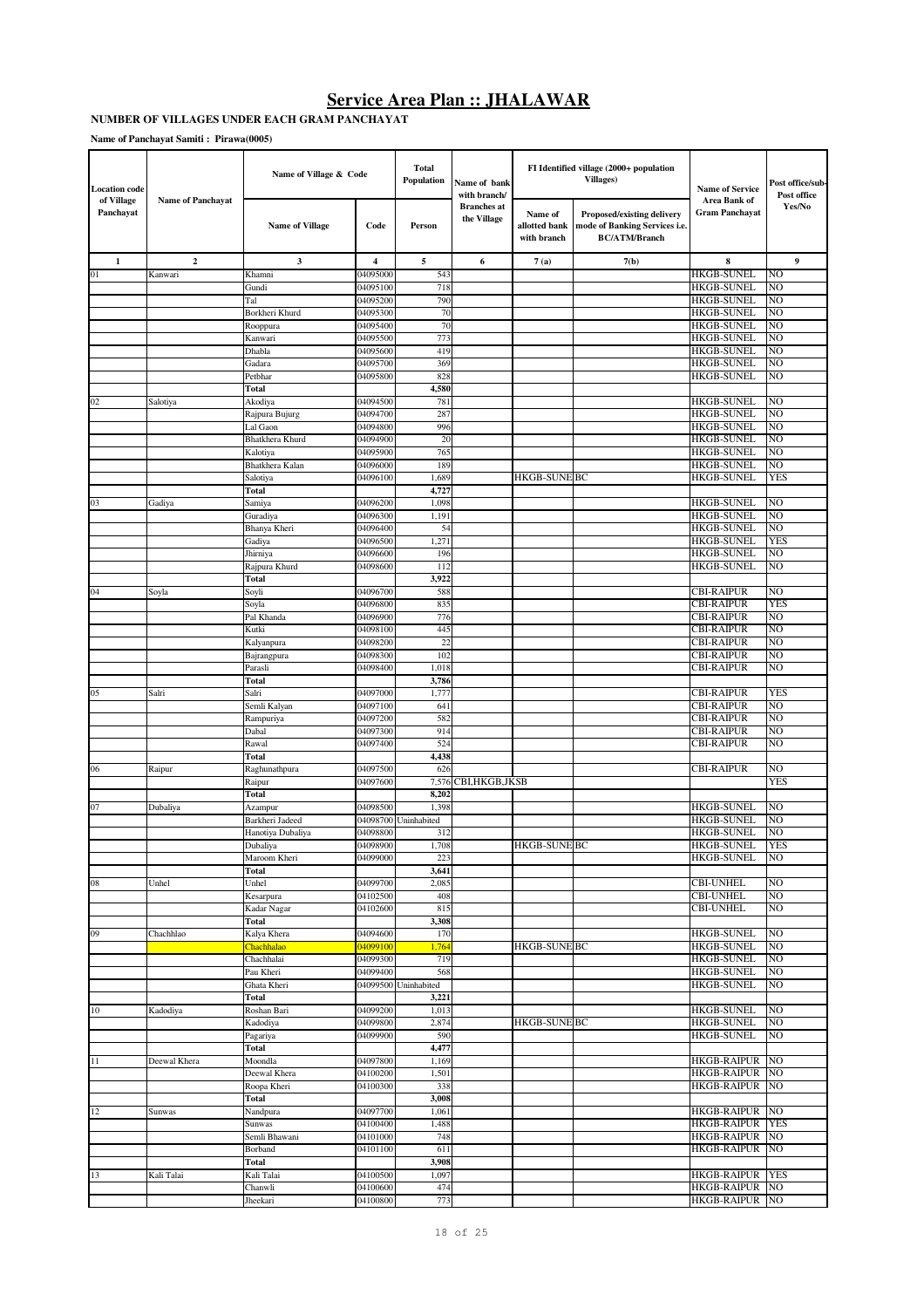#### **NUMBER OF VILLAGES UNDER EACH GRAM PANCHAYAT**

| <b>Location</b> code    |                          | Name of Village & Code  |                      | <b>Total</b><br>Population | Name of bank<br>with branch/      |                                         | FI Identified village (2000+ population<br><b>Villages</b> )                        | <b>Name of Service</b>                   | Post office/sub-<br>Post office |
|-------------------------|--------------------------|-------------------------|----------------------|----------------------------|-----------------------------------|-----------------------------------------|-------------------------------------------------------------------------------------|------------------------------------------|---------------------------------|
| of Village<br>Panchayat | <b>Name of Panchayat</b> | <b>Name of Village</b>  | Code                 | Person                     | <b>Branches</b> at<br>the Village | Name of<br>allotted bank<br>with branch | Proposed/existing delivery<br>mode of Banking Services i.e.<br><b>BC/ATM/Branch</b> | Area Bank of<br><b>Gram Panchayat</b>    | Yes/No                          |
| 1                       | $\mathbf{2}$             | 3                       | 4                    | 5                          | 6                                 | 7(a)                                    | 7(b)                                                                                | 8                                        | 9                               |
| 01                      | Kanwari                  | Khamni                  | 04095000             | 543                        |                                   |                                         |                                                                                     | <b>HKGB-SUNEL</b>                        | NO                              |
|                         |                          | Gundi                   | 04095100             | 718                        |                                   |                                         |                                                                                     | HKGB-SUNEL                               | NO                              |
|                         |                          | Tal                     | 04095200             | 790                        |                                   |                                         |                                                                                     | HKGB-SUNEL                               | NO                              |
|                         |                          | Borkheri Khurd          | 04095300             | 70                         |                                   |                                         |                                                                                     | HKGB-SUNEL                               | NO                              |
|                         |                          | Rooppura                | 04095400             | 70                         |                                   |                                         |                                                                                     | HKGB-SUNEL                               | NO                              |
|                         |                          | Kanwari                 | 04095500             | 773<br>419                 |                                   |                                         |                                                                                     | <b>HKGB-SUNEL</b><br>HKGB-SUNEL          | NO<br>NO                        |
|                         |                          | Dhabla<br>Gadara        | 04095600<br>04095700 | 369                        |                                   |                                         |                                                                                     | HKGB-SUNEL                               | NO                              |
|                         |                          | Petbhar                 | 04095800             | 828                        |                                   |                                         |                                                                                     | HKGB-SUNEL                               | NO                              |
|                         |                          | Total                   |                      | 4,580                      |                                   |                                         |                                                                                     |                                          |                                 |
| 02                      | Salotiya                 | Akodiya                 | 04094500             | 781                        |                                   |                                         |                                                                                     | HKGB-SUNEL                               | NO                              |
|                         |                          | Rajpura Bujurg          | 04094700             | 287                        |                                   |                                         |                                                                                     | HKGB-SUNEL                               | NO                              |
|                         |                          | Lal Gaon                | 04094800             | 996                        |                                   |                                         |                                                                                     | HKGB-SUNEL                               | NO                              |
|                         |                          | Bhatkhera Khurd         | 04094900             | 20                         |                                   |                                         |                                                                                     | HKGB-SUNEL                               | NO                              |
|                         |                          | Kalotiya                | 04095900             | 765                        |                                   |                                         |                                                                                     | <b>HKGB-SUNEL</b>                        | NO                              |
|                         |                          | Bhatkhera Kalan         | 04096000             | 189                        |                                   |                                         |                                                                                     | HKGB-SUNEL                               | NO                              |
|                         |                          | Salotiya                | 04096100             | 1,689                      |                                   | HKGB-SUNE BC                            |                                                                                     | HKGB-SUNEL                               | YES                             |
|                         |                          | Total                   |                      | 4,727                      |                                   |                                         |                                                                                     |                                          |                                 |
| 03                      | Gadiya                   | Samiya                  | 04096200             | 1,098                      |                                   |                                         |                                                                                     | HKGB-SUNEL                               | NO                              |
|                         |                          | Guradiya                | 04096300             | 1,191                      |                                   |                                         |                                                                                     | HKGB-SUNEL                               | NO                              |
|                         |                          | Bhanya Kheri            | 04096400<br>04096500 | 54                         |                                   |                                         |                                                                                     | HKGB-SUNEL<br>HKGB-SUNEL                 | NO<br>YES                       |
|                         |                          | Gadiya<br>Jhirniya      | 04096600             | 1,271<br>196               |                                   |                                         |                                                                                     | <b>HKGB-SUNEL</b>                        | NO                              |
|                         |                          | Rajpura Khurd           | 04098600             | 112                        |                                   |                                         |                                                                                     | <b>HKGB-SUNEL</b>                        | NO                              |
|                         |                          | Total                   |                      | 3,922                      |                                   |                                         |                                                                                     |                                          |                                 |
| 04                      | Soyla                    | Soyli                   | 04096700             | 588                        |                                   |                                         |                                                                                     | <b>CBI-RAIPUR</b>                        | NO                              |
|                         |                          | Soyla                   | 04096800             | 835                        |                                   |                                         |                                                                                     | <b>CBI-RAIPUR</b>                        | <b>YES</b>                      |
|                         |                          | Pal Khanda              | 04096900             | 776                        |                                   |                                         |                                                                                     | CBI-RAIPUR                               | NO                              |
|                         |                          | Kutki                   | 04098100             | 445                        |                                   |                                         |                                                                                     | <b>CBI-RAIPUR</b>                        | NO                              |
|                         |                          | Kalyanpura              | 04098200             | 22                         |                                   |                                         |                                                                                     | <b>CBI-RAIPUR</b>                        | NO                              |
|                         |                          | Bajrangpura             | 04098300             | 102                        |                                   |                                         |                                                                                     | <b>CBI-RAIPUR</b>                        | NO                              |
|                         |                          | Parasli                 | 04098400             | 1,018                      |                                   |                                         |                                                                                     | CBI-RAIPUR                               | NO                              |
|                         |                          | Total                   |                      | 3,786                      |                                   |                                         |                                                                                     |                                          |                                 |
| 05                      | Salri                    | Salri                   | 04097000             | 1,777                      |                                   |                                         |                                                                                     | <b>CBI-RAIPUR</b>                        | YES                             |
|                         |                          | Semli Kalyan            | 04097100<br>04097200 | 641                        |                                   |                                         |                                                                                     | <b>CBI-RAIPUR</b><br>CBI-RAIPUR          | NO<br>NO                        |
|                         |                          | Rampuriya<br>Dabal      | 04097300             | 582<br>914                 |                                   |                                         |                                                                                     | <b>CBI-RAIPUR</b>                        | NO                              |
|                         |                          | Rawal                   | 04097400             | 524                        |                                   |                                         |                                                                                     | <b>CBI-RAIPUR</b>                        | NO                              |
|                         |                          | Total                   |                      | 4,438                      |                                   |                                         |                                                                                     |                                          |                                 |
| 06                      | Raipur                   | Raghunathpura           | 04097500             | 626                        |                                   |                                         |                                                                                     | <b>CBI-RAIPUR</b>                        | NO                              |
|                         |                          | Raipur                  | 04097600             |                            | 7,576 CBI, HKGB, JKSB             |                                         |                                                                                     |                                          | <b>YES</b>                      |
|                         |                          | Total                   |                      | 8,202                      |                                   |                                         |                                                                                     |                                          |                                 |
| 07                      | Dubaliya                 | Azampur                 | 04098500             | 1,398                      |                                   |                                         |                                                                                     | <b>HKGB-SUNEL</b>                        | NO                              |
|                         |                          | Barkheri Jadeed         |                      | 04098700 Uninhabited       |                                   |                                         |                                                                                     | HKGB-SUNEL                               | NO                              |
|                         |                          | Hanotiya Dubaliya       | 04098800             | 312                        |                                   |                                         |                                                                                     | <b>HKGB-SUNEL</b>                        | NO                              |
|                         |                          | Dubaliva                | 04098900             | 1.708                      |                                   | <b>HKGB-SUNE BC</b>                     |                                                                                     | <b>HKGB-SUNEI</b>                        | <b>YES</b>                      |
|                         |                          | Maroom Kheri            | 04099000             | 223                        |                                   |                                         |                                                                                     | <b>HKGB-SUNEL</b>                        | NO                              |
|                         |                          | Total                   |                      | 3,641                      |                                   |                                         |                                                                                     | <b>CBI-UNHEL</b>                         |                                 |
| 08                      | Unhel                    | Unhel<br>Kesarpura      | 04099700<br>04102500 | 2,085<br>408               |                                   |                                         |                                                                                     | <b>CBI-UNHEL</b>                         | NO<br>NO                        |
|                         |                          | Kadar Nagar             | 04102600             | 815                        |                                   |                                         |                                                                                     | <b>CBI-UNHEL</b>                         | NO                              |
|                         |                          | Total                   |                      | 3,308                      |                                   |                                         |                                                                                     |                                          |                                 |
| 09                      | Chachhlao                | Kalya Khera             | 04094600             | 170                        |                                   |                                         |                                                                                     | <b>HKGB-SUNEL</b>                        | NO                              |
|                         |                          | Chachhalao              | 04099100             | 1,764                      |                                   | HKGB-SUNE BC                            |                                                                                     | <b>HKGB-SUNEL</b>                        | NO                              |
|                         |                          | Chachhalai              | 04099300             | 719                        |                                   |                                         |                                                                                     | <b>HKGB-SUNEL</b>                        | NO                              |
|                         |                          | Pau Kheri               | 04099400             | 568                        |                                   |                                         |                                                                                     | <b>HKGB-SUNEL</b>                        | NO                              |
|                         |                          | Ghata Kheri             |                      | 04099500 Uninhabited       |                                   |                                         |                                                                                     | <b>HKGB-SUNEL</b>                        | NO                              |
|                         |                          | Total                   |                      | 3,221                      |                                   |                                         |                                                                                     |                                          |                                 |
| $10\,$                  | Kadodiya                 | Roshan Bari             | 04099200             | 1,013                      |                                   |                                         |                                                                                     | <b>HKGB-SUNEL</b>                        | NO                              |
|                         |                          | Kadodiya                | 04099800             | 2,874                      |                                   | HKGB-SUNE BC                            |                                                                                     | <b>HKGB-SUNEL</b>                        | NO                              |
|                         |                          | Pagariya                | 04099900             | 590                        |                                   |                                         |                                                                                     | <b>HKGB-SUNEL</b>                        | NO                              |
|                         |                          | Total                   |                      | 4,477                      |                                   |                                         |                                                                                     |                                          |                                 |
| 11                      | Deewal Khera             | Moondla<br>Deewal Khera | 04097800<br>04100200 | 1,169<br>1,501             |                                   |                                         |                                                                                     | <b>HKGB-RAIPUR</b><br><b>HKGB-RAIPUR</b> | NO<br>NO                        |
|                         |                          | Roopa Kheri             | 04100300             | 338                        |                                   |                                         |                                                                                     | <b>HKGB-RAIPUR</b>                       | NO                              |
|                         |                          | Total                   |                      | 3,008                      |                                   |                                         |                                                                                     |                                          |                                 |
| 12                      | Sunwas                   | Nandpura                | 04097700             | 1,061                      |                                   |                                         |                                                                                     | <b>HKGB-RAIPUR</b>                       | NO                              |
|                         |                          | Sunwas                  | 04100400             | 1,488                      |                                   |                                         |                                                                                     | <b>HKGB-RAIPUR</b>                       | <b>YES</b>                      |
|                         |                          | Semli Bhawani           | 04101000             | 748                        |                                   |                                         |                                                                                     | <b>HKGB-RAIPUR</b>                       | NO                              |
|                         |                          | Borband                 | 04101100             | 611                        |                                   |                                         |                                                                                     | <b>HKGB-RAIPUR</b>                       | NO                              |
|                         |                          | Total                   |                      | 3,908                      |                                   |                                         |                                                                                     |                                          |                                 |
| 13                      | Kali Talai               | Kali Talai              | 04100500             | 1,097                      |                                   |                                         |                                                                                     | <b>HKGB-RAIPUR</b>                       | <b>YES</b>                      |
|                         |                          | Chanwli                 | 04100600             | 474                        |                                   |                                         |                                                                                     | <b>HKGB-RAIPUR</b>                       | NO.                             |
|                         |                          | Jheekari                | 04100800             | 773                        |                                   |                                         |                                                                                     | HKGB-RAIPUR NO                           |                                 |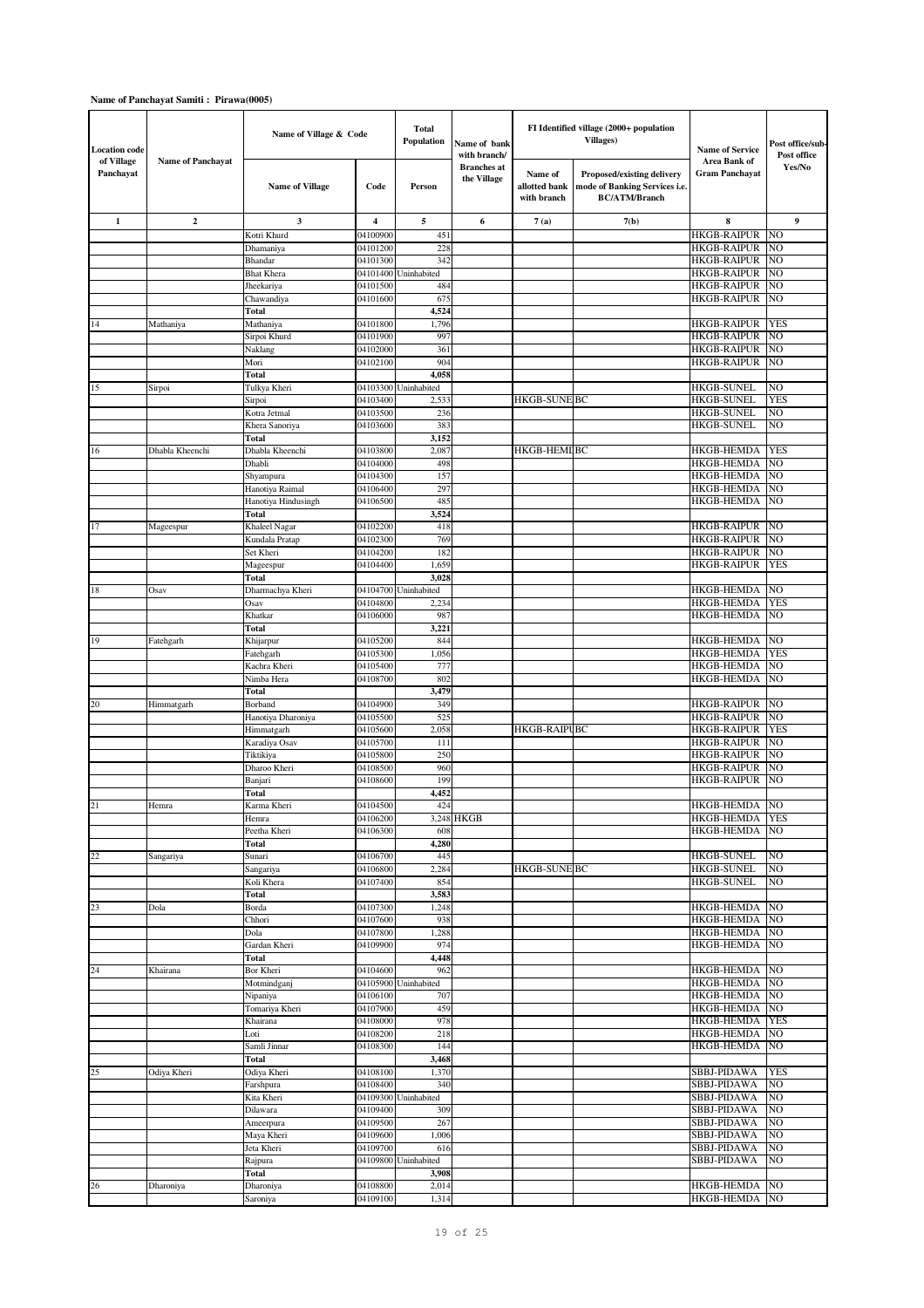| <b>Location code</b>    |                          | Name of Village & Code                 |                         | <b>Total</b><br>Population  | Name of bank<br>with branch/      |                                         | FI Identified village (2000+ population<br><b>Villages</b> )                        | <b>Name of Service</b>                   | Post office/sub-<br>Post office |
|-------------------------|--------------------------|----------------------------------------|-------------------------|-----------------------------|-----------------------------------|-----------------------------------------|-------------------------------------------------------------------------------------|------------------------------------------|---------------------------------|
| of Village<br>Panchayat | <b>Name of Panchavat</b> | <b>Name of Village</b>                 | Code                    | Person                      | <b>Branches</b> at<br>the Village | Name of<br>allotted bank<br>with branch | Proposed/existing delivery<br>mode of Banking Services i.e.<br><b>BC/ATM/Branch</b> | Area Bank of<br>Gram Panchavat           | Yes/No                          |
| $\mathbf{1}$            | $\overline{2}$           | 3                                      | $\overline{\mathbf{4}}$ | 5                           | 6                                 | 7(a)                                    | 7(b)                                                                                | 8                                        | 9                               |
|                         |                          | Kotri Khurd                            | 04100900                | 451                         |                                   |                                         |                                                                                     | <b>HKGB-RAIPUR</b>                       | NO                              |
|                         |                          | Dhamaniya<br>Bhandar                   | 04101200<br>04101300    | 228<br>342                  |                                   |                                         |                                                                                     | <b>HKGB-RAIPUR</b><br><b>HKGB-RAIPUR</b> | NO<br>NO                        |
|                         |                          | <b>Bhat</b> Khera                      | 04101400                | Uninhabited                 |                                   |                                         |                                                                                     | <b>HKGB-RAIPUR</b>                       | NO                              |
|                         |                          | Jheekariya                             | 04101500                | 484                         |                                   |                                         |                                                                                     | <b>HKGB-RAIPUR</b>                       | NO                              |
|                         |                          | Chawandiya                             | 04101600                | 675                         |                                   |                                         |                                                                                     | <b>HKGB-RAIPUR</b>                       | NO                              |
|                         |                          | Total                                  |                         | 4,524                       |                                   |                                         |                                                                                     |                                          |                                 |
| 14                      | Mathaniya                | Mathaniya                              | 04101800<br>04101900    | 1,796<br>997                |                                   |                                         |                                                                                     | <b>HKGB-RAIPUR</b><br><b>HKGB-RAIPUR</b> | <b>YES</b><br>NO                |
|                         |                          | Sirpoi Khurd<br>Naklang                | 04102000                | 361                         |                                   |                                         |                                                                                     | <b>HKGB-RAIPUR</b>                       | NO                              |
|                         |                          | Mori                                   | 04102100                | 904                         |                                   |                                         |                                                                                     | <b>HKGB-RAIPUR</b>                       | NO                              |
|                         |                          | Total                                  |                         | 4,058                       |                                   |                                         |                                                                                     |                                          |                                 |
| 15                      | Sirpoi                   | Tulkya Kheri                           |                         | 04103300 Uninhabited        |                                   |                                         |                                                                                     | <b>HKGB-SUNEL</b>                        | NO                              |
|                         |                          | Sirpoi                                 | 04103400<br>04103500    | 2,533<br>236                |                                   | <b>HKGB-SUNE BC</b>                     |                                                                                     | <b>HKGB-SUNEL</b><br><b>HKGB-SUNEL</b>   | YES<br>NO                       |
|                         |                          | Kotra Jetmal<br>Khera Sanoriya         | 04103600                | 383                         |                                   |                                         |                                                                                     | <b>HKGB-SUNEL</b>                        | NO                              |
|                         |                          | Total                                  |                         | 3,152                       |                                   |                                         |                                                                                     |                                          |                                 |
| 16                      | Dhabla Kheenchi          | Dhabla Kheenchi                        | 04103800                | 2,087                       |                                   | <b>HKGB-HEMIRC</b>                      |                                                                                     | <b>HKGB-HEMDA</b>                        | <b>YES</b>                      |
|                         |                          | Dhabli                                 | 04104000                | 498                         |                                   |                                         |                                                                                     | <b>HKGB-HEMDA</b>                        | NO                              |
|                         |                          | Shyampura                              | 04104300                | 157                         |                                   |                                         |                                                                                     | HKGB-HEMDA                               | NO                              |
|                         |                          | Hanotiya Raimal<br>Hanotiya Hindusingh | 04106400<br>04106500    | 297<br>485                  |                                   |                                         |                                                                                     | <b>HKGB-HEMDA</b><br><b>HKGB-HEMDA</b>   | NO<br>NO.                       |
|                         |                          | Total                                  |                         | 3,524                       |                                   |                                         |                                                                                     |                                          |                                 |
| 17                      | Mageespur                | Khaleel Nagar                          | 04102200                | 418                         |                                   |                                         |                                                                                     | <b>HKGB-RAIPUR</b>                       | NO                              |
|                         |                          | Kundala Pratap                         | 04102300                | 769                         |                                   |                                         |                                                                                     | <b>HKGB-RAIPUR</b>                       | NO                              |
|                         |                          | Set Kheri                              | 04104200                | 182                         |                                   |                                         |                                                                                     | <b>HKGB-RAIPUR</b>                       | NO                              |
|                         |                          | Mageespur<br>Total                     | 04104400                | 1,659<br>3,028              |                                   |                                         |                                                                                     | HKGB-RAIPUR                              | <b>YES</b>                      |
| 18                      | Osav                     | Dharmachya Kheri                       |                         | 04104700 Uninhabited        |                                   |                                         |                                                                                     | <b>HKGB-HEMDA</b>                        | NO                              |
|                         |                          | Osav                                   | 04104800                | 2,234                       |                                   |                                         |                                                                                     | HKGB-HEMDA                               | <b>YES</b>                      |
|                         |                          | Khatkar                                | 04106000                | 987                         |                                   |                                         |                                                                                     | <b>HKGB-HEMDA</b>                        | NO                              |
|                         |                          | Total                                  |                         | 3,221                       |                                   |                                         |                                                                                     |                                          |                                 |
| 19                      | Fatehgarh                | Khijarpur                              | 04105200                | 844                         |                                   |                                         |                                                                                     | <b>HKGB-HEMDA</b>                        | NO                              |
|                         |                          | Fatehgarh<br>Kachra Kheri              | 04105300<br>04105400    | 1,056<br>777                |                                   |                                         |                                                                                     | HKGB-HEMDA<br>HKGB-HEMDA                 | <b>YES</b><br>NO                |
|                         |                          | Nimba Hera                             | 04108700                | 802                         |                                   |                                         |                                                                                     | HKGB-HEMDA                               | NO                              |
|                         |                          | Total                                  |                         | 3,479                       |                                   |                                         |                                                                                     |                                          |                                 |
| 20                      | Himmatgarh               | Borband                                | 04104900                | 349                         |                                   |                                         |                                                                                     | <b>HKGB-RAIPUR</b>                       | NO                              |
|                         |                          | Hanotiya Dharoniya                     | 04105500                | 525                         |                                   |                                         |                                                                                     | <b>HKGB-RAIPUR</b>                       | NO                              |
|                         |                          | Himmatgarh<br>Karadiya Osav            | 04105600<br>04105700    | 2,058<br>111                |                                   | <b>HKGB-RAIPUBC</b>                     |                                                                                     | <b>HKGB-RAIPUR</b><br><b>HKGB-RAIPUR</b> | <b>YES</b><br>NO                |
|                         |                          | Tiktikiya                              | 04105800                | 250                         |                                   |                                         |                                                                                     | <b>HKGB-RAIPUR</b>                       | NO                              |
|                         |                          | Dharoo Kheri                           | 04108500                | 960                         |                                   |                                         |                                                                                     | <b>HKGB-RAIPUR</b>                       | NO                              |
|                         |                          | Banjari                                | 04108600                | 199                         |                                   |                                         |                                                                                     | <b>HKGB-RAIPUR</b>                       | NO                              |
|                         |                          | Total                                  |                         | 4,452                       |                                   |                                         |                                                                                     |                                          |                                 |
| $\angle 1$              | Hemra                    | Karma Kheri                            | 04104500<br>04106200    | 424                         | 3,248 HKGB                        |                                         |                                                                                     | HKGB-HEMDA NO<br>HKGB-HEMDA YES          |                                 |
|                         |                          | Hemra<br>Peetha Kheri                  | 04106300                | 608                         |                                   |                                         |                                                                                     | <b>HKGB-HEMDA</b>                        | NO.                             |
|                         |                          | Total                                  |                         | 4,280                       |                                   |                                         |                                                                                     |                                          |                                 |
| 22                      | Sangariya                | Sunari                                 | 04106700                | 445                         |                                   |                                         |                                                                                     | <b>HKGB-SUNEL</b>                        | NO                              |
|                         |                          | Sangariya                              | 04106800                | 2,284                       |                                   | <b>HKGB-SUNE BC</b>                     |                                                                                     | <b>HKGB-SUNEL</b>                        | NO                              |
|                         |                          | Koli Khera                             | 04107400                | 854                         |                                   |                                         |                                                                                     | <b>HKGB-SUNEL</b>                        | NO                              |
| 23                      | Dola                     | Total<br>Borda                         | 04107300                | 3,583<br>1,248              |                                   |                                         |                                                                                     | HKGB-HEMDA                               | NO.                             |
|                         |                          | Chhori                                 | 04107600                | 938                         |                                   |                                         |                                                                                     | <b>HKGB-HEMDA</b>                        | NO                              |
|                         |                          | Dola                                   | 04107800                | 1,288                       |                                   |                                         |                                                                                     | <b>HKGB-HEMDA</b>                        | N <sub>O</sub>                  |
|                         |                          | Gardan Kheri                           | 04109900                | 974                         |                                   |                                         |                                                                                     | <b>HKGB-HEMDA</b>                        | N <sub>O</sub>                  |
|                         |                          | Total                                  |                         | 4,448                       |                                   |                                         |                                                                                     | <b>HKGB-HEMDA</b>                        |                                 |
| 24                      | Khairana                 | Bor Kheri<br>Motmindganj               | 04104600                | 962<br>04105900 Uninhabited |                                   |                                         |                                                                                     | HKGB-HEMDA NO                            | NO.                             |
|                         |                          | Nipaniya                               | 04106100                | 707                         |                                   |                                         |                                                                                     | HKGB-HEMDA                               | NO                              |
|                         |                          | Tomariya Kheri                         | 04107900                | 459                         |                                   |                                         |                                                                                     | <b>HKGB-HEMDA</b>                        | NO.                             |
|                         |                          | Khairana                               | 04108000                | 978                         |                                   |                                         |                                                                                     | HKGB-HEMDA                               | <b>YES</b>                      |
|                         |                          | Loti                                   | 04108200                | 218                         |                                   |                                         |                                                                                     | <b>HKGB-HEMDA</b>                        | NO                              |
|                         |                          | Samli Jinnar                           | 04108300                | 144                         |                                   |                                         |                                                                                     | HKGB-HEMDA                               | NO                              |
| 25                      | Odiya Kheri              | Total<br>Odiya Kheri                   | 04108100                | 3,468<br>1,370              |                                   |                                         |                                                                                     | SBBJ-PIDAWA                              | <b>YES</b>                      |
|                         |                          | Farshpura                              | 04108400                | 340                         |                                   |                                         |                                                                                     | SBBJ-PIDAWA                              | NO                              |
|                         |                          | Kita Kheri                             |                         | 04109300 Uninhabited        |                                   |                                         |                                                                                     | SBBJ-PIDAWA                              | N <sub>O</sub>                  |
|                         |                          | Dilawara                               | 04109400                | 309                         |                                   |                                         |                                                                                     | SBBJ-PIDAWA                              | NO                              |
|                         |                          | Ameerpura                              | 04109500                | 267                         |                                   |                                         |                                                                                     | SBBJ-PIDAWA                              | NO                              |
|                         |                          | Maya Kheri<br>Jeta Kheri               | 04109600<br>04109700    | 1,006<br>616                |                                   |                                         |                                                                                     | SBBJ-PIDAWA<br>SBBJ-PIDAWA               | NO<br>NO                        |
|                         |                          | Rajpura                                |                         | 04109800 Uninhabited        |                                   |                                         |                                                                                     | SBBJ-PIDAWA                              | NO                              |
|                         |                          | Total                                  |                         | 3,908                       |                                   |                                         |                                                                                     |                                          |                                 |
| 26                      | Dharoniya                | Dharoniya                              | 04108800                | 2,014                       |                                   |                                         |                                                                                     | HKGB-HEMDA NO                            |                                 |
|                         |                          | Saroniya                               | 04109100                | 1,314                       |                                   |                                         |                                                                                     | HKGB-HEMDA NO                            |                                 |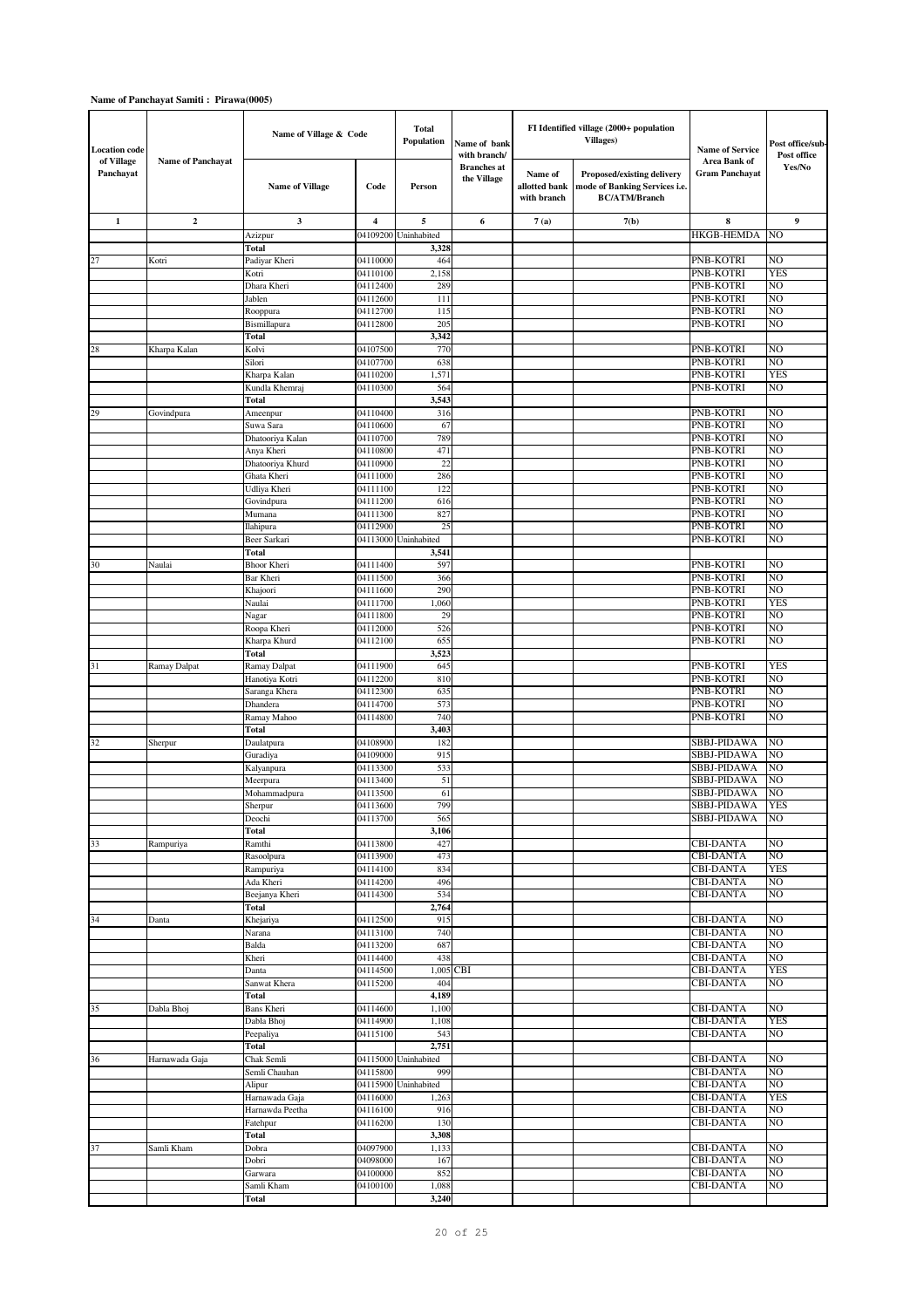| <b>Location code</b>    |                          | Name of Village & Code          |                      | <b>Total</b><br>Population    | Name of bank<br>with branch/      |                                         | FI Identified village (2000+ population<br><b>Villages)</b>                         | <b>Name of Service</b>               | Post office/sub<br>Post office |
|-------------------------|--------------------------|---------------------------------|----------------------|-------------------------------|-----------------------------------|-----------------------------------------|-------------------------------------------------------------------------------------|--------------------------------------|--------------------------------|
| of Village<br>Panchayat | <b>Name of Panchayat</b> | <b>Name of Village</b>          | Code                 | Person                        | <b>Branches</b> at<br>the Village | Name of<br>allotted bank<br>with branch | Proposed/existing delivery<br>mode of Banking Services i.e.<br><b>BC/ATM/Branch</b> | Area Bank of<br>Gram Panchayat       | Yes/No                         |
| $\mathbf{1}$            | $\mathbf{2}$             | 3                               | 4                    | 5                             | 6                                 | 7(a)                                    | 7(b)                                                                                | 8                                    | 9                              |
|                         |                          | Azizpur                         | 04109200             | Uninhabited                   |                                   |                                         |                                                                                     | <b>HKGB-HEMDA</b>                    | NO                             |
|                         |                          | Total                           |                      | 3,328                         |                                   |                                         |                                                                                     |                                      |                                |
| 27                      | Kotri                    | Padiyar Kheri<br>Kotri          | 04110000<br>04110100 | 464<br>2,158                  |                                   |                                         |                                                                                     | PNB-KOTRI<br>PNB-KOTRI               | NO<br><b>YES</b>               |
|                         |                          | Dhara Kheri                     | 04112400             | 289                           |                                   |                                         |                                                                                     | PNB-KOTRI                            | NO                             |
|                         |                          | Jablen                          | 04112600             | 111                           |                                   |                                         |                                                                                     | PNB-KOTRI                            | NO                             |
|                         |                          | Rooppura                        | 04112700             | 115                           |                                   |                                         |                                                                                     | PNB-KOTRI                            | NO                             |
|                         |                          | Bismillapura                    | 04112800             | 205                           |                                   |                                         |                                                                                     | PNB-KOTRI                            | NO                             |
|                         |                          | Total<br>Kolvi                  | 04107500             | 3,342<br>770                  |                                   |                                         |                                                                                     | PNB-KOTRI                            | NO                             |
| 28                      | Kharpa Kalan             | Silori                          | 04107700             | 638                           |                                   |                                         |                                                                                     | PNB-KOTRI                            | NO                             |
|                         |                          | Kharpa Kalan                    | 04110200             | 1,571                         |                                   |                                         |                                                                                     | PNB-KOTRI                            | YES                            |
|                         |                          | Kundla Khemraj                  | 04110300             | 564                           |                                   |                                         |                                                                                     | PNB-KOTRI                            | NO                             |
|                         |                          | Total                           |                      | 3,543                         |                                   |                                         |                                                                                     |                                      |                                |
| 29                      | Govindpura               | Ameenpur                        | 04110400             | 316                           |                                   |                                         |                                                                                     | PNB-KOTRI                            | NO                             |
|                         |                          | Suwa Sara<br>Dhatooriya Kalan   | 04110600<br>04110700 | 67<br>789                     |                                   |                                         |                                                                                     | PNB-KOTRI<br>PNB-KOTRI               | NO<br>NO                       |
|                         |                          | Anya Kheri                      | 04110800             | 471                           |                                   |                                         |                                                                                     | PNB-KOTRI                            | NO                             |
|                         |                          | Dhatooriya Khurd                | 04110900             | 22                            |                                   |                                         |                                                                                     | PNB-KOTRI                            | NO                             |
|                         |                          | Ghata Kheri                     | 04111000             | 286                           |                                   |                                         |                                                                                     | PNB-KOTRI                            | N <sub>O</sub>                 |
|                         |                          | Udliya Kheri                    | 04111100             | 122                           |                                   |                                         |                                                                                     | PNB-KOTRI                            | NO                             |
|                         |                          | Govindpura                      | 04111200<br>04111300 | 616<br>827                    |                                   |                                         |                                                                                     | PNB-KOTRI<br>PNB-KOTRI               | NO<br>NO                       |
|                         |                          | Mumana<br>Ilahipura             | 04112900             | 25                            |                                   |                                         |                                                                                     | PNB-KOTRI                            | NO                             |
|                         |                          | Beer Sarkari                    | 04113000             | Uninhabited                   |                                   |                                         |                                                                                     | PNB-KOTRI                            | NO                             |
|                         |                          | Total                           |                      | 3,541                         |                                   |                                         |                                                                                     |                                      |                                |
| 30                      | Naulai                   | <b>Bhoor Kheri</b>              | 04111400             | 597                           |                                   |                                         |                                                                                     | <b>PNB-KOTRI</b>                     | NO                             |
|                         |                          | Bar Kheri                       | 04111500             | 366                           |                                   |                                         |                                                                                     | PNB-KOTRI                            | NO                             |
|                         |                          | Khajoori<br>Naulai              | 04111600<br>04111700 | 290<br>1,060                  |                                   |                                         |                                                                                     | PNB-KOTRI<br>PNB-KOTRI               | NO<br>YES                      |
|                         |                          | Nagar                           | 04111800             | 29                            |                                   |                                         |                                                                                     | PNB-KOTRI                            | NO                             |
|                         |                          | Roopa Kheri                     | 04112000             | 526                           |                                   |                                         |                                                                                     | PNB-KOTRI                            | NO                             |
|                         |                          | Kharpa Khurd                    | 04112100             | 655                           |                                   |                                         |                                                                                     | PNB-KOTRI                            | NO                             |
|                         |                          | Total                           |                      | 3,523                         |                                   |                                         |                                                                                     |                                      |                                |
| 31                      | Ramay Dalpat             | Ramay Dalpat                    | 04111900             | 645<br>810                    |                                   |                                         |                                                                                     | PNB-KOTRI                            | <b>YES</b><br>NO               |
|                         |                          | Hanotiya Kotri<br>Saranga Khera | 04112200<br>04112300 | 635                           |                                   |                                         |                                                                                     | PNB-KOTRI<br>PNB-KOTRI               | NO                             |
|                         |                          | Dhandera                        | 04114700             | 573                           |                                   |                                         |                                                                                     | PNB-KOTRI                            | NO                             |
|                         |                          | Ramay Mahoo                     | 04114800             | 740                           |                                   |                                         |                                                                                     | PNB-KOTRI                            | NO                             |
|                         |                          | Total                           |                      | 3,403                         |                                   |                                         |                                                                                     |                                      |                                |
| 32                      | Sherpur                  | Daulatpura                      | 04108900             | 182                           |                                   |                                         |                                                                                     | SBBJ-PIDAWA                          | NO                             |
|                         |                          | Guradiya<br>Kalyanpura          | 04109000<br>04113300 | 915<br>533                    |                                   |                                         |                                                                                     | SBBJ-PIDAWA<br>SBBJ-PIDAWA           | NO<br>NO                       |
|                         |                          | Meerpura                        | 04113400             | 51                            |                                   |                                         |                                                                                     | SBBJ-PIDAWA                          | NO                             |
|                         |                          | Mohammadpura                    | 04113500             | 61                            |                                   |                                         |                                                                                     | SBBJ-PIDAWA                          | NO.                            |
|                         |                          | Snerpur                         | 04113600             | 799                           |                                   |                                         |                                                                                     | SBBJ-PIDAWA                          | <b>YES</b>                     |
|                         |                          | Deochi                          | 04113700             | 565                           |                                   |                                         |                                                                                     | SBBJ-PIDAWA                          | NO.                            |
|                         |                          | Total                           | 04113800             | 3,106                         |                                   |                                         |                                                                                     |                                      | NO                             |
| 33                      | Rampuriya                | Ramthi<br>Rasoolpura            | 04113900             | 427<br>473                    |                                   |                                         |                                                                                     | <b>CBI-DANTA</b><br><b>CBI-DANTA</b> | NO                             |
|                         |                          | Rampuriya                       | 04114100             | 834                           |                                   |                                         |                                                                                     | <b>CBI-DANTA</b>                     | <b>YES</b>                     |
|                         |                          | Ada Kheri                       | 04114200             | 496                           |                                   |                                         |                                                                                     | <b>CBI-DANTA</b>                     | NO                             |
|                         |                          | Beejanya Kheri                  | 04114300             | 534                           |                                   |                                         |                                                                                     | <b>CBI-DANTA</b>                     | NO                             |
|                         |                          | Total                           |                      | 2,764                         |                                   |                                         |                                                                                     |                                      |                                |
| 34                      | Danta                    | Khejariya<br>Narana             | 04112500<br>04113100 | 915<br>740                    |                                   |                                         |                                                                                     | <b>CBI-DANTA</b><br><b>CBI-DANTA</b> | NO<br>NO                       |
|                         |                          | Balda                           | 04113200             | 687                           |                                   |                                         |                                                                                     | <b>CBI-DANTA</b>                     | NO                             |
|                         |                          | Kheri                           | 04114400             | 438                           |                                   |                                         |                                                                                     | <b>CBI-DANTA</b>                     | NO                             |
|                         |                          | Danta                           | 04114500             |                               | 1,005 CBI                         |                                         |                                                                                     | <b>CBI-DANTA</b>                     | YES                            |
|                         |                          | Sanwat Khera                    | 04115200             | 404                           |                                   |                                         |                                                                                     | <b>CBI-DANTA</b>                     | NO                             |
| 35                      |                          | Total                           | 04114600             | 4,189<br>1,100                |                                   |                                         |                                                                                     | <b>CBI-DANTA</b>                     | NO                             |
|                         | Dabla Bhoj               | Bans Kheri<br>Dabla Bhoj        | 04114900             | 1,108                         |                                   |                                         |                                                                                     | <b>CBI-DANTA</b>                     | <b>YES</b>                     |
|                         |                          | Peepaliya                       | 04115100             | 543                           |                                   |                                         |                                                                                     | <b>CBI-DANTA</b>                     | NO                             |
|                         |                          | Total                           |                      | 2,751                         |                                   |                                         |                                                                                     |                                      |                                |
| 36                      | Harnawada Gaja           | Chak Semli                      |                      | 04115000 Uninhabited          |                                   |                                         |                                                                                     | <b>CBI-DANTA</b>                     | NO                             |
|                         |                          | Semli Chauhan                   | 04115800             | 999                           |                                   |                                         |                                                                                     | <b>CBI-DANTA</b>                     | NO                             |
|                         |                          | Alipur<br>Harnawada Gaja        | 04116000             | 04115900 Uninhabited<br>1,263 |                                   |                                         |                                                                                     | <b>CBI-DANTA</b><br><b>CBI-DANTA</b> | NO<br><b>YES</b>               |
|                         |                          | Harnawda Peetha                 | 04116100             | 916                           |                                   |                                         |                                                                                     | <b>CBI-DANTA</b>                     | NO.                            |
|                         |                          | Fatehpur                        | 04116200             | 130                           |                                   |                                         |                                                                                     | <b>CBI-DANTA</b>                     | NO                             |
|                         |                          | <b>Total</b>                    |                      | 3,308                         |                                   |                                         |                                                                                     |                                      |                                |
| 37                      | Samli Kham               | Dobra                           | 04097900             | 1,133                         |                                   |                                         |                                                                                     | <b>CBI-DANTA</b>                     | NO                             |
|                         |                          | Dobri                           | 04098000<br>04100000 | 167<br>852                    |                                   |                                         |                                                                                     | <b>CBI-DANTA</b><br><b>CBI-DANTA</b> | NO<br>NO                       |
|                         |                          | Garwara<br>Samli Kham           | 04100100             | 1,088                         |                                   |                                         |                                                                                     | <b>CBI-DANTA</b>                     | NO                             |
|                         |                          | Total                           |                      | 3,240                         |                                   |                                         |                                                                                     |                                      |                                |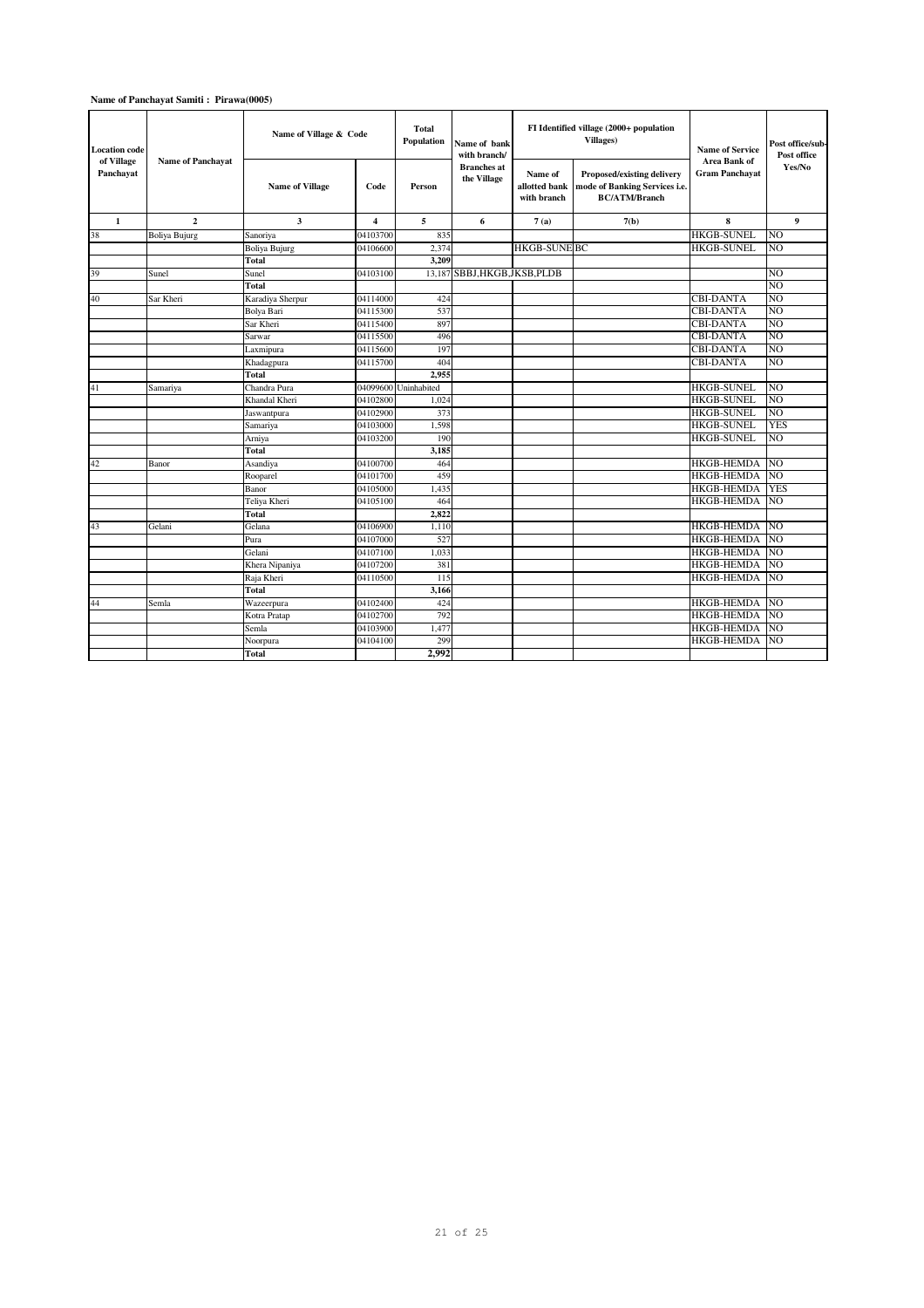| <b>Location code</b><br>of Village |                          | Name of Village & Code |                         | <b>Total</b><br>Population | Name of bank<br>with branch/      |                                         | FI Identified village (2000+ population<br><b>Villages</b> )                        | <b>Name of Service</b><br>Area Bank of | Post office/sub-<br>Post office |
|------------------------------------|--------------------------|------------------------|-------------------------|----------------------------|-----------------------------------|-----------------------------------------|-------------------------------------------------------------------------------------|----------------------------------------|---------------------------------|
| Panchayat                          | <b>Name of Panchayat</b> | <b>Name of Village</b> | Code                    | Person                     | <b>Branches</b> at<br>the Village | Name of<br>allotted bank<br>with branch | Proposed/existing delivery<br>mode of Banking Services i.e.<br><b>BC/ATM/Branch</b> | <b>Gram Panchavat</b>                  | Yes/No                          |
| 1                                  | $\mathbf{2}$             | 3                      | $\overline{\mathbf{4}}$ | 5                          | 6                                 | 7(a)                                    | 7(b)                                                                                | 8                                      | 9                               |
| 38                                 | <b>Boliya Bujurg</b>     | Sanoriya               | 04103700                | 835                        |                                   |                                         |                                                                                     | <b>HKGB-SUNEL</b>                      | N <sub>O</sub>                  |
|                                    |                          | Boliya Bujurg          | 04106600                | 2,374                      |                                   | <b>HKGB-SUNE BC</b>                     |                                                                                     | <b>HKGB-SUNEL</b>                      | N <sub>O</sub>                  |
|                                    |                          | <b>Total</b>           |                         | 3.209                      |                                   |                                         |                                                                                     |                                        |                                 |
| 39                                 | Sunel                    | Sunel                  | 04103100                | 13.187                     | SBBJ.HKGB.JKSB.PLDB               |                                         |                                                                                     |                                        | NO.                             |
|                                    |                          | <b>Total</b>           |                         |                            |                                   |                                         |                                                                                     |                                        | N <sub>O</sub>                  |
| 40                                 | Sar Kheri                | Karadiya Sherpur       | 04114000                | 424                        |                                   |                                         |                                                                                     | <b>CBI-DANTA</b>                       | N <sub>O</sub>                  |
|                                    |                          | Bolya Bari             | 04115300                | 537                        |                                   |                                         |                                                                                     | <b>CBI-DANTA</b>                       | N <sub>O</sub>                  |
|                                    |                          | Sar Kheri              | 04115400                | 897                        |                                   |                                         |                                                                                     | <b>CBI-DANTA</b>                       | N <sub>O</sub>                  |
|                                    |                          | Sarwar                 | 04115500                | 496                        |                                   |                                         |                                                                                     | <b>CBI-DANTA</b>                       | N <sub>O</sub>                  |
|                                    |                          | Laxmipura              | 04115600                | 197                        |                                   |                                         |                                                                                     | <b>CBI-DANTA</b>                       | N <sub>O</sub>                  |
|                                    |                          | Khadagpura             | 04115700                | 404                        |                                   |                                         |                                                                                     | <b>CBI-DANTA</b>                       | NO.                             |
|                                    |                          | <b>Total</b>           |                         | 2,955                      |                                   |                                         |                                                                                     |                                        |                                 |
| 41                                 | Samariya                 | Chandra Pura           |                         | 04099600 Uninhabited       |                                   |                                         |                                                                                     | <b>HKGB-SUNEL</b>                      | NO                              |
|                                    |                          | Khandal Kheri          | 04102800                | 1.024                      |                                   |                                         |                                                                                     | <b>HKGB-SUNEL</b>                      | N <sub>O</sub>                  |
|                                    |                          | Jaswantpura            | 04102900                | 373                        |                                   |                                         |                                                                                     | <b>HKGB-SUNEL</b>                      | N <sub>O</sub>                  |
|                                    |                          | Samariya               | 04103000                | 1,598                      |                                   |                                         |                                                                                     | <b>HKGB-SUNEL</b>                      | <b>YES</b>                      |
|                                    |                          | Arniya                 | 04103200                | 190                        |                                   |                                         |                                                                                     | <b>HKGB-SUNEL</b>                      | N <sub>O</sub>                  |
|                                    |                          | <b>Total</b>           |                         | 3.185                      |                                   |                                         |                                                                                     |                                        |                                 |
| 42                                 | Banor                    | Asandiya               | 04100700                | 464                        |                                   |                                         |                                                                                     | <b>HKGB-HEMDA</b>                      | N <sub>O</sub>                  |
|                                    |                          | Rooparel               | 04101700                | 459                        |                                   |                                         |                                                                                     | <b>HKGB-HEMDA</b>                      | N <sub>O</sub>                  |
|                                    |                          | Banor                  | 04105000                | 1.435                      |                                   |                                         |                                                                                     | <b>HKGB-HEMDA</b>                      | <b>YES</b>                      |
|                                    |                          | Teliya Kheri           | 04105100                | 464                        |                                   |                                         |                                                                                     | <b>HKGB-HEMDA</b>                      | NO.                             |
|                                    |                          | Total                  |                         | 2,822                      |                                   |                                         |                                                                                     |                                        |                                 |
| 43                                 | Gelani                   | Gelana                 | 04106900                | 1.110                      |                                   |                                         |                                                                                     | <b>HKGB-HEMDA</b>                      | <b>NO</b>                       |
|                                    |                          | Pura                   | 04107000                | 527                        |                                   |                                         |                                                                                     | <b>HKGB-HEMDA</b>                      | N <sub>O</sub>                  |
|                                    |                          | Gelani                 | 04107100                | 1,033                      |                                   |                                         |                                                                                     | <b>HKGB-HEMDA</b>                      | <b>NO</b>                       |
|                                    |                          | Khera Nipaniya         | 04107200                | 381                        |                                   |                                         |                                                                                     | <b>HKGB-HEMDA</b>                      | <b>NO</b>                       |
|                                    |                          | Raja Kheri             | 04110500                | 115                        |                                   |                                         |                                                                                     | <b>HKGB-HEMDA</b>                      | <b>NO</b>                       |
|                                    |                          | <b>Total</b>           |                         | 3,166                      |                                   |                                         |                                                                                     |                                        |                                 |
| 44                                 | Semla                    | Wazeerpura             | 04102400                | 424                        |                                   |                                         |                                                                                     | <b>HKGB-HEMDA</b>                      | <b>NO</b>                       |
|                                    |                          | Kotra Pratap           | 04102700                | 792                        |                                   |                                         |                                                                                     | <b>HKGB-HEMDA</b>                      | NO.                             |
|                                    |                          | Semla                  | 04103900                | 1,477                      |                                   |                                         |                                                                                     | <b>HKGB-HEMDA</b>                      | NO.                             |
|                                    |                          | Noorpura               | 04104100                | 299                        |                                   |                                         |                                                                                     | <b>HKGB-HEMDA</b>                      | NO.                             |
|                                    |                          | <b>Total</b>           |                         | 2,992                      |                                   |                                         |                                                                                     |                                        |                                 |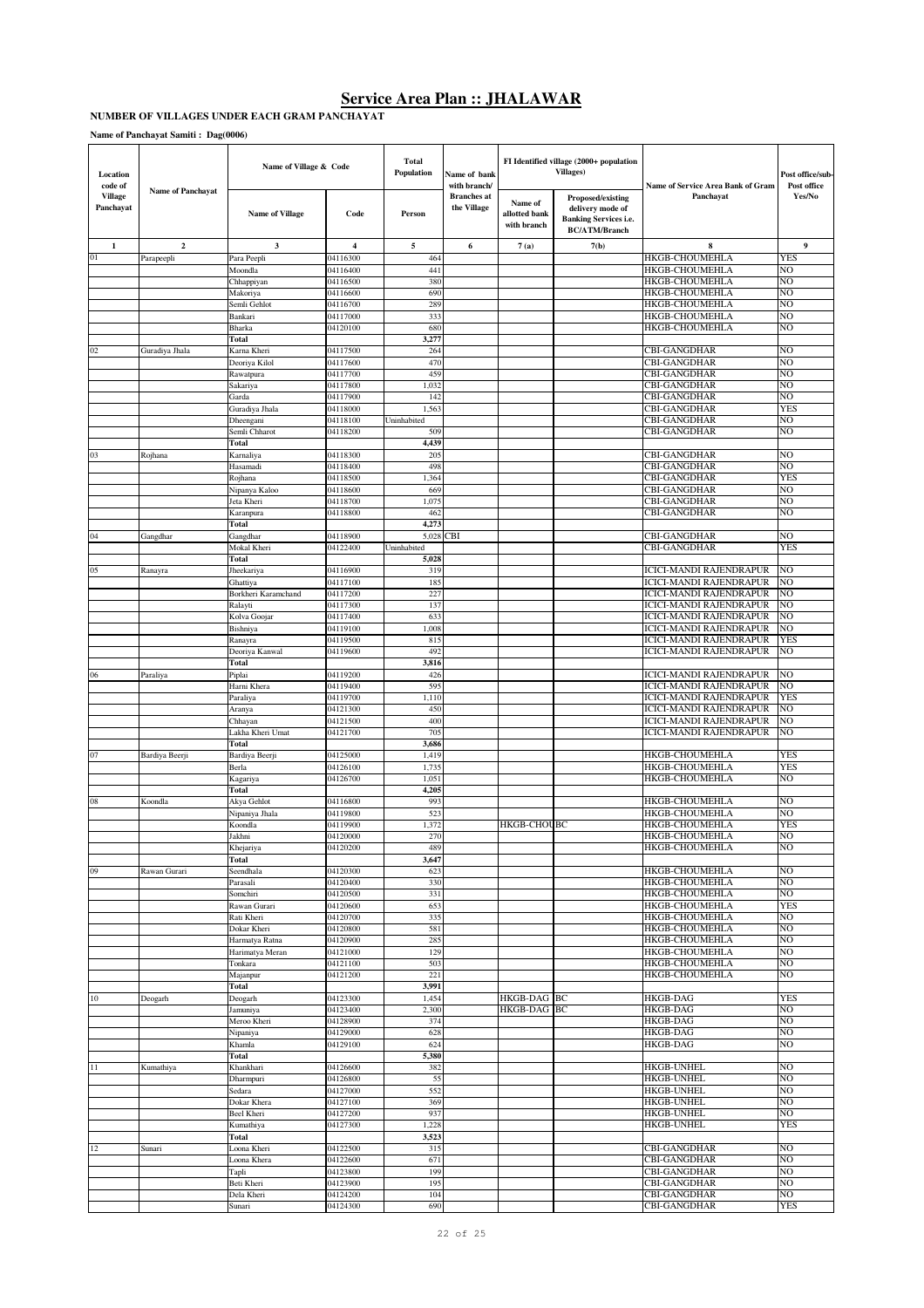#### **NUMBER OF VILLAGES UNDER EACH GRAM PANCHAYAT**

| Location<br>code of         | <b>Name of Panchayat</b> | Name of Village & Code         |                      | <b>Total</b><br>Population | Name of bank<br>with branch/      |                                         | FI Identified village (2000+ population<br><b>Villages</b> )                                  | Name of Service Area Bank of Gram                         | Post office/sub-<br>Post office |
|-----------------------------|--------------------------|--------------------------------|----------------------|----------------------------|-----------------------------------|-----------------------------------------|-----------------------------------------------------------------------------------------------|-----------------------------------------------------------|---------------------------------|
| <b>Village</b><br>Panchayat |                          | <b>Name of Village</b>         | Code                 | Person                     | <b>Branches</b> at<br>the Village | Name of<br>allotted bank<br>with branch | Proposed/existing<br>delivery mode of<br><b>Banking Services i.e.</b><br><b>BC/ATM/Branch</b> | Panchayat                                                 | Yes/No                          |
| 1                           | $\overline{2}$           | 3                              | $\overline{4}$       | 5                          | 6                                 | 7(a)                                    | 7(b)                                                                                          | 8                                                         | 9                               |
| 01                          | Parapeepli               | Para Peepli                    | 04116300             | 464                        |                                   |                                         |                                                                                               | <b>HKGB-CHOUMEHLA</b>                                     | YES                             |
|                             |                          | Moondla                        | 04116400             | 441<br>380                 |                                   |                                         |                                                                                               | HKGB-CHOUMEHLA<br>HKGB-CHOUMEHLA                          | NO<br>NO                        |
|                             |                          | Chhappiyan<br>Makoriya         | 04116500<br>04116600 | 690                        |                                   |                                         |                                                                                               | HKGB-CHOUMEHLA                                            | NO                              |
|                             |                          | Semli Gehlot                   | 04116700             | 289                        |                                   |                                         |                                                                                               | <b>HKGB-CHOUMEHLA</b>                                     | NO                              |
|                             |                          | Bankari                        | 04117000             | 333                        |                                   |                                         |                                                                                               | <b>HKGB-CHOUMEHLA</b>                                     | NO                              |
|                             |                          | Bharka                         | 04120100             | 680                        |                                   |                                         |                                                                                               | <b>HKGB-CHOUMEHLA</b>                                     | NO                              |
|                             |                          | Total                          |                      | 3,277                      |                                   |                                         |                                                                                               |                                                           |                                 |
| 02                          | Guradiya Jhala           | Karna Kheri<br>Deoriya Kilol   | 04117500<br>04117600 | 264<br>470                 |                                   |                                         |                                                                                               | <b>CBI-GANGDHAR</b><br><b>CBI-GANGDHAR</b>                | NO<br>NO                        |
|                             |                          | Rawatpura                      | 04117700             | 459                        |                                   |                                         |                                                                                               | CBI-GANGDHAR                                              | NO                              |
|                             |                          | Sakariya                       | 04117800             | 1,032                      |                                   |                                         |                                                                                               | <b>CBI-GANGDHAR</b>                                       | NO.                             |
|                             |                          | Garda                          | 04117900             | 142                        |                                   |                                         |                                                                                               | <b>CBI-GANGDHAR</b>                                       | NO                              |
|                             |                          | Guradiya Jhala                 | 04118000<br>04118100 | 1,563<br>Uninhabited       |                                   |                                         |                                                                                               | <b>CBI-GANGDHAR</b><br><b>CBI-GANGDHAR</b>                | <b>YES</b><br>NO.               |
|                             |                          | Dheengani<br>Semli Chharot     | 04118200             | 509                        |                                   |                                         |                                                                                               | <b>CBI-GANGDHAR</b>                                       | NO                              |
|                             |                          | Total                          |                      | 4,439                      |                                   |                                         |                                                                                               |                                                           |                                 |
| 03                          | Rojhana                  | Karnaliya                      | 04118300             | 205                        |                                   |                                         |                                                                                               | CBI-GANGDHAR                                              | NO                              |
|                             |                          | Hasamadi                       | 04118400             | 498                        |                                   |                                         |                                                                                               | <b>CBI-GANGDHAR</b>                                       | NO                              |
|                             |                          | Rojhana                        | 04118500             | 1,364                      |                                   |                                         |                                                                                               | <b>CBI-GANGDHAR</b><br><b>CBI-GANGDHAR</b>                | <b>YES</b><br>NO                |
|                             |                          | Nipanya Kaloo<br>Jeta Kheri    | 04118600<br>04118700 | 669<br>1,075               |                                   |                                         |                                                                                               | <b>CBI-GANGDHAR</b>                                       | NO                              |
|                             |                          | Karanpura                      | 04118800             | 462                        |                                   |                                         |                                                                                               | <b>CBI-GANGDHAR</b>                                       | NO                              |
|                             |                          | Total                          |                      | 4,273                      |                                   |                                         |                                                                                               |                                                           |                                 |
| 04                          | Gangdhar                 | Gangdhar                       | 04118900             | 5,028 CBI                  |                                   |                                         |                                                                                               | <b>CBI-GANGDHAR</b>                                       | NO                              |
|                             |                          | Mokal Kheri<br>Total           | 04122400             | Uninhabited<br>5,028       |                                   |                                         |                                                                                               | CBI-GANGDHAR                                              | <b>YES</b>                      |
| 05                          | Ranayra                  | Jheekariya                     | 04116900             | 319                        |                                   |                                         |                                                                                               | ICICI-MANDI RAJENDRAPUR                                   | NO                              |
|                             |                          | Ghattiya                       | 04117100             | 185                        |                                   |                                         |                                                                                               | ICICI-MANDI RAJENDRAPUR                                   | NO                              |
|                             |                          | Borkheri Karamchand            | 04117200             | 227                        |                                   |                                         |                                                                                               | ICICI-MANDI RAJENDRAPUR                                   | NO                              |
|                             |                          | Ralayti                        | 04117300             | 137                        |                                   |                                         |                                                                                               | ICICI-MANDI RAJENDRAPUR                                   | NO                              |
|                             |                          | Kolva Goojar                   | 04117400             | 633                        |                                   |                                         |                                                                                               | ICICI-MANDI RAJENDRAPUR                                   | NO<br>NΟ                        |
|                             |                          | Bishniya<br>Ranayra            | 04119100<br>04119500 | 1,008<br>815               |                                   |                                         |                                                                                               | ICICI-MANDI RAJENDRAPUR<br>ICICI-MANDI RAJENDRAPUR        | <b>YES</b>                      |
|                             |                          | Deoriya Kanwal                 | 04119600             | 492                        |                                   |                                         |                                                                                               | ICICI-MANDI RAJENDRAPUR                                   | NO                              |
|                             |                          | Total                          |                      | 3,816                      |                                   |                                         |                                                                                               |                                                           |                                 |
| 06                          | Paraliya                 | Piplai                         | 04119200             | 426                        |                                   |                                         |                                                                                               | ICICI-MANDI RAJENDRAPUR                                   | NO                              |
|                             |                          | Harni Khera                    | 04119400             | 595                        |                                   |                                         |                                                                                               | ICICI-MANDI RAJENDRAPUR                                   | NO                              |
|                             |                          | Paraliya<br>Aranya             | 04119700<br>04121300 | 1,110<br>450               |                                   |                                         |                                                                                               | <b>ICICI-MANDI RAJENDRAPUR</b><br>ICICI-MANDI RAJENDRAPUR | <b>YES</b><br>NO.               |
|                             |                          | Chhayan                        | 04121500             | 400                        |                                   |                                         |                                                                                               | ICICI-MANDI RAJENDRAPUR                                   | NO                              |
|                             |                          | Lakha Kheri Umat               | 04121700             | 705                        |                                   |                                         |                                                                                               | ICICI-MANDI RAJENDRAPUR                                   | NO.                             |
|                             |                          | Total                          |                      | 3,686                      |                                   |                                         |                                                                                               |                                                           |                                 |
| 07                          | Bardiya Beerji           | Bardiya Beerji                 | 04125000             | 1,419                      |                                   |                                         |                                                                                               | HKGB-CHOUMEHLA                                            | YES                             |
|                             |                          | Berla<br>Kagariya              | 04126100<br>04126700 | 1,735<br>1,051             |                                   |                                         |                                                                                               | <b>HKGB-CHOUMEHLA</b><br>HKGB-CHOUMEHLA                   | YES<br>NO                       |
|                             |                          | Total                          |                      | 4,205                      |                                   |                                         |                                                                                               |                                                           |                                 |
| ${\bf 08}$                  | Koondla                  | Akya Gehlot                    | 04116800             | 993                        |                                   |                                         |                                                                                               | <b>HKGB-CHOUMEHLA</b>                                     | NO                              |
|                             |                          | Nipaniya Jhala                 | 04119800             | 523                        |                                   |                                         |                                                                                               | <b>HKGB-CHOUMEHLA</b>                                     | NO.                             |
|                             |                          | Koondla                        | 04119900             | 1,372                      |                                   | <b>HKGB-CHOUBC</b>                      |                                                                                               | HKGB-CHOUMEHLA                                            | <b>YES</b>                      |
|                             |                          | Jakhni<br>Khejariya            | 04120000<br>04120200 | 270<br>489                 |                                   |                                         |                                                                                               | <b>HKGB-CHOUMEHLA</b><br><b>HKGB-CHOUMEHLA</b>            | NO<br>N <sub>O</sub>            |
|                             |                          | Total                          |                      | 3,647                      |                                   |                                         |                                                                                               |                                                           |                                 |
| 09                          | Rawan Gurari             | Seendhala                      | 04120300             | 623                        |                                   |                                         |                                                                                               | <b>HKGB-CHOUMEHLA</b>                                     | NO                              |
|                             |                          | Parasali                       | 04120400             | 330                        |                                   |                                         |                                                                                               | <b>HKGB-CHOUMEHLA</b>                                     | NO                              |
|                             |                          | Somchiri                       | 04120500             | 331                        |                                   |                                         |                                                                                               | <b>HKGB-CHOUMEHLA</b>                                     | NO                              |
|                             |                          | Rawan Gurari<br>Rati Kheri     | 04120600<br>04120700 | 653<br>335                 |                                   |                                         |                                                                                               | <b>HKGB-CHOUMEHLA</b><br><b>HKGB-CHOUMEHLA</b>            | YES<br>NO                       |
|                             |                          | Dokar Kheri                    | 04120800             | 581                        |                                   |                                         |                                                                                               | HKGB-CHOUMEHLA                                            | NO                              |
|                             |                          | Harmatya Ratna                 | 04120900             | 285                        |                                   |                                         |                                                                                               | <b>HKGB-CHOUMEHLA</b>                                     | NO                              |
|                             |                          | Harimatya Meran                | 04121000             | 129                        |                                   |                                         |                                                                                               | HKGB-CHOUMEHLA                                            | NO                              |
|                             |                          | Tonkara                        | 04121100             | 503<br>221                 |                                   |                                         |                                                                                               | <b>HKGB-CHOUMEHLA</b>                                     | NO<br>NO                        |
|                             |                          | Majanpur<br>Total              | 04121200             | 3,991                      |                                   |                                         |                                                                                               | HKGB-CHOUMEHLA                                            |                                 |
| $10\,$                      | Deogarh                  | Deogarh                        | 04123300             | 1,454                      |                                   | HKGB-DAG                                | BC                                                                                            | <b>HKGB-DAG</b>                                           | <b>YES</b>                      |
|                             |                          | Jamuniya                       | 04123400             | 2,300                      |                                   | HKGB-DAG BC                             |                                                                                               | HKGB-DAG                                                  | NO                              |
|                             |                          | Meroo Kheri                    | 04128900             | 374                        |                                   |                                         |                                                                                               | <b>HKGB-DAG</b>                                           | NO.                             |
|                             |                          | Nipaniya<br>Khamla             | 04129000<br>04129100 | 628<br>624                 |                                   |                                         |                                                                                               | <b>HKGB-DAG</b><br><b>HKGB-DAG</b>                        | NO<br>NO                        |
|                             |                          | Total                          |                      | 5,380                      |                                   |                                         |                                                                                               |                                                           |                                 |
| 11                          | Kumathiya                | Khankhari                      | 04126600             | 382                        |                                   |                                         |                                                                                               | <b>HKGB-UNHEL</b>                                         | NO                              |
|                             |                          | Dharmpuri                      | 04126800             | 55                         |                                   |                                         |                                                                                               | <b>HKGB-UNHEL</b>                                         | NO                              |
|                             |                          | Sedara                         | 04127000             | 552                        |                                   |                                         |                                                                                               | <b>HKGB-UNHEL</b>                                         | NO                              |
|                             |                          | Dokar Khera                    | 04127100             | 369                        |                                   |                                         |                                                                                               | <b>HKGB-UNHEL</b>                                         | N <sub>O</sub>                  |
|                             |                          | <b>Beel Kheri</b><br>Kumathiya | 04127200<br>04127300 | 937<br>1,228               |                                   |                                         |                                                                                               | <b>HKGB-UNHEL</b><br><b>HKGB-UNHEL</b>                    | NO<br>YES                       |
|                             |                          | Total                          |                      | 3,523                      |                                   |                                         |                                                                                               |                                                           |                                 |
| 12                          | Sunari                   | Loona Kheri                    | 04122500             | 315                        |                                   |                                         |                                                                                               | CBI-GANGDHAR                                              | NO                              |
|                             |                          | Loona Khera                    | 04122600             | 671                        |                                   |                                         |                                                                                               | <b>CBI-GANGDHAR</b>                                       | NO                              |
|                             |                          | Tapli                          | 04123800             | 199                        |                                   |                                         |                                                                                               | <b>CBI-GANGDHAR</b>                                       | NO                              |
|                             |                          | Beti Kheri                     | 04123900             | 195<br>104                 |                                   |                                         |                                                                                               | <b>CBI-GANGDHAR</b><br><b>CBI-GANGDHAR</b>                | NO<br>NO                        |
|                             |                          | Dela Kheri<br>Sunari           | 04124200<br>04124300 | 690                        |                                   |                                         |                                                                                               | <b>CBI-GANGDHAR</b>                                       | <b>YES</b>                      |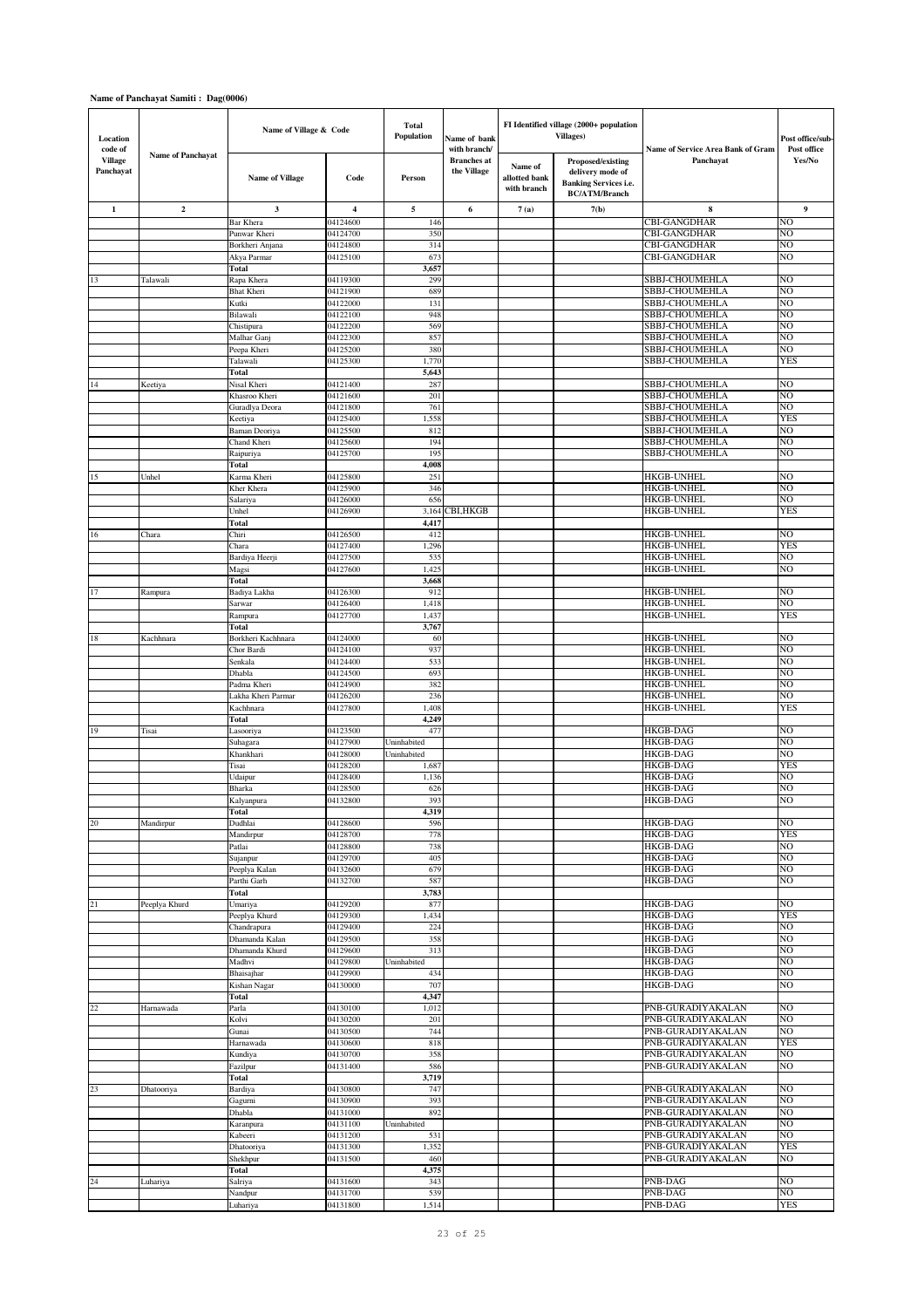| Location<br>code of         |                          | Name of Village & Code            |                         | <b>Total</b><br>Population | Name of bank<br>with branch/      |                                         | FI Identified village (2000+ population<br><b>Villages</b> )                                  | Name of Service Area Bank of Gram      | Post office/sub-<br>Post office  |
|-----------------------------|--------------------------|-----------------------------------|-------------------------|----------------------------|-----------------------------------|-----------------------------------------|-----------------------------------------------------------------------------------------------|----------------------------------------|----------------------------------|
| <b>Village</b><br>Panchayat | <b>Name of Panchayat</b> | <b>Name of Village</b>            | Code                    | Person                     | <b>Branches</b> at<br>the Village | Name of<br>allotted bank<br>with branch | Proposed/existing<br>delivery mode of<br><b>Banking Services i.e.</b><br><b>BC/ATM/Branch</b> | Panchayat                              | $\mathbf{Yes} / \mathbf{No}$     |
| 1                           | $\overline{2}$           | 3                                 | $\overline{\mathbf{4}}$ | 5                          | 6                                 | 7(a)                                    | 7(b)                                                                                          | 8                                      | 9                                |
|                             |                          | Bar Khera                         | 04124600                | 146                        |                                   |                                         |                                                                                               | <b>CBI-GANGDHAR</b>                    | N <sub>O</sub>                   |
|                             |                          | Punwar Kheri                      | 04124700                | 350                        |                                   |                                         |                                                                                               | <b>CBI-GANGDHAR</b>                    | NO.                              |
|                             |                          | Borkheri Anjana                   | 04124800                | 314                        |                                   |                                         |                                                                                               | CBI-GANGDHAR                           | NO                               |
|                             |                          | Akya Parmar<br><b>Total</b>       | 04125100                | 673<br>3,657               |                                   |                                         |                                                                                               | CBI-GANGDHAR                           | NO                               |
| 13                          | Talawali                 | Rapa Khera                        | 04119300                | 299                        |                                   |                                         |                                                                                               | SBBJ-CHOUMEHLA                         | NO                               |
|                             |                          | <b>Bhat Kheri</b>                 | 04121900                | 689                        |                                   |                                         |                                                                                               | SBBJ-CHOUMEHLA                         | N <sub>O</sub>                   |
|                             |                          | Kutki                             | 04122000                | 131                        |                                   |                                         |                                                                                               | SBBJ-CHOUMEHLA                         | NO                               |
|                             |                          | Bilawali                          | 04122100                | 948                        |                                   |                                         |                                                                                               | SBBJ-CHOUMEHLA                         | NO                               |
|                             |                          | Chistipura                        | 04122200                | 569                        |                                   |                                         |                                                                                               | SBBJ-CHOUMEHLA                         | N <sub>O</sub>                   |
|                             |                          | Malhar Ganj                       | 04122300                | 857                        |                                   |                                         |                                                                                               | SBBJ-CHOUMEHLA                         | N <sub>O</sub>                   |
|                             |                          | Peepa Kheri<br>Talawali           | 04125200<br>04125300    | 380<br>1,770               |                                   |                                         |                                                                                               | SBBJ-CHOUMEHLA<br>SBBJ-CHOUMEHLA       | NO<br><b>YES</b>                 |
|                             |                          | Total                             |                         | 5,643                      |                                   |                                         |                                                                                               |                                        |                                  |
| 14                          | Keetiya                  | Nisal Kheri                       | 04121400                | 287                        |                                   |                                         |                                                                                               | SBBJ-CHOUMEHLA                         | NO                               |
|                             |                          | Khasroo Kheri                     | 04121600                | 201                        |                                   |                                         |                                                                                               | SBBJ-CHOUMEHLA                         | NO                               |
|                             |                          | Guradlya Deora                    | 04121800                | 761                        |                                   |                                         |                                                                                               | SBBJ-CHOUMEHLA                         | NO                               |
|                             |                          | Keetiya                           | 04125400                | 1,558                      |                                   |                                         |                                                                                               | SBBJ-CHOUMEHLA                         | <b>YES</b>                       |
|                             |                          | Baman Deoriya                     | 04125500                | 812                        |                                   |                                         |                                                                                               | SBBJ-CHOUMEHLA                         | N <sub>O</sub>                   |
|                             |                          | Chand Kheri                       | 04125600                | 194                        |                                   |                                         |                                                                                               | SBBJ-CHOUMEHLA                         | N <sub>O</sub>                   |
|                             |                          | Raipuriya                         | 04125700                | 195                        |                                   |                                         |                                                                                               | SBBJ-CHOUMEHLA                         | NO                               |
| 15                          | Unhel                    | Total<br>Karma Kheri              | 04125800                | 4,008<br>251               |                                   |                                         |                                                                                               | <b>HKGB-UNHEL</b>                      | NO                               |
|                             |                          | Kher Khera                        | 04125900                | 346                        |                                   |                                         |                                                                                               | <b>HKGB-UNHEL</b>                      | N <sub>O</sub>                   |
|                             |                          | Salariya                          | 04126000                | 656                        |                                   |                                         |                                                                                               | HKGB-UNHEL                             | N <sub>O</sub>                   |
|                             |                          | Unhel                             | 04126900                | 3,164                      | CBI, HKGB                         |                                         |                                                                                               | <b>HKGB-UNHEL</b>                      | <b>YES</b>                       |
|                             |                          | <b>Total</b>                      |                         | 4,417                      |                                   |                                         |                                                                                               |                                        |                                  |
| 16                          | Chara                    | Chiri                             | 04126500                | 412                        |                                   |                                         |                                                                                               | HKGB-UNHEL                             | N <sub>O</sub>                   |
|                             |                          | Chara                             | 04127400                | 1,296                      |                                   |                                         |                                                                                               | HKGB-UNHEL                             | <b>YES</b>                       |
|                             |                          | Bardiya Heerji                    | 04127500                | 535                        |                                   |                                         |                                                                                               | <b>HKGB-UNHEL</b>                      | NO                               |
|                             |                          | Magsi<br>Total                    | 04127600                | 1,425<br>3,668             |                                   |                                         |                                                                                               | HKGB-UNHEL                             | NO                               |
| $17\,$                      | Rampura                  | Badiya Lakha                      | 04126300                | 912                        |                                   |                                         |                                                                                               | <b>HKGB-UNHEL</b>                      | N <sub>O</sub>                   |
|                             |                          | Sarwar                            | 04126400                | 1,418                      |                                   |                                         |                                                                                               | <b>HKGB-UNHEL</b>                      | NO                               |
|                             |                          | Rampura                           | 04127700                | 1,437                      |                                   |                                         |                                                                                               | <b>HKGB-UNHEL</b>                      | <b>YES</b>                       |
|                             |                          | Total                             |                         | 3,767                      |                                   |                                         |                                                                                               |                                        |                                  |
| $18\,$                      | Kachhnara                | Borkheri Kachhnara                | 04124000                | 60                         |                                   |                                         |                                                                                               | <b>HKGB-UNHEL</b>                      | N <sub>O</sub>                   |
|                             |                          | Chor Bardi                        | 04124100                | 937                        |                                   |                                         |                                                                                               | HKGB-UNHEL                             | NO                               |
|                             |                          | Senkala                           | 04124400                | 533                        |                                   |                                         |                                                                                               | HKGB-UNHEL                             | NO                               |
|                             |                          | Dhabla                            | 04124500                | 693                        |                                   |                                         |                                                                                               | HKGB-UNHEL                             | NO                               |
|                             |                          | Padma Kheri<br>Lakha Kheri Parmar | 04124900<br>04126200    | 382<br>236                 |                                   |                                         |                                                                                               | HKGB-UNHEL<br>HKGB-UNHEL               | NO<br>NO                         |
|                             |                          | Kachhnara                         | 04127800                | 1,408                      |                                   |                                         |                                                                                               | HKGB-UNHEL                             | <b>YES</b>                       |
|                             |                          | Total                             |                         | 4,249                      |                                   |                                         |                                                                                               |                                        |                                  |
| 19                          | Tisai                    | Lasooriya                         | 04123500                | 477                        |                                   |                                         |                                                                                               | <b>HKGB-DAG</b>                        | N <sub>O</sub>                   |
|                             |                          | Suhagara                          | 04127900                | Uninhabited                |                                   |                                         |                                                                                               | <b>HKGB-DAG</b>                        | NO                               |
|                             |                          | Khankhari                         | 04128000                | Uninhabited                |                                   |                                         |                                                                                               | <b>HKGB-DAG</b>                        | N <sub>O</sub>                   |
|                             |                          | Tisai                             | 04128200                | 1,687                      |                                   |                                         |                                                                                               | <b>HKGB-DAG</b>                        | <b>YES</b>                       |
|                             |                          | Udaipur                           | 04128400                | 1,136                      |                                   |                                         |                                                                                               | <b>HKGB-DAG</b>                        | NO                               |
|                             |                          | Bharka<br>Kalyanpura              | 04128500<br>04132800    | 626<br>393                 |                                   |                                         |                                                                                               | <b>HKGB-DAG</b><br><b>HKGB-DAG</b>     | N <sub>O</sub><br>N <sub>O</sub> |
|                             |                          | Total                             |                         | 4,319                      |                                   |                                         |                                                                                               |                                        |                                  |
| 20                          | Mandirpur                | Dudhlai                           | 04128600                | 596                        |                                   |                                         |                                                                                               | <b>HKGB-DAG</b>                        | NO                               |
|                             |                          | Mandirpur                         | 04128700                | 778                        |                                   |                                         |                                                                                               | <b>HKGB-DAG</b>                        | <b>YES</b>                       |
|                             |                          | Patlai                            | 04128800                | 738                        |                                   |                                         |                                                                                               | <b>HKGB-DAG</b>                        | NO                               |
|                             |                          | Sujanpur                          | 04129700                | 405                        |                                   |                                         |                                                                                               | <b>HKGB-DAG</b>                        | N <sub>O</sub>                   |
|                             |                          | Peeplya Kalan                     | 04132600                | 679                        |                                   |                                         |                                                                                               | <b>HKGB-DAG</b>                        | N <sub>O</sub>                   |
|                             |                          | Parthi Garh                       | 04132700                | 587                        |                                   |                                         |                                                                                               | <b>HKGB-DAG</b>                        | N <sub>O</sub>                   |
|                             |                          | <b>Total</b>                      |                         | 3,783                      |                                   |                                         |                                                                                               | <b>HKGB-DAG</b>                        | N <sub>O</sub>                   |
| 21                          | Peeplya Khurd            | Umariya<br>Peeplya Khurd          | 04129200<br>04129300    | 877<br>1,434               |                                   |                                         |                                                                                               | <b>HKGB-DAG</b>                        | <b>YES</b>                       |
|                             |                          | Chandrapura                       | 04129400                | 224                        |                                   |                                         |                                                                                               | <b>HKGB-DAG</b>                        | NO                               |
|                             |                          | Dhamanda Kalan                    | 04129500                | 358                        |                                   |                                         |                                                                                               | <b>HKGB-DAG</b>                        | NO                               |
|                             |                          | Dhamanda Khurd                    | 04129600                | 313                        |                                   |                                         |                                                                                               | <b>HKGB-DAG</b>                        | N <sub>O</sub>                   |
|                             |                          | Madhvi                            | 04129800                | Uninhabited                |                                   |                                         |                                                                                               | <b>HKGB-DAG</b>                        | N <sub>O</sub>                   |
|                             |                          | Bhaisajhar                        | 04129900                | 434                        |                                   |                                         |                                                                                               | <b>HKGB-DAG</b>                        | N <sub>O</sub>                   |
|                             |                          | Kishan Nagar                      | 04130000                | 707                        |                                   |                                         |                                                                                               | <b>HKGB-DAG</b>                        | N <sub>O</sub>                   |
|                             |                          | Total                             |                         | 4,347                      |                                   |                                         |                                                                                               |                                        |                                  |
| 22                          | Harnawada                | Parla<br>Kolvi                    | 04130100<br>04130200    | 1,012<br>201               |                                   |                                         |                                                                                               | PNB-GURADIYAKALAN<br>PNB-GURADIYAKALAN | NO<br>N <sub>O</sub>             |
|                             |                          | Gunai                             | 04130500                | 744                        |                                   |                                         |                                                                                               | PNB-GURADIYAKALAN                      | N <sub>O</sub>                   |
|                             |                          | Harnawada                         | 04130600                | 818                        |                                   |                                         |                                                                                               | PNB-GURADIYAKALAN                      | <b>YES</b>                       |
|                             |                          | Kundiya                           | 04130700                | 358                        |                                   |                                         |                                                                                               | PNB-GURADIYAKALAN                      | N <sub>O</sub>                   |
|                             |                          | Fazilpur                          | 04131400                | 586                        |                                   |                                         |                                                                                               | PNB-GURADIYAKALAN                      | N <sub>O</sub>                   |
|                             |                          | Total                             |                         | 3,719                      |                                   |                                         |                                                                                               |                                        |                                  |
| 23                          | Dhatooriya               | Bardiya                           | 04130800                | 747                        |                                   |                                         |                                                                                               | PNB-GURADIYAKALAN                      | N <sub>O</sub>                   |
|                             |                          | Gagurni                           | 04130900                | 393                        |                                   |                                         |                                                                                               | PNB-GURADIYAKALAN                      | N <sub>O</sub>                   |
|                             |                          | Dhabla                            | 04131000                | 892                        |                                   |                                         |                                                                                               | PNB-GURADIYAKALAN                      | NO                               |
|                             |                          | Karanpura                         | 04131100                | Uninhabited                |                                   |                                         |                                                                                               | PNB-GURADIYAKALAN                      | N <sub>O</sub><br>NO             |
|                             |                          | Kabeeri<br>Dhatooriya             | 04131200<br>04131300    | 531<br>1,352               |                                   |                                         |                                                                                               | PNB-GURADIYAKALAN<br>PNB-GURADIYAKALAN | YES                              |
|                             |                          | Shekhpur                          | 04131500                | 460                        |                                   |                                         |                                                                                               | PNB-GURADIYAKALAN                      | NO                               |
|                             |                          | Total                             |                         | 4,375                      |                                   |                                         |                                                                                               |                                        |                                  |
| 24                          | Luhariya                 | Salriya                           | 04131600                | 343                        |                                   |                                         |                                                                                               | PNB-DAG                                | NO                               |
|                             |                          | Nandpur                           | 04131700                | 539                        |                                   |                                         |                                                                                               | PNB-DAG                                | N <sub>O</sub>                   |
|                             |                          | Luhariya                          | 04131800                | 1,514                      |                                   |                                         |                                                                                               | PNB-DAG                                | <b>YES</b>                       |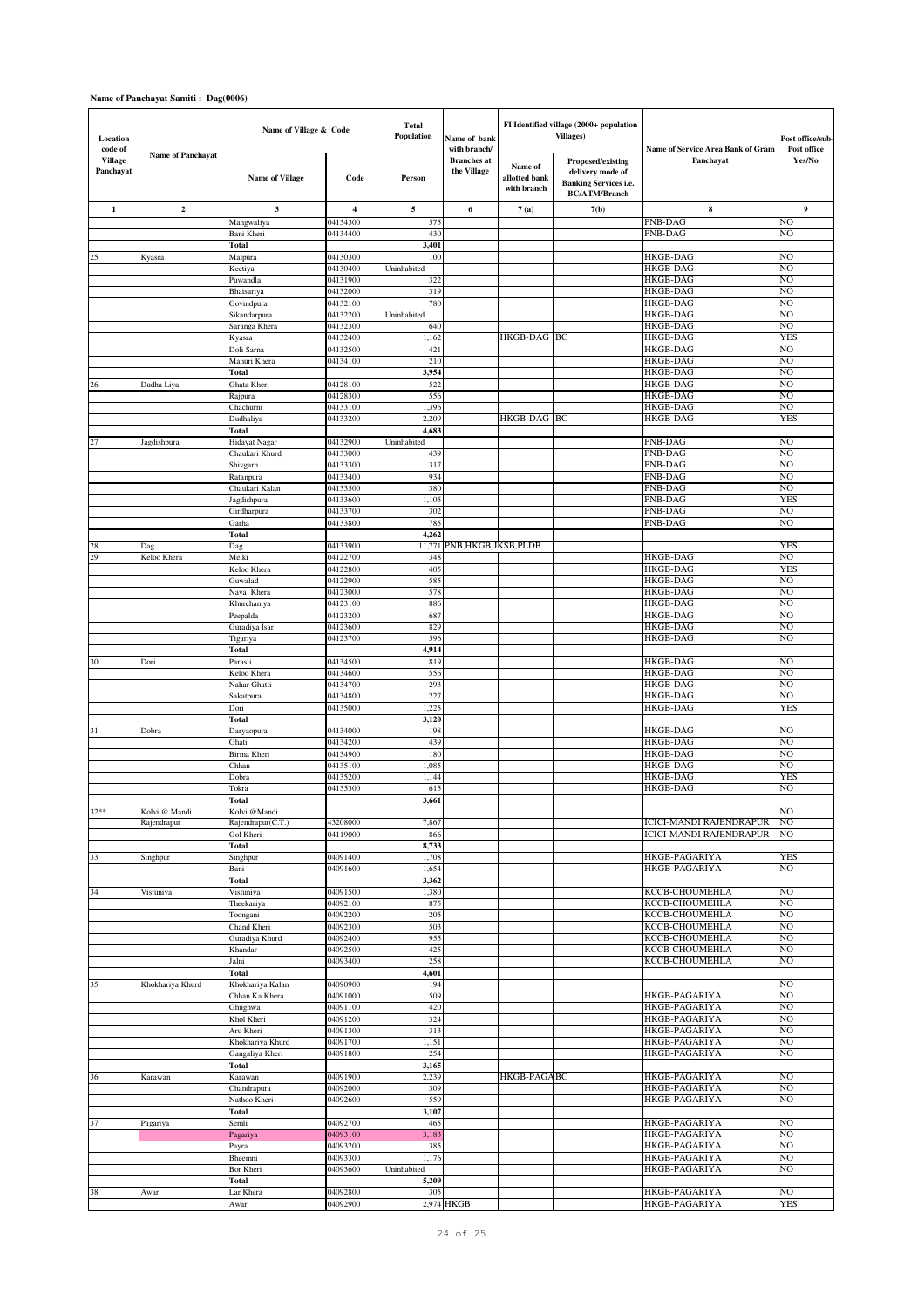| Location<br>code of         |                          | Name of Village & Code |                         | <b>Total</b><br>Population | Name of bank<br>with branch/      |                                         | FI Identified village (2000+ population<br><b>Villages</b> )                                  | Name of Service Area Bank of Gram       | Post office/sub-<br>Post office  |
|-----------------------------|--------------------------|------------------------|-------------------------|----------------------------|-----------------------------------|-----------------------------------------|-----------------------------------------------------------------------------------------------|-----------------------------------------|----------------------------------|
| <b>Village</b><br>Panchayat | <b>Name of Panchayat</b> | <b>Name of Village</b> | Code                    | Person                     | <b>Branches</b> at<br>the Village | Name of<br>allotted bank<br>with branch | Proposed/existing<br>delivery mode of<br><b>Banking Services i.e.</b><br><b>BC/ATM/Branch</b> | Panchayat                               | Yes/No                           |
| 1                           | $\overline{2}$           | 3                      | $\overline{\mathbf{4}}$ | 5                          | 6                                 | 7(a)                                    | 7(b)                                                                                          | ${\bf 8}$                               | 9                                |
|                             |                          | Mangwaliya             | 04134300                | 575                        |                                   |                                         |                                                                                               | PNB-DAG                                 | N <sub>O</sub>                   |
|                             |                          | Bani Kheri             | 04134400                | 430                        |                                   |                                         |                                                                                               | PNB-DAG                                 | NO                               |
|                             |                          | Total                  |                         | 3,401                      |                                   |                                         |                                                                                               |                                         |                                  |
| 25                          | Kyasra                   | Malpura<br>Keetiya     | 04130300<br>04130400    | 100<br>Uninhabited         |                                   |                                         |                                                                                               | HKGB-DAG<br>HKGB-DAG                    | N <sub>O</sub><br>NO             |
|                             |                          | Puwandla               | 04131900                | 322                        |                                   |                                         |                                                                                               | <b>HKGB-DAG</b>                         | NO                               |
|                             |                          | Bhaisariya             | 04132000                | 319                        |                                   |                                         |                                                                                               | <b>HKGB-DAG</b>                         | NO                               |
|                             |                          | Govindpura             | 04132100                | 780                        |                                   |                                         |                                                                                               | HKGB-DAG                                | NO                               |
|                             |                          | Sikandarpura           | 04132200                | Uninhabited                |                                   |                                         |                                                                                               | <b>HKGB-DAG</b>                         | NO                               |
|                             |                          | Saranga Khera          | 04132300                | 640                        |                                   |                                         |                                                                                               | <b>HKGB-DAG</b>                         | N <sub>O</sub>                   |
|                             |                          | Kyasra                 | 04132400                | 1,162                      |                                   | HKGB-DAG BC                             |                                                                                               | HKGB-DAG                                | <b>YES</b>                       |
|                             |                          | Doli Sarna             | 04132500<br>04134100    | 421<br>210                 |                                   |                                         |                                                                                               | HKGB-DAG<br>HKGB-DAG                    | NO<br>NO                         |
|                             |                          | Mahuri Khera<br>Total  |                         | 3,954                      |                                   |                                         |                                                                                               | HKGB-DAG                                | N <sub>O</sub>                   |
| 26                          | Dudha Liya               | Ghata Kheri            | 04128100                | 522                        |                                   |                                         |                                                                                               | <b>HKGB-DAG</b>                         | NO                               |
|                             |                          | Rajpura                | 04128300                | 556                        |                                   |                                         |                                                                                               | <b>HKGB-DAG</b>                         | NO                               |
|                             |                          | Chachurni              | 04133100                | 1,396                      |                                   |                                         |                                                                                               | HKGB-DAG                                | NO                               |
|                             |                          | Dudhaliya              | 04133200                | 2,209                      |                                   | HKGB-DAG BC                             |                                                                                               | <b>HKGB-DAG</b>                         | <b>YES</b>                       |
|                             |                          | Total                  |                         | 4,683                      |                                   |                                         |                                                                                               |                                         |                                  |
| 27                          | Jagdishpura              | Hidayat Nagar          | 04132900                | Uninhabited                |                                   |                                         |                                                                                               | PNB-DAG                                 | N <sub>O</sub>                   |
|                             |                          | Chaukari Khurd         | 04133000                | 439                        |                                   |                                         |                                                                                               | <b>PNB-DAG</b>                          | NO                               |
|                             |                          | Shivgarh<br>Ratanpura  | 04133300<br>04133400    | 317<br>934                 |                                   |                                         |                                                                                               | PNB-DAG<br>PNB-DAG                      | N <sub>O</sub><br>N <sub>O</sub> |
|                             |                          | Chaukari Kalan         | 04133500                | 380                        |                                   |                                         |                                                                                               | PNB-DAG                                 | N <sub>O</sub>                   |
|                             |                          | Jagdishpura            | 04133600                | 1,105                      |                                   |                                         |                                                                                               | PNB-DAG                                 | <b>YES</b>                       |
|                             |                          | Girdharpura            | 04133700                | 302                        |                                   |                                         |                                                                                               | PNB-DAG                                 | NO                               |
|                             |                          | Garha                  | 04133800                | 785                        |                                   |                                         |                                                                                               | PNB-DAG                                 | NO                               |
|                             |                          | <b>Total</b>           |                         | 4,262                      |                                   |                                         |                                                                                               |                                         |                                  |
| 28                          | Dag                      | Dag                    | 04133900                | 11,771                     | PNB, HKGB, JKSB, PLDB             |                                         |                                                                                               |                                         | <b>YES</b>                       |
| 29                          | Keloo Khera              | Melki                  | 04122700                | 348                        |                                   |                                         |                                                                                               | <b>HKGB-DAG</b>                         | N <sub>O</sub>                   |
|                             |                          | Keloo Khera<br>Guwalad | 04122800                | 405<br>585                 |                                   |                                         |                                                                                               | <b>HKGB-DAG</b><br><b>HKGB-DAG</b>      | <b>YES</b><br>NO                 |
|                             |                          | Naya Khera             | 04122900<br>04123000    | 578                        |                                   |                                         |                                                                                               | HKGB-DAG                                | NO                               |
|                             |                          | Khurchaniya            | 04123100                | 886                        |                                   |                                         |                                                                                               | HKGB-DAG                                | NO                               |
|                             |                          | Peepalda               | 04123200                | 687                        |                                   |                                         |                                                                                               | <b>HKGB-DAG</b>                         | NO                               |
|                             |                          | Guradiya Isar          | 04123600                | 829                        |                                   |                                         |                                                                                               | <b>HKGB-DAG</b>                         | NO                               |
|                             |                          | Tigariya               | 04123700                | 596                        |                                   |                                         |                                                                                               | <b>HKGB-DAG</b>                         | N <sub>O</sub>                   |
|                             |                          | <b>Total</b>           |                         | 4,914                      |                                   |                                         |                                                                                               |                                         |                                  |
| 30                          | Dori                     | Parasli                | 04134500                | 819                        |                                   |                                         |                                                                                               | HKGB-DAG                                | NO                               |
|                             |                          | Keloo Khera            | 04134600                | 556                        |                                   |                                         |                                                                                               | HKGB-DAG                                | NO                               |
|                             |                          | Nahar Ghatti           | 04134700<br>04134800    | 293<br>227                 |                                   |                                         |                                                                                               | <b>HKGB-DAG</b><br>HKGB-DAG             | NO<br>NO                         |
|                             |                          | Sakatpura<br>Dori      | 04135000                | 1,225                      |                                   |                                         |                                                                                               | <b>HKGB-DAG</b>                         | <b>YES</b>                       |
|                             |                          | Total                  |                         | 3,120                      |                                   |                                         |                                                                                               |                                         |                                  |
| 31                          | Dobra                    | Daryaopura             | 04134000                | 198                        |                                   |                                         |                                                                                               | <b>HKGB-DAG</b>                         | N <sub>O</sub>                   |
|                             |                          | Ghati                  | 04134200                | 439                        |                                   |                                         |                                                                                               | <b>HKGB-DAG</b>                         | NO                               |
|                             |                          | Birma Kheri            | 04134900                | 180                        |                                   |                                         |                                                                                               | <b>HKGB-DAG</b>                         | N <sub>O</sub>                   |
|                             |                          | Chhan                  | 04135100                | 1,085                      |                                   |                                         |                                                                                               | <b>HKGB-DAG</b>                         | N <sub>O</sub>                   |
|                             |                          | Dobra                  | 04135200                | 1,144                      |                                   |                                         |                                                                                               | <b>HKGB-DAG</b>                         | <b>YES</b>                       |
|                             |                          | Tokra                  | 04135300                | 615<br>3,661               |                                   |                                         |                                                                                               | HKGB-DAG                                | NO                               |
| $32**$                      | Kolvi @ Mandi            | Total<br>Kolvi @Mandi  |                         |                            |                                   |                                         |                                                                                               |                                         | NO                               |
|                             | Rajendrapur              | Rajendrapur(C.T.)      | 43208000                | 7,867                      |                                   |                                         |                                                                                               | ICICI-MANDI RAJENDRAPUR                 | N <sub>O</sub>                   |
|                             |                          | Gol Kheri              | 04119000                | 866                        |                                   |                                         |                                                                                               | <b>ICICI-MANDI RAJENDRAPUR</b>          | NO                               |
|                             |                          | Total                  |                         | 8,733                      |                                   |                                         |                                                                                               |                                         |                                  |
| 33                          | Singhpur                 | Singhpur               | 04091400                | 1,708                      |                                   |                                         |                                                                                               | HKGB-PAGARIYA                           | <b>YES</b>                       |
|                             |                          | Bani                   | 04091600                | 1,654                      |                                   |                                         |                                                                                               | HKGB-PAGARIYA                           | NO                               |
|                             |                          | <b>Total</b>           |                         | 3,362                      |                                   |                                         |                                                                                               |                                         |                                  |
| 34                          | Vistuniya                | Vistuniya              | 04091500                | 1,380                      |                                   |                                         |                                                                                               | KCCB-CHOUMEHLA                          | NO<br>N <sub>O</sub>             |
|                             |                          | Theekariya<br>Toongani | 04092100<br>04092200    | 875<br>205                 |                                   |                                         |                                                                                               | KCCB-CHOUMEHLA<br><b>KCCB-CHOUMEHLA</b> | N <sub>O</sub>                   |
|                             |                          | Chand Kheri            | 04092300                | 503                        |                                   |                                         |                                                                                               | KCCB-CHOUMEHLA                          | N <sub>O</sub>                   |
|                             |                          | Guradiya Khurd         | 04092400                | 955                        |                                   |                                         |                                                                                               | <b>KCCB-CHOUMEHLA</b>                   | N <sub>O</sub>                   |
|                             |                          | Khandar                | 04092500                | 425                        |                                   |                                         |                                                                                               | KCCB-CHOUMEHLA                          | N <sub>O</sub>                   |
|                             |                          | Jalni                  | 04093400                | 258                        |                                   |                                         |                                                                                               | <b>KCCB-CHOUMEHLA</b>                   | N <sub>O</sub>                   |
|                             |                          | <b>Total</b>           |                         | 4,601                      |                                   |                                         |                                                                                               |                                         |                                  |
| 35                          | Khokhariya Khurd         | Khokhariya Kalan       | 04090900                | 194                        |                                   |                                         |                                                                                               |                                         | NO                               |
|                             |                          | Chhan Ka Khera         | 04091000                | 509                        |                                   |                                         |                                                                                               | HKGB-PAGARIYA                           | NO                               |
|                             |                          | Ghughwa<br>Khol Kheri  | 04091100<br>04091200    | 420<br>324                 |                                   |                                         |                                                                                               | HKGB-PAGARIYA<br>HKGB-PAGARIYA          | NO<br>NO                         |
|                             |                          | Aru Kheri              | 04091300                | 313                        |                                   |                                         |                                                                                               | HKGB-PAGARIYA                           | NO                               |
|                             |                          | Khokhariya Khurd       | 04091700                | 1,151                      |                                   |                                         |                                                                                               | HKGB-PAGARIYA                           | NO                               |
|                             |                          | Gangaliya Kheri        | 04091800                | 254                        |                                   |                                         |                                                                                               | HKGB-PAGARIYA                           | NO                               |
|                             |                          | Total                  |                         | 3,165                      |                                   |                                         |                                                                                               |                                         |                                  |
| 36                          | Karawan                  | Karawan                | 04091900                | 2,239                      |                                   | HKGB-PAGABC                             |                                                                                               | HKGB-PAGARIYA                           | NO                               |
|                             |                          | Chandrapura            | 04092000                | 309                        |                                   |                                         |                                                                                               | HKGB-PAGARIYA                           | NO                               |
|                             |                          | Nathoo Kheri           | 04092600                | 559                        |                                   |                                         |                                                                                               | HKGB-PAGARIYA                           | N <sub>O</sub>                   |
|                             |                          | <b>Total</b>           |                         | 3,107                      |                                   |                                         |                                                                                               |                                         |                                  |
| 37                          | Pagariya                 | Semli                  | 04092700<br>04093100    | 465<br>3,183               |                                   |                                         |                                                                                               | <b>HKGB-PAGARIYA</b><br>HKGB-PAGARIYA   | NO<br>NO                         |
|                             |                          | Pagariya<br>Payra      | 04093200                | 385                        |                                   |                                         |                                                                                               | HKGB-PAGARIYA                           | N <sub>O</sub>                   |
|                             |                          | Bheemni                | 04093300                | 1,176                      |                                   |                                         |                                                                                               | HKGB-PAGARIYA                           | N <sub>O</sub>                   |
|                             |                          | Bor Kheri              | 04093600                | Uninhabited                |                                   |                                         |                                                                                               | HKGB-PAGARIYA                           | NO                               |
|                             |                          | Total                  |                         | 5,209                      |                                   |                                         |                                                                                               |                                         |                                  |
| 38                          | Awar                     | Lar Khera              | 04092800                | 305                        |                                   |                                         |                                                                                               | <b>HKGB-PAGARIYA</b>                    | NO                               |
|                             |                          | Awar                   | 04092900                |                            | 2,974 HKGB                        |                                         |                                                                                               | <b>HKGB-PAGARIYA</b>                    | <b>YES</b>                       |